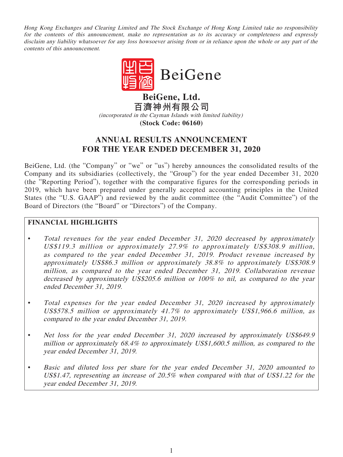Hong Kong Exchanges and Clearing Limited and The Stock Exchange of Hong Kong Limited take no responsibility for the contents of this announcement, make no representation as to its accuracy or completeness and expressly disclaim any liability whatsoever for any loss howsoever arising from or in reliance upon the whole or any part of the contents of this announcement.



**百濟神州有限公司** (incorporated in the Cayman Islands with limited liability) **(Stock Code: 06160)**

# **ANNUAL RESULTS ANNOUNCEMENT FOR THE YEAR ENDED DECEMBER 31, 2020**

BeiGene, Ltd. (the "Company" or "we" or "us") hereby announces the consolidated results of the Company and its subsidiaries (collectively, the "Group") for the year ended December 31, 2020 (the "Reporting Period"), together with the comparative figures for the corresponding periods in 2019, which have been prepared under generally accepted accounting principles in the United States (the "U.S. GAAP") and reviewed by the audit committee (the "Audit Committee") of the Board of Directors (the "Board" or "Directors") of the Company.

# **FINANCIAL HIGHLIGHTS**

- Total revenues for the year ended December 31, 2020 decreased by approximately US\$119.3 million or approximately 27.9% to approximately US\$308.9 million, as compared to the year ended December 31, 2019. Product revenue increased by approximately US\$86.3 million or approximately 38.8% to approximately US\$308.9 million, as compared to the year ended December 31, 2019. Collaboration revenue decreased by approximately US\$205.6 million or 100% to nil, as compared to the year ended December 31, 2019.
- Total expenses for the year ended December 31, 2020 increased by approximately US\$578.5 million or approximately 41.7% to approximately US\$1,966.6 million, as compared to the year ended December 31, 2019.
- Net loss for the year ended December 31, 2020 increased by approximately US\$649.9 million or approximately 68.4% to approximately US\$1,600.5 million, as compared to the year ended December 31, 2019.
- Basic and diluted loss per share for the year ended December 31, 2020 amounted to US\$1.47, representing an increase of 20.5% when compared with that of US\$1.22 for the year ended December 31, 2019.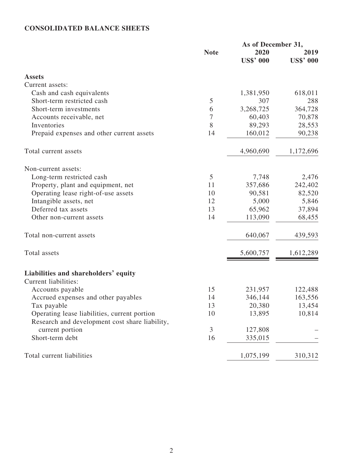# **CONSOLIDATED BALANCE SHEETS**

|                                                                           | As of December 31, |                  |                  |
|---------------------------------------------------------------------------|--------------------|------------------|------------------|
|                                                                           | <b>Note</b>        | 2020             | 2019             |
|                                                                           |                    | <b>US\$' 000</b> | <b>US\$' 000</b> |
| <b>Assets</b>                                                             |                    |                  |                  |
| Current assets:                                                           |                    |                  |                  |
| Cash and cash equivalents                                                 |                    | 1,381,950        | 618,011          |
| Short-term restricted cash                                                | 5                  | 307              | 288              |
| Short-term investments                                                    | 6                  | 3,268,725        | 364,728          |
| Accounts receivable, net                                                  | 7                  | 60,403           | 70,878           |
| Inventories                                                               | 8                  | 89,293           | 28,553           |
| Prepaid expenses and other current assets                                 | 14                 | 160,012          | 90,238           |
| Total current assets                                                      |                    | 4,960,690        | 1,172,696        |
| Non-current assets:                                                       |                    |                  |                  |
|                                                                           | 5                  | 7,748            | 2,476            |
| Long-term restricted cash                                                 | 11                 | 357,686          | 242,402          |
| Property, plant and equipment, net<br>Operating lease right-of-use assets | 10                 | 90,581           | 82,520           |
|                                                                           | 12                 | 5,000            | 5,846            |
| Intangible assets, net<br>Deferred tax assets                             | 13                 | 65,962           |                  |
|                                                                           | 14                 |                  | 37,894           |
| Other non-current assets                                                  |                    | 113,090          | 68,455           |
| Total non-current assets                                                  |                    | 640,067          | 439,593          |
| Total assets                                                              |                    | 5,600,757        | 1,612,289        |
| Liabilities and shareholders' equity<br>Current liabilities:              |                    |                  |                  |
|                                                                           | 15                 |                  |                  |
| Accounts payable                                                          |                    | 231,957          | 122,488          |
| Accrued expenses and other payables                                       | 14                 | 346,144          | 163,556          |
| Tax payable                                                               | 13                 | 20,380           | 13,454           |
| Operating lease liabilities, current portion                              | 10                 | 13,895           | 10,814           |
| Research and development cost share liability,                            |                    |                  |                  |
| current portion                                                           | $\mathfrak{Z}$     | 127,808          |                  |
| Short-term debt                                                           | 16                 | 335,015          |                  |
| Total current liabilities                                                 |                    | 1,075,199        | 310,312          |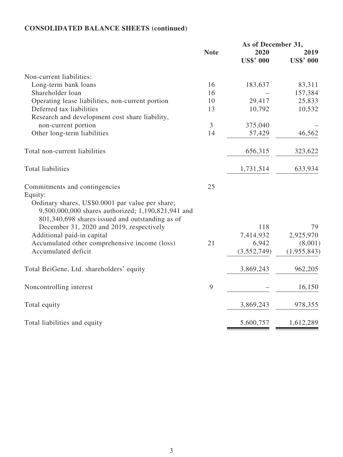# **CONSOLIDATED BALANCE SHEETS (continued)**

|                                                                                                                                                                                                       | As of December 31, |                  |                  |
|-------------------------------------------------------------------------------------------------------------------------------------------------------------------------------------------------------|--------------------|------------------|------------------|
|                                                                                                                                                                                                       | <b>Note</b>        | 2020             | 2019             |
|                                                                                                                                                                                                       |                    | <b>US\$' 000</b> | <b>US\$' 000</b> |
| Non-current liabilities:                                                                                                                                                                              |                    |                  |                  |
| Long-term bank loans                                                                                                                                                                                  | 16                 | 183,637          | 83,311           |
| Shareholder loan                                                                                                                                                                                      | 16                 |                  | 157,384          |
| Operating lease liabilities, non-current portion                                                                                                                                                      | 10                 | 29,417           | 25,833           |
| Deferred tax liabilities                                                                                                                                                                              | 13                 | 10,792           | 10,532           |
| Research and development cost share liability,                                                                                                                                                        |                    |                  |                  |
| non-current portion                                                                                                                                                                                   | 3                  | 375,040          |                  |
| Other long-term liabilities                                                                                                                                                                           | 14                 | 57,429           | 46,562           |
| Total non-current liabilities                                                                                                                                                                         |                    | 656,315          | 323,622          |
| <b>Total liabilities</b>                                                                                                                                                                              |                    | 1,731,514        | 633,934          |
| Commitments and contingencies<br>Equity:<br>Ordinary shares, US\$0.0001 par value per share;<br>9,500,000,000 shares authorized; 1,190,821,941 and<br>801,340,698 shares issued and outstanding as of | 25                 |                  |                  |
| December 31, 2020 and 2019, respectively                                                                                                                                                              |                    | 118              | 79               |
| Additional paid-in capital                                                                                                                                                                            |                    | 7,414,932        | 2,925,970        |
| Accumulated other comprehensive income (loss)                                                                                                                                                         | 21                 | 6,942            | (8,001)          |
| Accumulated deficit                                                                                                                                                                                   |                    | (3,552,749)      | (1,955,843)      |
| Total BeiGene, Ltd. shareholders' equity                                                                                                                                                              |                    | 3,869,243        | 962,205          |
| Noncontrolling interest                                                                                                                                                                               | 9                  |                  | 16,150           |
| Total equity                                                                                                                                                                                          |                    | 3,869,243        | 978,355          |
| Total liabilities and equity                                                                                                                                                                          |                    | 5,600,757        | 1,612,289        |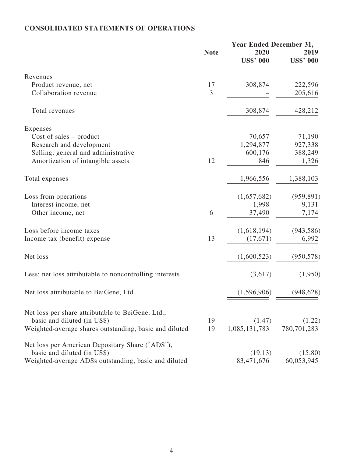# **CONSOLIDATED STATEMENTS OF OPERATIONS**

|                                                         | <b>Year Ended December 31,</b> |                  |                  |
|---------------------------------------------------------|--------------------------------|------------------|------------------|
|                                                         | <b>Note</b>                    | 2020             | 2019             |
|                                                         |                                | <b>US\$' 000</b> | <b>US\$' 000</b> |
| Revenues                                                |                                |                  |                  |
| Product revenue, net                                    | 17                             | 308,874          | 222,596          |
| Collaboration revenue                                   | 3                              |                  | 205,616          |
| Total revenues                                          |                                | 308,874          | 428,212          |
| Expenses                                                |                                |                  |                  |
| Cost of sales $-$ product                               |                                | 70,657           | 71,190           |
| Research and development                                |                                | 1,294,877        | 927,338          |
| Selling, general and administrative                     |                                | 600,176          | 388,249          |
| Amortization of intangible assets                       | 12                             | 846              | 1,326            |
| Total expenses                                          |                                | 1,966,556        | 1,388,103        |
| Loss from operations                                    |                                | (1,657,682)      | (959, 891)       |
| Interest income, net                                    |                                | 1,998            | 9,131            |
| Other income, net                                       | 6                              | 37,490           | 7,174            |
| Loss before income taxes                                |                                | (1,618,194)      | (943, 586)       |
| Income tax (benefit) expense                            | 13                             | (17,671)         | 6,992            |
| Net loss                                                |                                | (1,600,523)      | (950, 578)       |
| Less: net loss attributable to noncontrolling interests |                                | (3,617)          | (1,950)          |
| Net loss attributable to BeiGene, Ltd.                  |                                | (1,596,906)      | (948, 628)       |
| Net loss per share attributable to BeiGene, Ltd.,       |                                |                  |                  |
| basic and diluted (in US\$)                             | 19                             | (1.47)           | (1.22)           |
| Weighted-average shares outstanding, basic and diluted  | 19                             | 1,085,131,783    | 780,701,283      |
| Net loss per American Depositary Share ("ADS"),         |                                |                  |                  |
| basic and diluted (in US\$)                             |                                | (19.13)          | (15.80)          |
| Weighted-average ADSs outstanding, basic and diluted    |                                | 83,471,676       | 60,053,945       |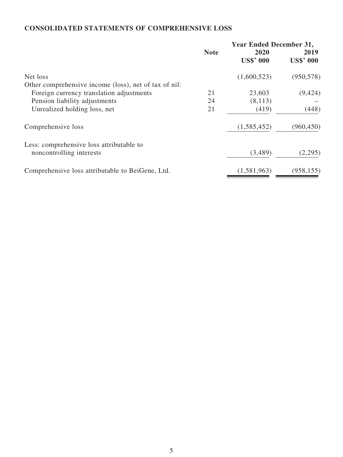# **CONSOLIDATED STATEMENTS OF COMPREHENSIVE LOSS**

| <b>Year Ended December 31,</b> |                  |                  |
|--------------------------------|------------------|------------------|
| <b>Note</b>                    | 2020             | 2019             |
|                                | <b>US\$' 000</b> | <b>US\$' 000</b> |
|                                | (1,600,523)      | (950, 578)       |
|                                |                  |                  |
| 21                             | 23,603           | (9, 424)         |
| 24                             | (8,113)          |                  |
| 21                             | (419)            | (448)            |
|                                | (1,585,452)      | (960, 450)       |
|                                |                  |                  |
|                                |                  | (2,295)          |
|                                | (1,581,963)      | (958, 155)       |
|                                |                  | (3,489)          |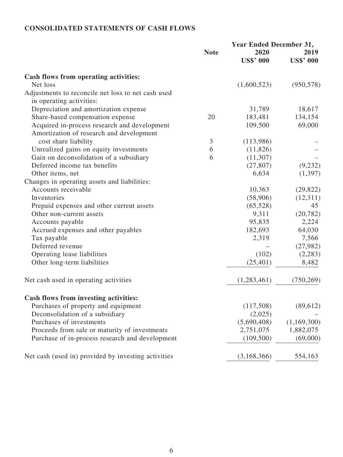# **CONSOLIDATED STATEMENTS OF CASH FLOWS**

| <b>Note</b><br>2020<br>2019<br><b>US\$' 000</b><br><b>US\$' 000</b><br>Cash flows from operating activities:<br>(1,600,523)<br>Net loss<br>Adjustments to reconcile net loss to net cash used<br>in operating activities:<br>Depreciation and amortization expense<br>31,789<br>Share-based compensation expense<br>20<br>183,481<br>Acquired in-process research and development<br>69,000<br>109,500<br>Amortization of research and development<br>$\mathfrak{Z}$<br>cost share liability<br>(113,986)<br>Unrealized gains on equity investments<br>6<br>(11,826)<br>Gain on deconsolidation of a subsidiary<br>6<br>(11,307)<br>Deferred income tax benefits<br>(27, 807)<br>Other items, net<br>6,634<br>Changes in operating assets and liabilities:<br>Accounts receivable<br>10,363<br>Inventories<br>(58,906)<br>Prepaid expenses and other current assets<br>(65, 528)<br>45<br>9,311<br>Other non-current assets<br>95,835<br>Accounts payable<br>Accrued expenses and other payables<br>182,693<br>2,319<br>Tax payable<br>Deferred revenue<br>Operating lease liabilities<br>(102)<br>(25, 401)<br>Other long-term liabilities<br>8,482<br>Net cash used in operating activities<br>(1,283,461)<br><b>Cash flows from investing activities:</b><br>Purchases of property and equipment<br>(117,508)<br>Deconsolidation of a subsidiary<br>(2,025)<br>Purchases of investments<br>(5,690,408)<br>Proceeds from sale or maturity of investments<br>2,751,075<br>Purchase of in-process research and development<br>(109, 500)<br>Net cash (used in) provided by investing activities<br>(3,168,366)<br>554,163 | <b>Year Ended December 31,</b> |  |             |
|---------------------------------------------------------------------------------------------------------------------------------------------------------------------------------------------------------------------------------------------------------------------------------------------------------------------------------------------------------------------------------------------------------------------------------------------------------------------------------------------------------------------------------------------------------------------------------------------------------------------------------------------------------------------------------------------------------------------------------------------------------------------------------------------------------------------------------------------------------------------------------------------------------------------------------------------------------------------------------------------------------------------------------------------------------------------------------------------------------------------------------------------------------------------------------------------------------------------------------------------------------------------------------------------------------------------------------------------------------------------------------------------------------------------------------------------------------------------------------------------------------------------------------------------------------------------------------------------------------------------------|--------------------------------|--|-------------|
|                                                                                                                                                                                                                                                                                                                                                                                                                                                                                                                                                                                                                                                                                                                                                                                                                                                                                                                                                                                                                                                                                                                                                                                                                                                                                                                                                                                                                                                                                                                                                                                                                           |                                |  |             |
|                                                                                                                                                                                                                                                                                                                                                                                                                                                                                                                                                                                                                                                                                                                                                                                                                                                                                                                                                                                                                                                                                                                                                                                                                                                                                                                                                                                                                                                                                                                                                                                                                           |                                |  |             |
|                                                                                                                                                                                                                                                                                                                                                                                                                                                                                                                                                                                                                                                                                                                                                                                                                                                                                                                                                                                                                                                                                                                                                                                                                                                                                                                                                                                                                                                                                                                                                                                                                           |                                |  |             |
|                                                                                                                                                                                                                                                                                                                                                                                                                                                                                                                                                                                                                                                                                                                                                                                                                                                                                                                                                                                                                                                                                                                                                                                                                                                                                                                                                                                                                                                                                                                                                                                                                           |                                |  | (950, 578)  |
|                                                                                                                                                                                                                                                                                                                                                                                                                                                                                                                                                                                                                                                                                                                                                                                                                                                                                                                                                                                                                                                                                                                                                                                                                                                                                                                                                                                                                                                                                                                                                                                                                           |                                |  |             |
|                                                                                                                                                                                                                                                                                                                                                                                                                                                                                                                                                                                                                                                                                                                                                                                                                                                                                                                                                                                                                                                                                                                                                                                                                                                                                                                                                                                                                                                                                                                                                                                                                           |                                |  |             |
|                                                                                                                                                                                                                                                                                                                                                                                                                                                                                                                                                                                                                                                                                                                                                                                                                                                                                                                                                                                                                                                                                                                                                                                                                                                                                                                                                                                                                                                                                                                                                                                                                           |                                |  | 18,617      |
|                                                                                                                                                                                                                                                                                                                                                                                                                                                                                                                                                                                                                                                                                                                                                                                                                                                                                                                                                                                                                                                                                                                                                                                                                                                                                                                                                                                                                                                                                                                                                                                                                           |                                |  | 134,154     |
|                                                                                                                                                                                                                                                                                                                                                                                                                                                                                                                                                                                                                                                                                                                                                                                                                                                                                                                                                                                                                                                                                                                                                                                                                                                                                                                                                                                                                                                                                                                                                                                                                           |                                |  |             |
|                                                                                                                                                                                                                                                                                                                                                                                                                                                                                                                                                                                                                                                                                                                                                                                                                                                                                                                                                                                                                                                                                                                                                                                                                                                                                                                                                                                                                                                                                                                                                                                                                           |                                |  |             |
|                                                                                                                                                                                                                                                                                                                                                                                                                                                                                                                                                                                                                                                                                                                                                                                                                                                                                                                                                                                                                                                                                                                                                                                                                                                                                                                                                                                                                                                                                                                                                                                                                           |                                |  |             |
|                                                                                                                                                                                                                                                                                                                                                                                                                                                                                                                                                                                                                                                                                                                                                                                                                                                                                                                                                                                                                                                                                                                                                                                                                                                                                                                                                                                                                                                                                                                                                                                                                           |                                |  |             |
|                                                                                                                                                                                                                                                                                                                                                                                                                                                                                                                                                                                                                                                                                                                                                                                                                                                                                                                                                                                                                                                                                                                                                                                                                                                                                                                                                                                                                                                                                                                                                                                                                           |                                |  |             |
|                                                                                                                                                                                                                                                                                                                                                                                                                                                                                                                                                                                                                                                                                                                                                                                                                                                                                                                                                                                                                                                                                                                                                                                                                                                                                                                                                                                                                                                                                                                                                                                                                           |                                |  | (9,232)     |
|                                                                                                                                                                                                                                                                                                                                                                                                                                                                                                                                                                                                                                                                                                                                                                                                                                                                                                                                                                                                                                                                                                                                                                                                                                                                                                                                                                                                                                                                                                                                                                                                                           |                                |  | (1,397)     |
|                                                                                                                                                                                                                                                                                                                                                                                                                                                                                                                                                                                                                                                                                                                                                                                                                                                                                                                                                                                                                                                                                                                                                                                                                                                                                                                                                                                                                                                                                                                                                                                                                           |                                |  |             |
|                                                                                                                                                                                                                                                                                                                                                                                                                                                                                                                                                                                                                                                                                                                                                                                                                                                                                                                                                                                                                                                                                                                                                                                                                                                                                                                                                                                                                                                                                                                                                                                                                           |                                |  | (29, 822)   |
|                                                                                                                                                                                                                                                                                                                                                                                                                                                                                                                                                                                                                                                                                                                                                                                                                                                                                                                                                                                                                                                                                                                                                                                                                                                                                                                                                                                                                                                                                                                                                                                                                           |                                |  | (12,311)    |
|                                                                                                                                                                                                                                                                                                                                                                                                                                                                                                                                                                                                                                                                                                                                                                                                                                                                                                                                                                                                                                                                                                                                                                                                                                                                                                                                                                                                                                                                                                                                                                                                                           |                                |  |             |
|                                                                                                                                                                                                                                                                                                                                                                                                                                                                                                                                                                                                                                                                                                                                                                                                                                                                                                                                                                                                                                                                                                                                                                                                                                                                                                                                                                                                                                                                                                                                                                                                                           |                                |  | (20, 782)   |
|                                                                                                                                                                                                                                                                                                                                                                                                                                                                                                                                                                                                                                                                                                                                                                                                                                                                                                                                                                                                                                                                                                                                                                                                                                                                                                                                                                                                                                                                                                                                                                                                                           |                                |  | 2,224       |
|                                                                                                                                                                                                                                                                                                                                                                                                                                                                                                                                                                                                                                                                                                                                                                                                                                                                                                                                                                                                                                                                                                                                                                                                                                                                                                                                                                                                                                                                                                                                                                                                                           |                                |  | 64,030      |
|                                                                                                                                                                                                                                                                                                                                                                                                                                                                                                                                                                                                                                                                                                                                                                                                                                                                                                                                                                                                                                                                                                                                                                                                                                                                                                                                                                                                                                                                                                                                                                                                                           |                                |  | 7,566       |
|                                                                                                                                                                                                                                                                                                                                                                                                                                                                                                                                                                                                                                                                                                                                                                                                                                                                                                                                                                                                                                                                                                                                                                                                                                                                                                                                                                                                                                                                                                                                                                                                                           |                                |  | (27, 982)   |
|                                                                                                                                                                                                                                                                                                                                                                                                                                                                                                                                                                                                                                                                                                                                                                                                                                                                                                                                                                                                                                                                                                                                                                                                                                                                                                                                                                                                                                                                                                                                                                                                                           |                                |  | (2,283)     |
|                                                                                                                                                                                                                                                                                                                                                                                                                                                                                                                                                                                                                                                                                                                                                                                                                                                                                                                                                                                                                                                                                                                                                                                                                                                                                                                                                                                                                                                                                                                                                                                                                           |                                |  |             |
|                                                                                                                                                                                                                                                                                                                                                                                                                                                                                                                                                                                                                                                                                                                                                                                                                                                                                                                                                                                                                                                                                                                                                                                                                                                                                                                                                                                                                                                                                                                                                                                                                           |                                |  | (750, 269)  |
|                                                                                                                                                                                                                                                                                                                                                                                                                                                                                                                                                                                                                                                                                                                                                                                                                                                                                                                                                                                                                                                                                                                                                                                                                                                                                                                                                                                                                                                                                                                                                                                                                           |                                |  |             |
|                                                                                                                                                                                                                                                                                                                                                                                                                                                                                                                                                                                                                                                                                                                                                                                                                                                                                                                                                                                                                                                                                                                                                                                                                                                                                                                                                                                                                                                                                                                                                                                                                           |                                |  | (89, 612)   |
|                                                                                                                                                                                                                                                                                                                                                                                                                                                                                                                                                                                                                                                                                                                                                                                                                                                                                                                                                                                                                                                                                                                                                                                                                                                                                                                                                                                                                                                                                                                                                                                                                           |                                |  |             |
|                                                                                                                                                                                                                                                                                                                                                                                                                                                                                                                                                                                                                                                                                                                                                                                                                                                                                                                                                                                                                                                                                                                                                                                                                                                                                                                                                                                                                                                                                                                                                                                                                           |                                |  | (1,169,300) |
|                                                                                                                                                                                                                                                                                                                                                                                                                                                                                                                                                                                                                                                                                                                                                                                                                                                                                                                                                                                                                                                                                                                                                                                                                                                                                                                                                                                                                                                                                                                                                                                                                           |                                |  | 1,882,075   |
|                                                                                                                                                                                                                                                                                                                                                                                                                                                                                                                                                                                                                                                                                                                                                                                                                                                                                                                                                                                                                                                                                                                                                                                                                                                                                                                                                                                                                                                                                                                                                                                                                           |                                |  | (69,000)    |
|                                                                                                                                                                                                                                                                                                                                                                                                                                                                                                                                                                                                                                                                                                                                                                                                                                                                                                                                                                                                                                                                                                                                                                                                                                                                                                                                                                                                                                                                                                                                                                                                                           |                                |  |             |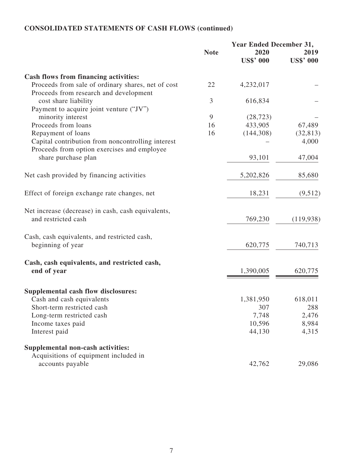# **CONSOLIDATED STATEMENTS OF CASH FLOWS (continued)**

|                                                                                              | <b>Year Ended December 31,</b> |                  |                  |
|----------------------------------------------------------------------------------------------|--------------------------------|------------------|------------------|
|                                                                                              | <b>Note</b>                    | 2020             | 2019             |
|                                                                                              |                                | <b>US\$' 000</b> | <b>US\$' 000</b> |
| Cash flows from financing activities:                                                        |                                |                  |                  |
| Proceeds from sale of ordinary shares, net of cost<br>Proceeds from research and development | 22                             | 4,232,017        |                  |
| cost share liability                                                                         | 3                              | 616,834          |                  |
| Payment to acquire joint venture ("JV")                                                      |                                |                  |                  |
| minority interest                                                                            | 9                              | (28, 723)        |                  |
| Proceeds from loans                                                                          | 16                             | 433,905          | 67,489           |
| Repayment of loans                                                                           | 16                             | (144,308)        | (32, 813)        |
| Capital contribution from noncontrolling interest                                            |                                |                  | 4,000            |
| Proceeds from option exercises and employee                                                  |                                |                  |                  |
| share purchase plan                                                                          |                                | 93,101           | 47,004           |
| Net cash provided by financing activities                                                    |                                | 5,202,826        | 85,680           |
| Effect of foreign exchange rate changes, net                                                 |                                | 18,231           | (9,512)          |
| Net increase (decrease) in cash, cash equivalents,<br>and restricted cash                    |                                | 769,230          | (119, 938)       |
| Cash, cash equivalents, and restricted cash,                                                 |                                |                  |                  |
| beginning of year                                                                            |                                | 620,775          | 740,713          |
| Cash, cash equivalents, and restricted cash,                                                 |                                |                  |                  |
| end of year                                                                                  |                                | 1,390,005        | 620,775          |
| Supplemental cash flow disclosures:                                                          |                                |                  |                  |
| Cash and cash equivalents                                                                    |                                | 1,381,950        | 618,011          |
| Short-term restricted cash                                                                   |                                | 307              | 288              |
| Long-term restricted cash                                                                    |                                | 7,748            | 2,476            |
| Income taxes paid                                                                            |                                | 10,596           | 8,984            |
| Interest paid                                                                                |                                | 44,130           | 4,315            |
| Supplemental non-cash activities:                                                            |                                |                  |                  |
| Acquisitions of equipment included in                                                        |                                |                  |                  |
| accounts payable                                                                             |                                | 42,762           | 29,086           |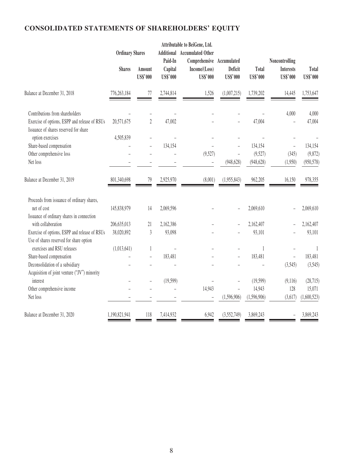# **CONSOLIDATED STATEMENTS OF SHAREHOLDERS' EQUITY**

|                                                                                        | <b>Ordinary Shares</b> |                           | Attributable to BeiGene, Ltd.<br><b>Additional</b> Accumulated Other |                                                               |                            |                          |                                                       |                          |
|----------------------------------------------------------------------------------------|------------------------|---------------------------|----------------------------------------------------------------------|---------------------------------------------------------------|----------------------------|--------------------------|-------------------------------------------------------|--------------------------|
|                                                                                        | <b>Shares</b>          | Amount<br><b>US\$'000</b> | Paid-In<br>Capital<br><b>US\$'000</b>                                | Comprehensive Accumulated<br>Income/(Loss)<br><b>US\$'000</b> | Deficit<br><b>US\$'000</b> | Total<br><b>US\$'000</b> | Noncontrolling<br><b>Interests</b><br><b>US\$'000</b> | Total<br><b>US\$'000</b> |
| Balance at December 31, 2018                                                           | 776,263,184            | 77                        | 2,744,814                                                            | 1,526                                                         | (1,007,215)                | 1,739,202                | 14,445                                                | 1,753,647                |
| Contributions from shareholders                                                        |                        |                           |                                                                      |                                                               |                            |                          | 4,000                                                 | 4,000                    |
| Exercise of options, ESPP and release of RSUs<br>Issuance of shares reserved for share | 20,571,675             | $\boldsymbol{2}$          | 47,002                                                               |                                                               |                            | 47,004                   |                                                       | 47,004                   |
| option exercises                                                                       | 4,505,839              |                           | $\overline{a}$                                                       |                                                               |                            |                          |                                                       |                          |
| Share-based compensation                                                               |                        | $\overline{\phantom{0}}$  | 134,154                                                              |                                                               | $\qquad \qquad -$          | 134,154                  | $\overline{a}$                                        | 134,154                  |
| Other comprehensive loss                                                               |                        |                           |                                                                      | (9,527)                                                       | $\bar{ }$                  | (9,527)                  | (345)                                                 | (9,872)                  |
| Net loss                                                                               |                        |                           |                                                                      |                                                               | (948, 628)                 | (948, 628)               | (1,950)                                               | (950, 578)               |
| Balance at December 31, 2019                                                           | 801,340,698            | 79                        | 2,925,970                                                            | (8,001)                                                       | (1,955,843)                | 962,205                  | 16,150                                                | 978,355                  |
| Proceeds from issuance of ordinary shares,                                             |                        |                           |                                                                      |                                                               |                            |                          |                                                       |                          |
| net of cost                                                                            | 145,838,979            | 14                        | 2,069,596                                                            |                                                               | $\overline{a}$             | 2,069,610                | $\overline{a}$                                        | 2,069,610                |
| Issuance of ordinary shares in connection                                              |                        |                           |                                                                      |                                                               |                            |                          |                                                       |                          |
| with collaboration                                                                     | 206,635,013            | 21                        | 2,162,386                                                            |                                                               |                            | 2,162,407                |                                                       | 2,162,407                |
| Exercise of options, ESPP and release of RSUs                                          | 38,020,892             | $\mathfrak{Z}$            | 93,098                                                               |                                                               |                            | 93,101                   |                                                       | 93,101                   |
| Use of shares reserved for share option                                                |                        |                           |                                                                      |                                                               |                            |                          |                                                       |                          |
| exercises and RSU releases                                                             | (1,013,641)            | 1                         |                                                                      |                                                               |                            | $\mathbf{1}$             | $\overline{a}$                                        | 1                        |
| Share-based compensation                                                               |                        | $\overline{a}$            | 183,481                                                              |                                                               |                            | 183,481                  | $\overline{a}$                                        | 183,481                  |
| Deconsolidation of a subsidiary                                                        |                        |                           |                                                                      |                                                               |                            |                          | (3,545)                                               | (3,545)                  |
| Acquisition of joint venture ("JV") minority                                           |                        |                           |                                                                      |                                                               |                            |                          |                                                       |                          |
| interest                                                                               |                        |                           | (19, 599)                                                            |                                                               |                            | (19, 599)                | (9,116)                                               | (28, 715)                |
| Other comprehensive income                                                             |                        |                           |                                                                      | 14,943                                                        |                            | 14,943                   | 128                                                   | 15,071                   |
| Net loss                                                                               |                        |                           |                                                                      |                                                               | (1,596,906)                | (1,596,906)              | (3,617)                                               | (1,600,523)              |
| Balance at December 31, 2020                                                           | 1,190,821,941          | 118                       | 7,414,932                                                            | 6,942                                                         | (3,552,749)                | 3,869,243                |                                                       | 3,869,243                |
|                                                                                        |                        |                           |                                                                      |                                                               |                            |                          |                                                       |                          |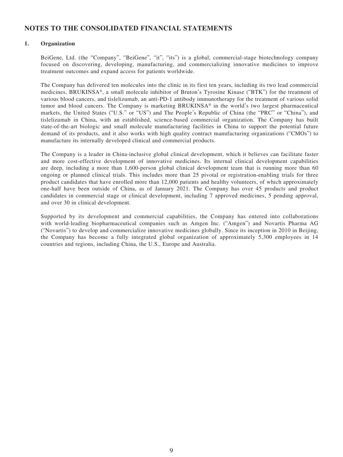# **NOTES TO THE CONSOLIDATED FINANCIAL STATEMENTS**

# **1. Organization**

BeiGene, Ltd. (the "Company", "BeiGene", "it", "its") is a global, commercial-stage biotechnology company focused on discovering, developing, manufacturing, and commercializing innovative medicines to improve treatment outcomes and expand access for patients worldwide.

The Company has delivered ten molecules into the clinic in its first ten years, including its two lead commercial medicines, BRUKINSA®, a small molecule inhibitor of Bruton's Tyrosine Kinase ("BTK") for the treatment of various blood cancers, and tislelizumab, an anti-PD-1 antibody immunotherapy for the treatment of various solid tumor and blood cancers. The Company is marketing BRUKINSA® in the world's two largest pharmaceutical markets, the United States ("U.S." or "US") and The People's Republic of China (the "PRC" or "China"), and tislelizumab in China, with an established, science-based commercial organization. The Company has built state-of-the-art biologic and small molecule manufacturing facilities in China to support the potential future demand of its products, and it also works with high quality contract manufacturing organizations ("CMOs") to manufacture its internally developed clinical and commercial products.

The Company is a leader in China-inclusive global clinical development, which it believes can facilitate faster and more cost-effective development of innovative medicines. Its internal clinical development capabilities are deep, including a more than 1,600-person global clinical development team that is running more than 60 ongoing or planned clinical trials. This includes more than 25 pivotal or registration-enabling trials for three product candidates that have enrolled more than 12,000 patients and healthy volunteers, of which approximately one-half have been outside of China, as of January 2021. The Company has over 45 products and product candidates in commercial stage or clinical development, including 7 approved medicines, 5 pending approval, and over 30 in clinical development.

Supported by its development and commercial capabilities, the Company has entered into collaborations with world-leading biopharmaceutical companies such as Amgen Inc. ("Amgen") and Novartis Pharma AG ("Novartis") to develop and commercialize innovative medicines globally. Since its inception in 2010 in Beijing, the Company has become a fully integrated global organization of approximately 5,300 employees in 14 countries and regions, including China, the U.S., Europe and Australia.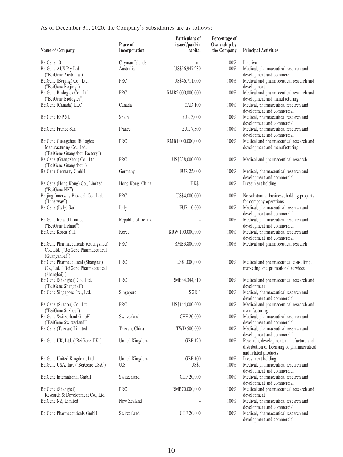As of December 31, 2020, the Company's subsidiaries are as follows:

| Name of Company                                                                            | Place of<br>Incorporation   | Particulars of<br>issued/paid-in<br>capital | Percentage of<br>Ownership by<br>the Company | <b>Principal Activities</b>                                                                                   |
|--------------------------------------------------------------------------------------------|-----------------------------|---------------------------------------------|----------------------------------------------|---------------------------------------------------------------------------------------------------------------|
| BeiGene 101<br>BeiGene AUS Pty Ltd.                                                        | Cayman Islands<br>Australia | nil<br>US\$56,947,230                       | 100%<br>100%                                 | Inactive<br>Medical, pharmaceutical research and                                                              |
| ("BeiGene Australia")<br>BeiGene (Beijing) Co., Ltd.                                       | PRC                         | US\$46,711,000                              | 100%                                         | development and commercial<br>Medical and pharmaceutical research and                                         |
| ("BeiGene Beijing")<br>BeiGene Biologics Co., Ltd.<br>("BeiGene Biologics")                | <b>PRC</b>                  | RMB2,000,000,000                            | 100%                                         | development<br>Medical and pharmaceutical research and<br>development and manufacturing                       |
| BeiGene (Canada) ULC                                                                       | Canada                      | <b>CAD 100</b>                              | 100%                                         | Medical, pharmaceutical research and<br>development and commercial                                            |
| BeiGene ESP SL                                                                             | Spain                       | EUR 3,000                                   | 100%                                         | Medical, pharmaceutical research and<br>development and commercial                                            |
| BeiGene France Sarl                                                                        | France                      | EUR 7,500                                   | 100%                                         | Medical, pharmaceutical research and<br>development and commercial                                            |
| BeiGene Guangzhou Biologics<br>Manufacturing Co., Ltd.                                     | <b>PRC</b>                  | RMB1,000,000,000                            | 100%                                         | Medical and pharmaceutical research and<br>development and manufacturing                                      |
| ("BeiGene Guangzhou Factory")<br>BeiGene (Guangzhou) Co., Ltd.<br>("BeiGene Guangzhou")    | PRC                         | US\$238,000,000                             | 100%                                         | Medical and pharmaceutical research                                                                           |
| BeiGene Germany GmbH                                                                       | Germany                     | EUR 25,000                                  | 100%                                         | Medical, pharmaceutical research and<br>development and commercial                                            |
| BeiGene (Hong Kong) Co., Limited.<br>("BeiGene HK")                                        | Hong Kong, China            | HK\$1                                       | 100%                                         | Investment holding                                                                                            |
| Beijing Innerway Bio-tech Co., Ltd.<br>("Innerway")                                        | <b>PRC</b>                  | US\$4,000,000                               | 100%                                         | No substantial business, holding property<br>for company operations                                           |
| BeiGene (Italy) Sarl                                                                       | Italy                       | EUR 10,000                                  | 100%                                         | Medical, pharmaceutical research and<br>development and commercial                                            |
| BeiGene Ireland Limited<br>("BeiGene Ireland")                                             | Republic of Ireland         |                                             | 100%                                         | Medical, pharmaceutical research and<br>development and commercial                                            |
| BeiGene Korea Y.H.                                                                         | Korea                       | KRW 100,000,000                             | $100\%$                                      | Medical, pharmaceutical research and<br>development and commercial                                            |
| BeiGene Pharmaceuticals (Guangzhou)<br>Co., Ltd. ("BeiGene Pharmaceutical<br>(Guangzhou)") | PRC                         | RMB3,800,000                                | 100%                                         | Medical and pharmaceutical research                                                                           |
| BeiGene Pharmaceutical (Shanghai)<br>Co., Ltd. ("BeiGene Pharmaceutical<br>(Shanghai)")    | PRC                         | US\$1,000,000                               | 100%                                         | Medical and pharmaceutical consulting,<br>marketing and promotional services                                  |
| BeiGene (Shanghai) Co., Ltd.<br>("BeiGene Shanghai")                                       | PRC                         | RMB34,344,310                               | 100%                                         | Medical and pharmaceutical research and<br>development                                                        |
| BeiGene Singapore Pte., Ltd.                                                               | Singapore                   | SGD 1                                       | $100\%$                                      | Medical, pharmaceutical research and<br>development and commercial                                            |
| BeiGene (Suzhou) Co., Ltd.<br>("BeiGene Suzhou")                                           | PRC                         | US\$144,000,000                             | 100%                                         | Medical and pharmaceutical research and<br>manufacturing                                                      |
| BeiGene Switzerland GmbH<br>("BeiGene Switzerland")                                        | Switzerland                 | CHF 20,000                                  | 100%                                         | Medical, pharmaceutical research and<br>development and commercial                                            |
| BeiGene (Taiwan) Limited                                                                   | Taiwan, China               | TWD 500,000                                 | 100%                                         | Medical, pharmaceutical research and<br>development and commercial                                            |
| BeiGene UK, Ltd. ("BeiGene UK")                                                            | United Kingdom              | <b>GBP 120</b>                              | 100%                                         | Research, development, manufacture and<br>distribution or licensing of pharmaceutical<br>and related products |
| BeiGene United Kingdom, Ltd.<br>BeiGene USA, Inc. ("BeiGene USA")                          | United Kingdom<br>U.S.      | <b>GBP 100</b><br><b>US\$1</b>              | 100%<br>100%                                 | Investment holding<br>Medical, pharmaceutical research and                                                    |
| BeiGene International GmbH                                                                 | Switzerland                 | CHF 20,000                                  | 100%                                         | development and commercial<br>Medical, pharmaceutical research and                                            |
| BeiGene (Shanghai)                                                                         | PRC                         | RMB70,000,000                               | 100%                                         | development and commercial<br>Medical and pharmaceutical research and                                         |
| Research & Development Co., Ltd.<br>BeiGene NZ, Limited                                    | New Zealand                 |                                             | 100%                                         | development<br>Medical, pharmaceutical research and                                                           |
| BeiGene Pharmaceuticals GmbH                                                               | Switzerland                 | CHF 20,000                                  | $100\%$                                      | development and commercial<br>Medical, pharmaceutical research and<br>development and commercial              |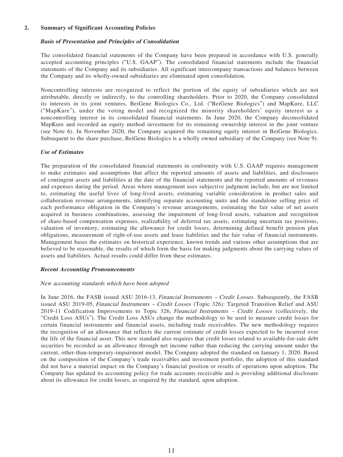### **2. Summary of Significant Accounting Policies**

## **Basis of Presentation and Principles of Consolidation**

The consolidated financial statements of the Company have been prepared in accordance with U.S. generally accepted accounting principles ("U.S. GAAP"). The consolidated financial statements include the financial statements of the Company and its subsidiaries. All significant intercompany transactions and balances between the Company and its wholly-owned subsidiaries are eliminated upon consolidation.

Noncontrolling interests are recognized to reflect the portion of the equity of subsidiaries which are not attributable, directly or indirectly, to the controlling shareholders. Prior to 2020, the Company consolidated its interests in its joint ventures, BeiGene Biologics Co., Ltd. ("BeiGene Biologics") and MapKure, LLC ("MapKure"), under the voting model and recognized the minority shareholders' equity interest as a noncontrolling interest in its consolidated financial statements. In June 2020, the Company deconsolidated MapKure and recorded an equity method investment for its remaining ownership interest in the joint venture (see Note 6). In November 2020, the Company acquired the remaining equity interest in BeiGene Biologics. Subsequent to the share purchase, BeiGene Biologics is a wholly owned subsidiary of the Company (see Note 9).

### **Use of Estimates**

The preparation of the consolidated financial statements in conformity with U.S. GAAP requires management to make estimates and assumptions that affect the reported amounts of assets and liabilities, and disclosures of contingent assets and liabilities at the date of the financial statements and the reported amounts of revenues and expenses during the period. Areas where management uses subjective judgment include, but are not limited to, estimating the useful lives of long-lived assets, estimating variable consideration in product sales and collaboration revenue arrangements, identifying separate accounting units and the standalone selling price of each performance obligation in the Company's revenue arrangements, estimating the fair value of net assets acquired in business combinations, assessing the impairment of long-lived assets, valuation and recognition of share-based compensation expenses, realizability of deferred tax assets, estimating uncertain tax positions, valuation of inventory, estimating the allowance for credit losses, determining defined benefit pension plan obligations, measurement of right-of-use assets and lease liabilities and the fair value of financial instruments. Management bases the estimates on historical experience, known trends and various other assumptions that are believed to be reasonable, the results of which form the basis for making judgments about the carrying values of assets and liabilities. Actual results could differ from these estimates.

#### **Recent Accounting Pronouncements**

#### New accounting standards which have been adopted

In June 2016, the FASB issued ASU 2016-13, *Financial Instruments – Credit Losses*. Subsequently, the FASB issued ASU 2019-05, Financial Instruments – Credit Losses (Topic 326): Targeted Transition Relief and ASU 2019-11 Codification Improvements to Topic 326, Financial Instruments – Credit Losses (collectively, the "Credit Loss ASUs"). The Credit Loss ASUs change the methodology to be used to measure credit losses for certain financial instruments and financial assets, including trade receivables. The new methodology requires the recognition of an allowance that reflects the current estimate of credit losses expected to be incurred over the life of the financial asset. This new standard also requires that credit losses related to available-for-sale debt securities be recorded as an allowance through net income rather than reducing the carrying amount under the current, other-than-temporary-impairment model. The Company adopted the standard on January 1, 2020. Based on the composition of the Company's trade receivables and investment portfolio, the adoption of this standard did not have a material impact on the Company's financial position or results of operations upon adoption. The Company has updated its accounting policy for trade accounts receivable and is providing additional disclosure about its allowance for credit losses, as required by the standard, upon adoption.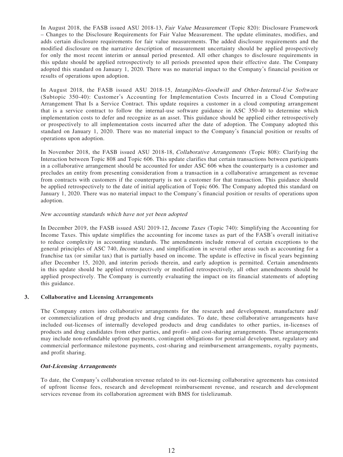In August 2018, the FASB issued ASU 2018-13, Fair Value Measurement (Topic 820): Disclosure Framework – Changes to the Disclosure Requirements for Fair Value Measurement. The update eliminates, modifies, and adds certain disclosure requirements for fair value measurements. The added disclosure requirements and the modified disclosure on the narrative description of measurement uncertainty should be applied prospectively for only the most recent interim or annual period presented. All other changes to disclosure requirements in this update should be applied retrospectively to all periods presented upon their effective date. The Company adopted this standard on January 1, 2020. There was no material impact to the Company's financial position or results of operations upon adoption.

In August 2018, the FASB issued ASU 2018-15, Intangibles-Goodwill and Other-Internal-Use Software (Subtopic 350-40): Customer's Accounting for Implementation Costs Incurred in a Cloud Computing Arrangement That Is a Service Contract. This update requires a customer in a cloud computing arrangement that is a service contract to follow the internal-use software guidance in ASC 350-40 to determine which implementation costs to defer and recognize as an asset. This guidance should be applied either retrospectively or prospectively to all implementation costs incurred after the date of adoption. The Company adopted this standard on January 1, 2020. There was no material impact to the Company's financial position or results of operations upon adoption.

In November 2018, the FASB issued ASU 2018-18, *Collaborative Arrangements* (Topic 808): Clarifying the Interaction between Topic 808 and Topic 606. This update clarifies that certain transactions between participants in a collaborative arrangement should be accounted for under ASC 606 when the counterparty is a customer and precludes an entity from presenting consideration from a transaction in a collaborative arrangement as revenue from contracts with customers if the counterparty is not a customer for that transaction. This guidance should be applied retrospectively to the date of initial application of Topic 606. The Company adopted this standard on January 1, 2020. There was no material impact to the Company's financial position or results of operations upon adoption.

### New accounting standards which have not yet been adopted

In December 2019, the FASB issued ASU 2019-12, Income Taxes (Topic 740): Simplifying the Accounting for Income Taxes. This update simplifies the accounting for income taxes as part of the FASB's overall initiative to reduce complexity in accounting standards. The amendments include removal of certain exceptions to the general principles of ASC 740, Income taxes, and simplification in several other areas such as accounting for a franchise tax (or similar tax) that is partially based on income. The update is effective in fiscal years beginning after December 15, 2020, and interim periods therein, and early adoption is permitted. Certain amendments in this update should be applied retrospectively or modified retrospectively, all other amendments should be applied prospectively. The Company is currently evaluating the impact on its financial statements of adopting this guidance.

#### **3. Collaborative and Licensing Arrangements**

The Company enters into collaborative arrangements for the research and development, manufacture and/ or commercialization of drug products and drug candidates. To date, these collaborative arrangements have included out-licenses of internally developed products and drug candidates to other parties, in-licenses of products and drug candidates from other parties, and profit– and cost-sharing arrangements. These arrangements may include non-refundable upfront payments, contingent obligations for potential development, regulatory and commercial performance milestone payments, cost-sharing and reimbursement arrangements, royalty payments, and profit sharing.

#### **Out-Licensing Arrangements**

To date, the Company's collaboration revenue related to its out-licensing collaborative agreements has consisted of upfront license fees, research and development reimbursement revenue, and research and development services revenue from its collaboration agreement with BMS for tislelizumab.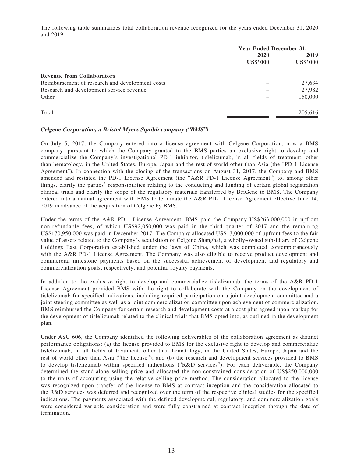The following table summarizes total collaboration revenue recognized for the years ended December 31, 2020 and 2019:

| <b>Year Ended December 31,</b> |                 |
|--------------------------------|-----------------|
| 2020                           |                 |
|                                | <b>US\$'000</b> |
|                                |                 |
|                                | 27,634          |
|                                | 27,982          |
|                                | 150,000         |
|                                | 205,616         |
|                                | <b>US\$'000</b> |

### **Celgene Corporation, a Bristol Myers Squibb company ("BMS")**

On July 5, 2017, the Company entered into a license agreement with Celgene Corporation, now a BMS company, pursuant to which the Company granted to the BMS parties an exclusive right to develop and commercialize the Company's investigational PD-1 inhibitor, tislelizumab, in all fields of treatment, other than hematology, in the United States, Europe, Japan and the rest of world other than Asia (the "PD-1 License Agreement"). In connection with the closing of the transactions on August 31, 2017, the Company and BMS amended and restated the PD-1 License Agreement (the "A&R PD-1 License Agreement") to, among other things, clarify the parties' responsibilities relating to the conducting and funding of certain global registration clinical trials and clarify the scope of the regulatory materials transferred by BeiGene to BMS. The Company entered into a mutual agreement with BMS to terminate the A&R PD-1 License Agreement effective June 14, 2019 in advance of the acquisition of Celgene by BMS.

Under the terms of the A&R PD-1 License Agreement, BMS paid the Company US\$263,000,000 in upfront non-refundable fees, of which US\$92,050,000 was paid in the third quarter of 2017 and the remaining US\$170,950,000 was paid in December 2017. The Company allocated US\$13,000,000 of upfront fees to the fair value of assets related to the Company's acquisition of Celgene Shanghai, a wholly-owned subsidiary of Celgene Holdings East Corporation established under the laws of China, which was completed contemporaneously with the A&R PD-1 License Agreement. The Company was also eligible to receive product development and commercial milestone payments based on the successful achievement of development and regulatory and commercialization goals, respectively, and potential royalty payments.

In addition to the exclusive right to develop and commercialize tislelizumab, the terms of the A&R PD-1 License Agreement provided BMS with the right to collaborate with the Company on the development of tislelizumab for specified indications, including required participation on a joint development committee and a joint steering committee as well as a joint commercialization committee upon achievement of commercialization. BMS reimbursed the Company for certain research and development costs at a cost plus agreed upon markup for the development of tislelizumab related to the clinical trials that BMS opted into, as outlined in the development plan.

Under ASC 606, the Company identified the following deliverables of the collaboration agreement as distinct performance obligations: (a) the license provided to BMS for the exclusive right to develop and commercialize tislelizumab, in all fields of treatment, other than hematology, in the United States, Europe, Japan and the rest of world other than Asia ("the license"); and (b) the research and development services provided to BMS to develop tislelizumab within specified indications ("R&D services"). For each deliverable, the Company determined the stand-alone selling price and allocated the non-constrained consideration of US\$250,000,000 to the units of accounting using the relative selling price method. The consideration allocated to the license was recognized upon transfer of the license to BMS at contract inception and the consideration allocated to the R&D services was deferred and recognized over the term of the respective clinical studies for the specified indications. The payments associated with the defined developmental, regulatory, and commercialization goals were considered variable consideration and were fully constrained at contract inception through the date of termination.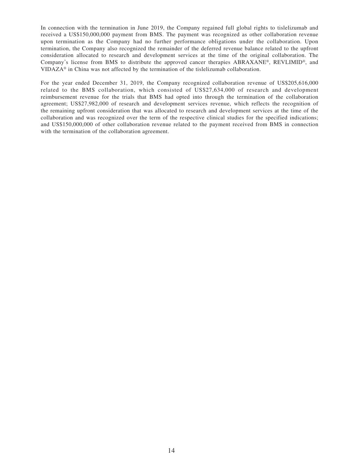In connection with the termination in June 2019, the Company regained full global rights to tislelizumab and received a US\$150,000,000 payment from BMS. The payment was recognized as other collaboration revenue upon termination as the Company had no further performance obligations under the collaboration. Upon termination, the Company also recognized the remainder of the deferred revenue balance related to the upfront consideration allocated to research and development services at the time of the original collaboration. The Company's license from BMS to distribute the approved cancer therapies ABRAXANE®, REVLIMID®, and VIDAZA® in China was not affected by the termination of the tislelizumab collaboration.

For the year ended December 31, 2019, the Company recognized collaboration revenue of US\$205,616,000 related to the BMS collaboration, which consisted of US\$27,634,000 of research and development reimbursement revenue for the trials that BMS had opted into through the termination of the collaboration agreement; US\$27,982,000 of research and development services revenue, which reflects the recognition of the remaining upfront consideration that was allocated to research and development services at the time of the collaboration and was recognized over the term of the respective clinical studies for the specified indications; and US\$150,000,000 of other collaboration revenue related to the payment received from BMS in connection with the termination of the collaboration agreement.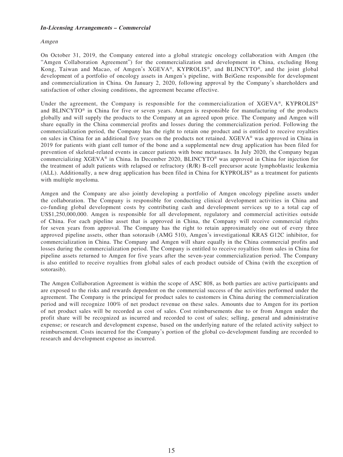### **In-Licensing Arrangements – Commercial**

#### Amgen

On October 31, 2019, the Company entered into a global strategic oncology collaboration with Amgen (the "Amgen Collaboration Agreement") for the commercialization and development in China, excluding Hong Kong, Taiwan and Macao, of Amgen's XGEVA®, KYPROLIS®, and BLINCYTO®, and the joint global development of a portfolio of oncology assets in Amgen's pipeline, with BeiGene responsible for development and commercialization in China. On January 2, 2020, following approval by the Company's shareholders and satisfaction of other closing conditions, the agreement became effective.

Under the agreement, the Company is responsible for the commercialization of XGEVA®, KYPROLIS® and BLINCYTO® in China for five or seven years. Amgen is responsible for manufacturing of the products globally and will supply the products to the Company at an agreed upon price. The Company and Amgen will share equally in the China commercial profits and losses during the commercialization period. Following the commercialization period, the Company has the right to retain one product and is entitled to receive royalties on sales in China for an additional five years on the products not retained. XGEVA® was approved in China in 2019 for patients with giant cell tumor of the bone and a supplemental new drug application has been filed for prevention of skeletal-related events in cancer patients with bone metastases. In July 2020, the Company began commercializing XGEVA® in China. In December 2020, BLINCYTO® was approved in China for injection for the treatment of adult patients with relapsed or refractory (R/R) B-cell precursor acute lymphoblastic leukemia (ALL). Additionally, a new drug application has been filed in China for KYPROLIS® as a treatment for patients with multiple myeloma.

Amgen and the Company are also jointly developing a portfolio of Amgen oncology pipeline assets under the collaboration. The Company is responsible for conducting clinical development activities in China and co-funding global development costs by contributing cash and development services up to a total cap of US\$1,250,000,000. Amgen is responsible for all development, regulatory and commercial activities outside of China. For each pipeline asset that is approved in China, the Company will receive commercial rights for seven years from approval. The Company has the right to retain approximately one out of every three approved pipeline assets, other than sotorasib (AMG 510), Amgen's investigational KRAS G12C inhibitor, for commercialization in China. The Company and Amgen will share equally in the China commercial profits and losses during the commercialization period. The Company is entitled to receive royalties from sales in China for pipeline assets returned to Amgen for five years after the seven-year commercialization period. The Company is also entitled to receive royalties from global sales of each product outside of China (with the exception of sotorasib).

The Amgen Collaboration Agreement is within the scope of ASC 808, as both parties are active participants and are exposed to the risks and rewards dependent on the commercial success of the activities performed under the agreement. The Company is the principal for product sales to customers in China during the commercialization period and will recognize 100% of net product revenue on these sales. Amounts due to Amgen for its portion of net product sales will be recorded as cost of sales. Cost reimbursements due to or from Amgen under the profit share will be recognized as incurred and recorded to cost of sales; selling, general and administrative expense; or research and development expense, based on the underlying nature of the related activity subject to reimbursement. Costs incurred for the Company's portion of the global co-development funding are recorded to research and development expense as incurred.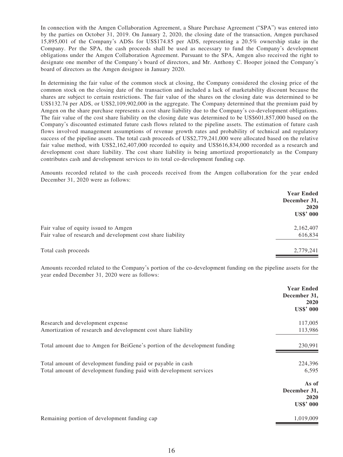In connection with the Amgen Collaboration Agreement, a Share Purchase Agreement ("SPA") was entered into by the parties on October 31, 2019. On January 2, 2020, the closing date of the transaction, Amgen purchased 15,895,001 of the Company's ADSs for US\$174.85 per ADS, representing a 20.5% ownership stake in the Company. Per the SPA, the cash proceeds shall be used as necessary to fund the Company's development obligations under the Amgen Collaboration Agreement. Pursuant to the SPA, Amgen also received the right to designate one member of the Company's board of directors, and Mr. Anthony C. Hooper joined the Company's board of directors as the Amgen designee in January 2020.

In determining the fair value of the common stock at closing, the Company considered the closing price of the common stock on the closing date of the transaction and included a lack of marketability discount because the shares are subject to certain restrictions. The fair value of the shares on the closing date was determined to be US\$132.74 per ADS, or US\$2,109,902,000 in the aggregate. The Company determined that the premium paid by Amgen on the share purchase represents a cost share liability due to the Company's co-development obligations. The fair value of the cost share liability on the closing date was determined to be US\$601,857,000 based on the Company's discounted estimated future cash flows related to the pipeline assets. The estimation of future cash flows involved management assumptions of revenue growth rates and probability of technical and regulatory success of the pipeline assets. The total cash proceeds of US\$2,779,241,000 were allocated based on the relative fair value method, with US\$2,162,407,000 recorded to equity and US\$616,834,000 recorded as a research and development cost share liability. The cost share liability is being amortized proportionately as the Company contributes cash and development services to its total co-development funding cap.

Amounts recorded related to the cash proceeds received from the Amgen collaboration for the year ended December 31, 2020 were as follows:

|                                                             | <b>Year Ended</b><br>December 31,<br>2020<br><b>US\$' 000</b> |
|-------------------------------------------------------------|---------------------------------------------------------------|
| Fair value of equity issued to Amgen                        | 2,162,407                                                     |
| Fair value of research and development cost share liability | 616,834                                                       |
| Total cash proceeds                                         | 2,779,241                                                     |

Amounts recorded related to the Company's portion of the co-development funding on the pipeline assets for the year ended December 31, 2020 were as follows:

|                                                                            | <b>Year Ended</b><br>December 31,<br>2020<br><b>US\$' 000</b> |
|----------------------------------------------------------------------------|---------------------------------------------------------------|
| Research and development expense                                           | 117,005                                                       |
| Amortization of research and development cost share liability              | 113,986                                                       |
| Total amount due to Amgen for BeiGene's portion of the development funding | 230,991                                                       |
| Total amount of development funding paid or payable in cash                | 224,396                                                       |
| Total amount of development funding paid with development services         | 6,595                                                         |
|                                                                            | As of                                                         |
|                                                                            | December 31,                                                  |
|                                                                            | 2020                                                          |
|                                                                            | <b>US\$' 000</b>                                              |
| Remaining portion of development funding cap                               | 1,019,009                                                     |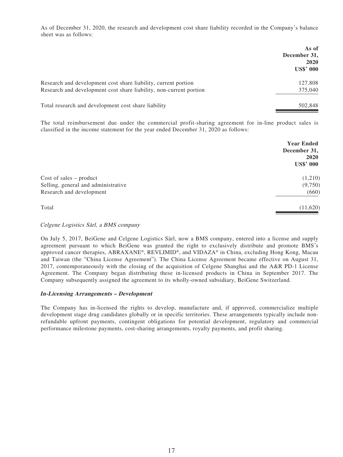As of December 31, 2020, the research and development cost share liability recorded in the Company's balance sheet was as follows:

|                                                                    | As of<br>December 31,<br>2020<br><b>US\$' 000</b> |
|--------------------------------------------------------------------|---------------------------------------------------|
| Research and development cost share liability, current portion     | 127,808                                           |
| Research and development cost share liability, non-current portion | 375,040                                           |
| Total research and development cost share liability                | 502,848                                           |

The total reimbursement due under the commercial profit-sharing agreement for in-line product sales is classified in the income statement for the year ended December 31, 2020 as follows:

|                                     | <b>Year Ended</b><br>December 31,<br>2020<br><b>US\$' 000</b> |
|-------------------------------------|---------------------------------------------------------------|
| $Cost of sales - product$           | (1,210)                                                       |
| Selling, general and administrative | (9,750)                                                       |
| Research and development            | (660)                                                         |
| Total                               | (11,620)                                                      |

# Celgene Logistics Sàrl, a BMS company

On July 5, 2017, BeiGene and Celgene Logistics Sàrl, now a BMS company, entered into a license and supply agreement pursuant to which BeiGene was granted the right to exclusively distribute and promote BMS's approved cancer therapies, ABRAXANE®, REVLIMID®, and VIDAZA® in China, excluding Hong Kong, Macau and Taiwan (the "China License Agreement"). The China License Agreement became effective on August 31, 2017, contemporaneously with the closing of the acquisition of Celgene Shanghai and the A&R PD-1 License Agreement. The Company began distributing these in-licensed products in China in September 2017. The Company subsequently assigned the agreement to its wholly-owned subsidiary, BeiGene Switzerland.

# **In-Licensing Arrangements – Development**

The Company has in-licensed the rights to develop, manufacture and, if approved, commercialize multiple development stage drug candidates globally or in specific territories. These arrangements typically include nonrefundable upfront payments, contingent obligations for potential development, regulatory and commercial performance milestone payments, cost-sharing arrangements, royalty payments, and profit sharing.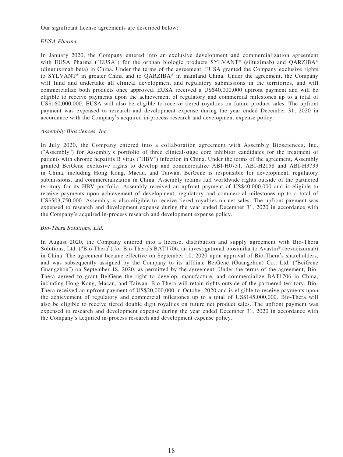Our significant license agreements are described below:

#### EUSA Pharma

In January 2020, the Company entered into an exclusive development and commercialization agreement with EUSA Pharma ("EUSA") for the orphan biologic products SYLVANT<sup>®</sup> (siltuximab) and QARZIBA<sup>®</sup> (dinutuximab beta) in China. Under the terms of the agreement, EUSA granted the Company exclusive rights to SYLVANT® in greater China and to QARZIBA® in mainland China. Under the agreement, the Company will fund and undertake all clinical development and regulatory submissions in the territories, and will commercialize both products once approved. EUSA received a US\$40,000,000 upfront payment and will be eligible to receive payments upon the achievement of regulatory and commercial milestones up to a total of US\$160,000,000. EUSA will also be eligible to receive tiered royalties on future product sales. The upfront payment was expensed to research and development expense during the year ended December 31, 2020 in accordance with the Company's acquired in-process research and development expense policy.

#### Assembly Biosciences, Inc.

In July 2020, the Company entered into a collaboration agreement with Assembly Biosciences, Inc. ("Assembly") for Assembly's portfolio of three clinical-stage core inhibitor candidates for the treatment of patients with chronic hepatitis B virus ("HBV") infection in China. Under the terms of the agreement, Assembly granted BeiGene exclusive rights to develop and commercialize ABI-H0731, ABI-H2158 and ABI-H3733 in China, including Hong Kong, Macau, and Taiwan. BeiGene is responsible for development, regulatory submissions, and commercialization in China. Assembly retains full worldwide rights outside of the partnered territory for its HBV portfolio. Assembly received an upfront payment of US\$40,000,000 and is eligible to receive payments upon achievement of development, regulatory and commercial milestones up to a total of US\$503,750,000. Assembly is also eligible to receive tiered royalties on net sales. The upfront payment was expensed to research and development expense during the year ended December 31, 2020 in accordance with the Company's acquired in-process research and development expense policy.

# Bio-Thera Solutions, Ltd.

In August 2020, the Company entered into a license, distribution and supply agreement with Bio-Thera Solutions, Ltd. ("Bio-Thera") for Bio-Thera's BAT1706, an investigational biosimilar to Avastin® (bevacizumab) in China. The agreement became effective on September 10, 2020 upon approval of Bio-Thera's shareholders, and was subsequently assigned by the Company to its affiliate BeiGene (Guangzhou) Co., Ltd. ("BeiGene Guangzhou") on September 18, 2020, as permitted by the agreement. Under the terms of the agreement, Bio-Thera agreed to grant BeiGene the right to develop, manufacture, and commercialize BAT1706 in China, including Hong Kong, Macau, and Taiwan. Bio-Thera will retain rights outside of the partnered territory. Bio-Thera received an upfront payment of US\$20,000,000 in October 2020 and is eligible to receive payments upon the achievement of regulatory and commercial milestones up to a total of US\$145,000,000. Bio-Thera will also be eligible to receive tiered double digit royalties on future net product sales. The upfront payment was expensed to research and development expense during the year ended December 31, 2020 in accordance with the Company's acquired in-process research and development expense policy.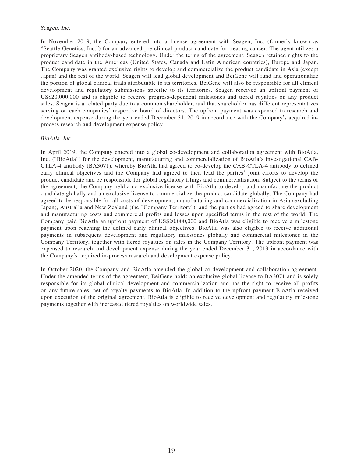#### Seagen, Inc.

In November 2019, the Company entered into a license agreement with Seagen, Inc. (formerly known as "Seattle Genetics, Inc.") for an advanced pre-clinical product candidate for treating cancer. The agent utilizes a proprietary Seagen antibody-based technology. Under the terms of the agreement, Seagen retained rights to the product candidate in the Americas (United States, Canada and Latin American countries), Europe and Japan. The Company was granted exclusive rights to develop and commercialize the product candidate in Asia (except Japan) and the rest of the world. Seagen will lead global development and BeiGene will fund and operationalize the portion of global clinical trials attributable to its territories. BeiGene will also be responsible for all clinical development and regulatory submissions specific to its territories. Seagen received an upfront payment of US\$20,000,000 and is eligible to receive progress-dependent milestones and tiered royalties on any product sales. Seagen is a related party due to a common shareholder, and that shareholder has different representatives serving on each companies' respective board of directors. The upfront payment was expensed to research and development expense during the year ended December 31, 2019 in accordance with the Company's acquired inprocess research and development expense policy.

# BioAtla, Inc.

In April 2019, the Company entered into a global co-development and collaboration agreement with BioAtla, Inc. ("BioAtla") for the development, manufacturing and commercialization of BioAtla's investigational CAB-CTLA-4 antibody (BA3071), whereby BioAtla had agreed to co-develop the CAB-CTLA-4 antibody to defined early clinical objectives and the Company had agreed to then lead the parties' joint efforts to develop the product candidate and be responsible for global regulatory filings and commercialization. Subject to the terms of the agreement, the Company held a co-exclusive license with BioAtla to develop and manufacture the product candidate globally and an exclusive license to commercialize the product candidate globally. The Company had agreed to be responsible for all costs of development, manufacturing and commercialization in Asia (excluding Japan), Australia and New Zealand (the "Company Territory"), and the parties had agreed to share development and manufacturing costs and commercial profits and losses upon specified terms in the rest of the world. The Company paid BioAtla an upfront payment of US\$20,000,000 and BioAtla was eligible to receive a milestone payment upon reaching the defined early clinical objectives. BioAtla was also eligible to receive additional payments in subsequent development and regulatory milestones globally and commercial milestones in the Company Territory, together with tiered royalties on sales in the Company Territory. The upfront payment was expensed to research and development expense during the year ended December 31, 2019 in accordance with the Company's acquired in-process research and development expense policy.

In October 2020, the Company and BioAtla amended the global co-development and collaboration agreement. Under the amended terms of the agreement, BeiGene holds an exclusive global license to BA3071 and is solely responsible for its global clinical development and commercialization and has the right to receive all profits on any future sales, net of royalty payments to BioAtla. In addition to the upfront payment BioAtla received upon execution of the original agreement, BioAtla is eligible to receive development and regulatory milestone payments together with increased tiered royalties on worldwide sales.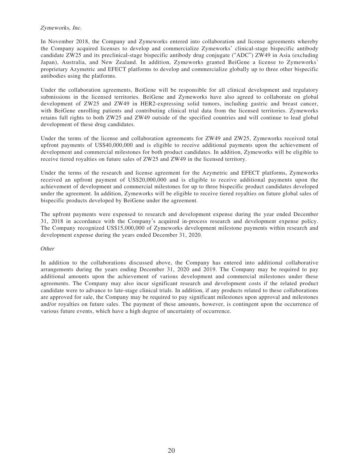# Zymeworks, Inc.

In November 2018, the Company and Zymeworks entered into collaboration and license agreements whereby the Company acquired licenses to develop and commercialize Zymeworks' clinical-stage bispecific antibody candidate ZW25 and its preclinical-stage bispecific antibody drug conjugate ("ADC") ZW49 in Asia (excluding Japan), Australia, and New Zealand. In addition, Zymeworks granted BeiGene a license to Zymeworks' proprietary Azymetric and EFECT platforms to develop and commercialize globally up to three other bispecific antibodies using the platforms.

Under the collaboration agreements, BeiGene will be responsible for all clinical development and regulatory submissions in the licensed territories. BeiGene and Zymeworks have also agreed to collaborate on global development of ZW25 and ZW49 in HER2-expressing solid tumors, including gastric and breast cancer, with BeiGene enrolling patients and contributing clinical trial data from the licensed territories. Zymeworks retains full rights to both ZW25 and ZW49 outside of the specified countries and will continue to lead global development of these drug candidates.

Under the terms of the license and collaboration agreements for ZW49 and ZW25, Zymeworks received total upfront payments of US\$40,000,000 and is eligible to receive additional payments upon the achievement of development and commercial milestones for both product candidates. In addition, Zymeworks will be eligible to receive tiered royalties on future sales of ZW25 and ZW49 in the licensed territory.

Under the terms of the research and license agreement for the Azymetric and EFECT platforms, Zymeworks received an upfront payment of US\$20,000,000 and is eligible to receive additional payments upon the achievement of development and commercial milestones for up to three bispecific product candidates developed under the agreement. In addition, Zymeworks will be eligible to receive tiered royalties on future global sales of bispecific products developed by BeiGene under the agreement.

The upfront payments were expensed to research and development expense during the year ended December 31, 2018 in accordance with the Company's acquired in-process research and development expense policy. The Company recognized US\$15,000,000 of Zymeworks development milestone payments within research and development expense during the years ended December 31, 2020.

# **Other**

In addition to the collaborations discussed above, the Company has entered into additional collaborative arrangements during the years ending December 31, 2020 and 2019. The Company may be required to pay additional amounts upon the achievement of various development and commercial milestones under these agreements. The Company may also incur significant research and development costs if the related product candidate were to advance to late-stage clinical trials. In addition, if any products related to these collaborations are approved for sale, the Company may be required to pay significant milestones upon approval and milestones and/or royalties on future sales. The payment of these amounts, however, is contingent upon the occurrence of various future events, which have a high degree of uncertainty of occurrence.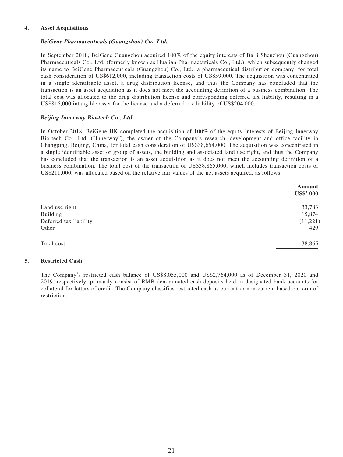# **4. Asset Acquisitions**

## **BeiGene Pharmaceuticals (Guangzhou) Co., Ltd.**

In September 2018, BeiGene Guangzhou acquired 100% of the equity interests of Baiji Shenzhou (Guangzhou) Pharmaceuticals Co., Ltd. (formerly known as Huajian Pharmaceuticals Co., Ltd.), which subsequently changed its name to BeiGene Pharmaceuticals (Guangzhou) Co., Ltd., a pharmaceutical distribution company, for total cash consideration of US\$612,000, including transaction costs of US\$59,000. The acquisition was concentrated in a single identifiable asset, a drug distribution license, and thus the Company has concluded that the transaction is an asset acquisition as it does not meet the accounting definition of a business combination. The total cost was allocated to the drug distribution license and corresponding deferred tax liability, resulting in a US\$816,000 intangible asset for the license and a deferred tax liability of US\$204,000.

### **Beijing Innerway Bio-tech Co., Ltd.**

In October 2018, BeiGene HK completed the acquisition of 100% of the equity interests of Beijing Innerway Bio-tech Co., Ltd. ("Innerway"), the owner of the Company's research, development and office facility in Changping, Beijing, China, for total cash consideration of US\$38,654,000. The acquisition was concentrated in a single identifiable asset or group of assets, the building and associated land use right, and thus the Company has concluded that the transaction is an asset acquisition as it does not meet the accounting definition of a business combination. The total cost of the transaction of US\$38,865,000, which includes transaction costs of US\$211,000, was allocated based on the relative fair values of the net assets acquired, as follows:

| Amount<br><b>US\$' 000</b> |
|----------------------------|
|                            |
| 33,783                     |
| 15,874                     |
| (11,221)                   |
| 429                        |
| 38,865                     |
|                            |

#### **5. Restricted Cash**

The Company's restricted cash balance of US\$8,055,000 and US\$2,764,000 as of December 31, 2020 and 2019, respectively, primarily consist of RMB-denominated cash deposits held in designated bank accounts for collateral for letters of credit. The Company classifies restricted cash as current or non-current based on term of restriction.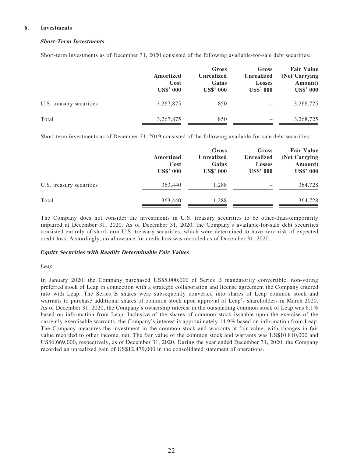#### **6. Investments**

# **Short-Term Investments**

Short-term investments as of December 31, 2020 consisted of the following available-for-sale debt securities:

|                          | Amortized<br>Cost<br><b>US\$' 000</b> | Gross<br><b>Unrealized</b><br>Gains<br><b>US\$' 000</b> | Gross<br>Unrealized<br><b>Losses</b><br><b>US\$' 000</b> | <b>Fair Value</b><br>(Net Carrying<br>Amount)<br><b>US\$' 000</b> |
|--------------------------|---------------------------------------|---------------------------------------------------------|----------------------------------------------------------|-------------------------------------------------------------------|
| U.S. treasury securities | 3,267,875                             | 850                                                     |                                                          | 3,268,725                                                         |
| Total                    | 3,267,875                             | 850                                                     |                                                          | 3,268,725                                                         |

Short-term investments as of December 31, 2019 consisted of the following available-for-sale debt securities:

|                          | Amortized<br>Cost<br><b>US\$' 000</b> | Gross<br><b>Unrealized</b><br>Gains<br><b>US\$' 000</b> | Gross<br>Unrealized<br><b>Losses</b><br><b>US\$' 000</b> | <b>Fair Value</b><br>(Net Carrying<br>Amount)<br><b>US\$' 000</b> |
|--------------------------|---------------------------------------|---------------------------------------------------------|----------------------------------------------------------|-------------------------------------------------------------------|
| U.S. treasury securities | 363,440                               | 1.288                                                   |                                                          | 364,728                                                           |
| Total                    | 363,440                               | 1,288                                                   |                                                          | 364,728                                                           |

The Company does not consider the investments in U.S. treasury securities to be other-than-temporarily impaired at December 31, 2020. As of December 31, 2020, the Company's available-for-sale debt securities consisted entirely of short-term U.S. treasury securities, which were determined to have zero risk of expected credit loss. Accordingly, no allowance for credit loss was recorded as of December 31, 2020.

# **Equity Securities with Readily Determinable Fair Values**

#### Leap

In January 2020, the Company purchased US\$5,000,000 of Series B mandatorily convertible, non-voting preferred stock of Leap in connection with a strategic collaboration and license agreement the Company entered into with Leap. The Series B shares were subsequently converted into shares of Leap common stock and warrants to purchase additional shares of common stock upon approval of Leap's shareholders in March 2020. As of December 31, 2020, the Company's ownership interest in the outstanding common stock of Leap was 8.1% based on information from Leap. Inclusive of the shares of common stock issuable upon the exercise of the currently exercisable warrants, the Company's interest is approximately 14.9% based on information from Leap. The Company measures the investment in the common stock and warrants at fair value, with changes in fair value recorded to other income, net. The fair value of the common stock and warrants was US\$10,810,000 and US\$6,669,000, respectively, as of December 31, 2020. During the year ended December 31, 2020, the Company recorded an unrealized gain of US\$12,479,000 in the consolidated statement of operations.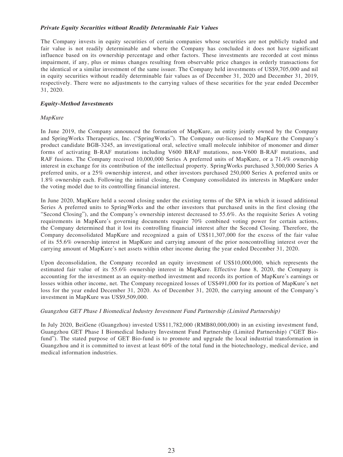# **Private Equity Securities without Readily Determinable Fair Values**

The Company invests in equity securities of certain companies whose securities are not publicly traded and fair value is not readily determinable and where the Company has concluded it does not have significant influence based on its ownership percentage and other factors. These investments are recorded at cost minus impairment, if any, plus or minus changes resulting from observable price changes in orderly transactions for the identical or a similar investment of the same issuer. The Company held investments of US\$9,705,000 and nil in equity securities without readily determinable fair values as of December 31, 2020 and December 31, 2019, respectively. There were no adjustments to the carrying values of these securities for the year ended December 31, 2020.

# **Equity-Method Investments**

# MapKure

In June 2019, the Company announced the formation of MapKure, an entity jointly owned by the Company and SpringWorks Therapeutics, Inc. ("SpringWorks"). The Company out-licensed to MapKure the Company's product candidate BGB-3245, an investigational oral, selective small molecule inhibitor of monomer and dimer forms of activating B-RAF mutations including V600 BRAF mutations, non-V600 B-RAF mutations, and RAF fusions. The Company received 10,000,000 Series A preferred units of MapKure, or a 71.4% ownership interest in exchange for its contribution of the intellectual property. SpringWorks purchased 3,500,000 Series A preferred units, or a 25% ownership interest, and other investors purchased 250,000 Series A preferred units or 1.8% ownership each. Following the initial closing, the Company consolidated its interests in MapKure under the voting model due to its controlling financial interest.

In June 2020, MapKure held a second closing under the existing terms of the SPA in which it issued additional Series A preferred units to SpringWorks and the other investors that purchased units in the first closing (the "Second Closing"), and the Company's ownership interest decreased to 55.6%. As the requisite Series A voting requirements in MapKure's governing documents require 70% combined voting power for certain actions, the Company determined that it lost its controlling financial interest after the Second Closing. Therefore, the Company deconsolidated MapKure and recognized a gain of US\$11,307,000 for the excess of the fair value of its 55.6% ownership interest in MapKure and carrying amount of the prior noncontrolling interest over the carrying amount of MapKure's net assets within other income during the year ended December 31, 2020.

Upon deconsolidation, the Company recorded an equity investment of US\$10,000,000, which represents the estimated fair value of its 55.6% ownership interest in MapKure. Effective June 8, 2020, the Company is accounting for the investment as an equity-method investment and records its portion of MapKure's earnings or losses within other income, net. The Company recognized losses of US\$491,000 for its portion of MapKure's net loss for the year ended December 31, 2020. As of December 31, 2020, the carrying amount of the Company's investment in MapKure was US\$9,509,000.

# Guangzhou GET Phase I Biomedical Industry Investment Fund Partnership (Limited Partnership)

In July 2020, BeiGene (Guangzhou) invested US\$11,782,000 (RMB80,000,000) in an existing investment fund, Guangzhou GET Phase I Biomedical Industry Investment Fund Partnership (Limited Partnership) ("GET Biofund"). The stated purpose of GET Bio-fund is to promote and upgrade the local industrial transformation in Guangzhou and it is committed to invest at least 60% of the total fund in the biotechnology, medical device, and medical information industries.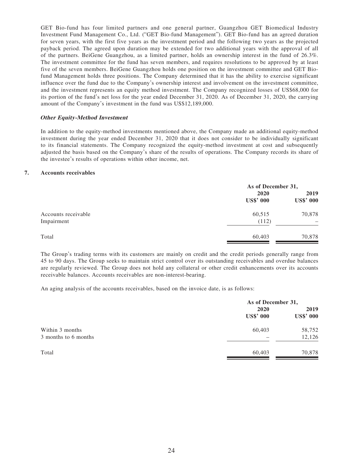GET Bio-fund has four limited partners and one general partner, Guangzhou GET Biomedical Industry Investment Fund Management Co., Ltd. ("GET Bio-fund Management"). GET Bio-fund has an agreed duration for seven years, with the first five years as the investment period and the following two years as the projected payback period. The agreed upon duration may be extended for two additional years with the approval of all of the partners. BeiGene Guangzhou, as a limited partner, holds an ownership interest in the fund of 26.3%. The investment committee for the fund has seven members, and requires resolutions to be approved by at least five of the seven members. BeiGene Guangzhou holds one position on the investment committee and GET Biofund Management holds three positions. The Company determined that it has the ability to exercise significant influence over the fund due to the Company's ownership interest and involvement on the investment committee, and the investment represents an equity method investment. The Company recognized losses of US\$68,000 for its portion of the fund's net loss for the year ended December 31, 2020. As of December 31, 2020, the carrying amount of the Company's investment in the fund was US\$12,189,000.

### **Other Equity-Method Investment**

In addition to the equity-method investments mentioned above, the Company made an additional equity-method investment during the year ended December 31, 2020 that it does not consider to be individually significant to its financial statements. The Company recognized the equity-method investment at cost and subsequently adjusted the basis based on the Company's share of the results of operations. The Company records its share of the investee's results of operations within other income, net.

#### **7. Accounts receivables**

|                                   | As of December 31,       |                          |
|-----------------------------------|--------------------------|--------------------------|
|                                   | 2020<br><b>US\$' 000</b> | 2019<br><b>US\$' 000</b> |
| Accounts receivable<br>Impairment | 60,515<br>(112)          | 70,878                   |
| Total                             | 60,403                   | 70,878                   |

The Group's trading terms with its customers are mainly on credit and the credit periods generally range from 45 to 90 days. The Group seeks to maintain strict control over its outstanding receivables and overdue balances are regularly reviewed. The Group does not hold any collateral or other credit enhancements over its accounts receivable balances. Accounts receivables are non-interest-bearing.

An aging analysis of the accounts receivables, based on the invoice date, is as follows:

|                                         | As of December 31,       |                          |
|-----------------------------------------|--------------------------|--------------------------|
|                                         | 2020<br><b>US\$' 000</b> | 2019<br><b>US\$' 000</b> |
| Within 3 months<br>3 months to 6 months | 60,403                   | 58,752<br>12,126         |
| Total                                   | 60,403                   | 70,878                   |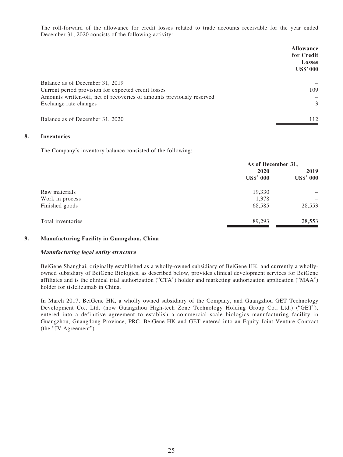The roll-forward of the allowance for credit losses related to trade accounts receivable for the year ended December 31, 2020 consists of the following activity:

|                                                                                                | <b>Allowance</b><br>for Credit<br><b>Losses</b><br><b>US\$'000</b> |
|------------------------------------------------------------------------------------------------|--------------------------------------------------------------------|
| Balance as of December 31, 2019<br>Current period provision for expected credit losses         | 109                                                                |
| Amounts written-off, net of recoveries of amounts previously reserved<br>Exchange rate changes | 3                                                                  |
| Balance as of December 31, 2020                                                                | 112                                                                |

# **8. Inventories**

The Company's inventory balance consisted of the following:

|                   | As of December 31,       |                          |
|-------------------|--------------------------|--------------------------|
|                   | 2020<br><b>US\$' 000</b> | 2019<br><b>US\$' 000</b> |
| Raw materials     | 19,330                   |                          |
| Work in process   | 1,378                    |                          |
| Finished goods    | 68,585                   | 28,553                   |
| Total inventories | 89,293                   | 28,553                   |

# **9. Manufacturing Facility in Guangzhou, China**

#### **Manufacturing legal entity structure**

BeiGene Shanghai, originally established as a wholly-owned subsidiary of BeiGene HK, and currently a whollyowned subsidiary of BeiGene Biologics, as described below, provides clinical development services for BeiGene affiliates and is the clinical trial authorization ("CTA") holder and marketing authorization application ("MAA") holder for tislelizumab in China.

In March 2017, BeiGene HK, a wholly owned subsidiary of the Company, and Guangzhou GET Technology Development Co., Ltd. (now Guangzhou High-tech Zone Technology Holding Group Co., Ltd.) ("GET"), entered into a definitive agreement to establish a commercial scale biologics manufacturing facility in Guangzhou, Guangdong Province, PRC. BeiGene HK and GET entered into an Equity Joint Venture Contract (the "JV Agreement").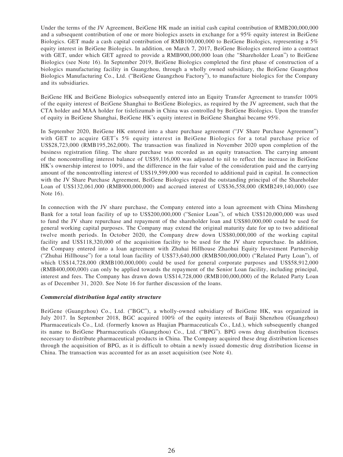Under the terms of the JV Agreement, BeiGene HK made an initial cash capital contribution of RMB200,000,000 and a subsequent contribution of one or more biologics assets in exchange for a 95% equity interest in BeiGene Biologics. GET made a cash capital contribution of RMB100,000,000 to BeiGene Biologics, representing a 5% equity interest in BeiGene Biologics. In addition, on March 7, 2017, BeiGene Biologics entered into a contract with GET, under which GET agreed to provide a RMB900,000,000 loan (the "Shareholder Loan") to BeiGene Biologics (see Note 16). In September 2019, BeiGene Biologics completed the first phase of construction of a biologics manufacturing facility in Guangzhou, through a wholly owned subsidiary, the BeiGene Guangzhou Biologics Manufacturing Co., Ltd. ("BeiGene Guangzhou Factory"), to manufacture biologics for the Company and its subsidiaries.

BeiGene HK and BeiGene Biologics subsequently entered into an Equity Transfer Agreement to transfer 100% of the equity interest of BeiGene Shanghai to BeiGene Biologics, as required by the JV agreement, such that the CTA holder and MAA holder for tislelizumab in China was controlled by BeiGene Biologics. Upon the transfer of equity in BeiGene Shanghai, BeiGene HK's equity interest in BeiGene Shanghai became 95%.

In September 2020, BeiGene HK entered into a share purchase agreement ("JV Share Purchase Agreement") with GET to acquire GET's 5% equity interest in BeiGene Biologics for a total purchase price of US\$28,723,000 (RMB195,262,000). The transaction was finalized in November 2020 upon completion of the business registration filing. The share purchase was recorded as an equity transaction. The carrying amount of the noncontrolling interest balance of US\$9,116,000 was adjusted to nil to reflect the increase in BeiGene HK's ownership interest to 100%, and the difference in the fair value of the consideration paid and the carrying amount of the noncontrolling interest of US\$19,599,000 was recorded to additional paid in capital. In connection with the JV Share Purchase Agreement, BeiGene Biologics repaid the outstanding principal of the Shareholder Loan of US\$132,061,000 (RMB900,000,000) and accrued interest of US\$36,558,000 (RMB249,140,000) (see Note 16).

In connection with the JV share purchase, the Company entered into a loan agreement with China Minsheng Bank for a total loan facility of up to US\$200,000,000 ("Senior Loan"), of which US\$120,000,000 was used to fund the JV share repurchase and repayment of the shareholder loan and US\$80,000,000 could be used for general working capital purposes. The Company may extend the original maturity date for up to two additional twelve month periods. In October 2020, the Company drew down US\$80,000,000 of the working capital facility and US\$118,320,000 of the acquisition facility to be used for the JV share repurchase. In addition, the Company entered into a loan agreement with Zhuhai Hillhouse Zhaohui Equity Investment Partnership ("Zhuhai Hillhouse") for a total loan facility of US\$73,640,000 (RMB500,000,000) ("Related Party Loan"), of which US\$14,728,000 (RMB100,000,000) could be used for general corporate purposes and US\$58,912,000 (RMB400,000,000) can only be applied towards the repayment of the Senior Loan facility, including principal, interest and fees. The Company has drawn down US\$14,728,000 (RMB100,000,000) of the Related Party Loan as of December 31, 2020. See Note 16 for further discussion of the loans.

#### **Commercial distribution legal entity structure**

BeiGene (Guangzhou) Co., Ltd. ("BGC"), a wholly-owned subsidiary of BeiGene HK, was organized in July 2017. In September 2018, BGC acquired 100% of the equity interests of Baiji Shenzhou (Guangzhou) Pharmaceuticals Co., Ltd. (formerly known as Huajian Pharmaceuticals Co., Ltd.), which subsequently changed its name to BeiGene Pharmaceuticals (Guangzhou) Co., Ltd. ("BPG"). BPG owns drug distribution licenses necessary to distribute pharmaceutical products in China. The Company acquired these drug distribution licenses through the acquisition of BPG, as it is difficult to obtain a newly issued domestic drug distribution license in China. The transaction was accounted for as an asset acquisition (see Note 4).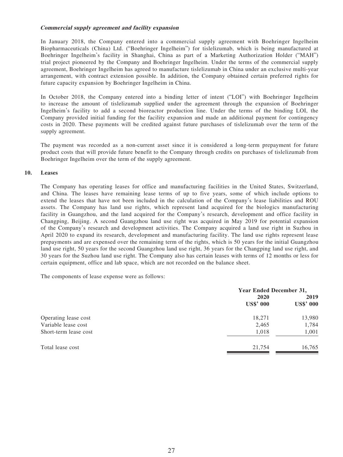# **Commercial supply agreement and facility expansion**

In January 2018, the Company entered into a commercial supply agreement with Boehringer Ingelheim Biopharmaceuticals (China) Ltd. ("Boehringer Ingelheim") for tislelizumab, which is being manufactured at Boehringer Ingelheim's facility in Shanghai, China as part of a Marketing Authorization Holder ("MAH") trial project pioneered by the Company and Boehringer Ingelheim. Under the terms of the commercial supply agreement, Boehringer Ingelheim has agreed to manufacture tislelizumab in China under an exclusive multi-year arrangement, with contract extension possible. In addition, the Company obtained certain preferred rights for future capacity expansion by Boehringer Ingelheim in China.

In October 2018, the Company entered into a binding letter of intent ("LOI") with Boehringer Ingelheim to increase the amount of tislelizumab supplied under the agreement through the expansion of Boehringer Ingelheim's facility to add a second bioreactor production line. Under the terms of the binding LOI, the Company provided initial funding for the facility expansion and made an additional payment for contingency costs in 2020. These payments will be credited against future purchases of tislelizumab over the term of the supply agreement.

The payment was recorded as a non-current asset since it is considered a long-term prepayment for future product costs that will provide future benefit to the Company through credits on purchases of tislelizumab from Boehringer Ingelheim over the term of the supply agreement.

### **10. Leases**

The Company has operating leases for office and manufacturing facilities in the United States, Switzerland, and China. The leases have remaining lease terms of up to five years, some of which include options to extend the leases that have not been included in the calculation of the Company's lease liabilities and ROU assets. The Company has land use rights, which represent land acquired for the biologics manufacturing facility in Guangzhou, and the land acquired for the Company's research, development and office facility in Changping, Beijing. A second Guangzhou land use right was acquired in May 2019 for potential expansion of the Company's research and development activities. The Company acquired a land use right in Suzhou in April 2020 to expand its research, development and manufacturing facility. The land use rights represent lease prepayments and are expensed over the remaining term of the rights, which is 50 years for the initial Guangzhou land use right, 50 years for the second Guangzhou land use right, 36 years for the Changping land use right, and 30 years for the Suzhou land use right. The Company also has certain leases with terms of 12 months or less for certain equipment, office and lab space, which are not recorded on the balance sheet.

The components of lease expense were as follows:

|                       | Year Ended December 31,  |                          |
|-----------------------|--------------------------|--------------------------|
|                       | 2020<br><b>US\$' 000</b> | 2019<br><b>US\$' 000</b> |
| Operating lease cost  | 18,271                   | 13,980                   |
| Variable lease cost   | 2,465                    | 1,784                    |
| Short-term lease cost | 1,018                    | 1,001                    |
| Total lease cost      | 21,754                   | 16,765                   |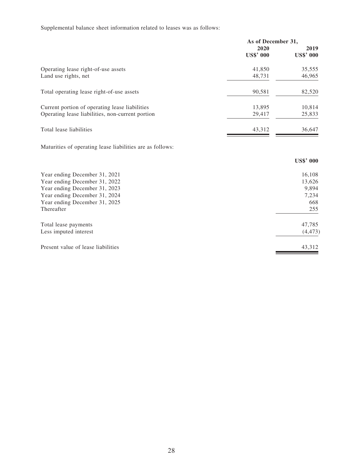Supplemental balance sheet information related to leases was as follows:

|                                                  | As of December 31, |                  |
|--------------------------------------------------|--------------------|------------------|
|                                                  | 2020               | 2019             |
|                                                  | <b>US\$' 000</b>   | <b>US\$' 000</b> |
| Operating lease right-of-use assets              | 41,850             | 35,555           |
| Land use rights, net                             | 48,731             | 46,965           |
| Total operating lease right-of-use assets        | 90,581             | 82,520           |
| Current portion of operating lease liabilities   | 13,895             | 10,814           |
| Operating lease liabilities, non-current portion | 29,417             | 25,833           |
| Total lease liabilities                          | 43.312             | 36,647           |

Maturities of operating lease liabilities are as follows:

|                                    | <b>US\$' 000</b> |
|------------------------------------|------------------|
| Year ending December 31, 2021      | 16,108           |
| Year ending December 31, 2022      | 13,626           |
| Year ending December 31, 2023      | 9,894            |
| Year ending December 31, 2024      | 7,234            |
| Year ending December 31, 2025      | 668              |
| Thereafter                         | 255              |
| Total lease payments               | 47,785           |
| Less imputed interest              | (4, 473)         |
| Present value of lease liabilities | 43,312           |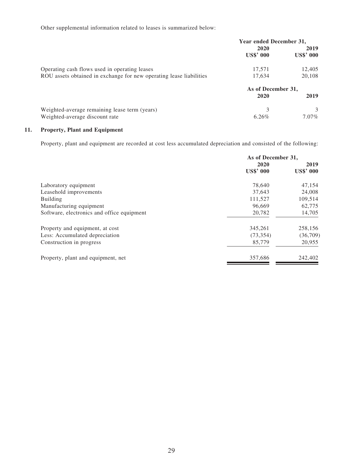Other supplemental information related to leases is summarized below:

|                                                                     | Year ended December 31, |                  |
|---------------------------------------------------------------------|-------------------------|------------------|
|                                                                     | 2020                    | 2019             |
|                                                                     | <b>US\$' 000</b>        | <b>US\$'</b> 000 |
| Operating cash flows used in operating leases                       | 17,571                  | 12,405           |
| ROU assets obtained in exchange for new operating lease liabilities | 17,634                  | 20,108           |
|                                                                     | As of December 31,      |                  |
|                                                                     | 2020                    | 2019             |
| Weighted-average remaining lease term (years)                       | 3                       | 3                |
| Weighted-average discount rate                                      | 6.26%                   | $7.07\%$         |

# **11. Property, Plant and Equipment**

Property, plant and equipment are recorded at cost less accumulated depreciation and consisted of the following:

|                                            | As of December 31, |                  |
|--------------------------------------------|--------------------|------------------|
|                                            | 2020               | 2019             |
|                                            | <b>US\$' 000</b>   | <b>US\$' 000</b> |
| Laboratory equipment                       | 78,640             | 47,154           |
| Leasehold improvements                     | 37.643             | 24,008           |
| Building                                   | 111,527            | 109,514          |
| Manufacturing equipment                    | 96.669             | 62,775           |
| Software, electronics and office equipment | 20,782             | 14,705           |
| Property and equipment, at cost            | 345,261            | 258,156          |
| Less: Accumulated depreciation             | (73, 354)          | (36,709)         |
| Construction in progress                   | 85,779             | 20,955           |
| Property, plant and equipment, net         | 357.686            | 242,402          |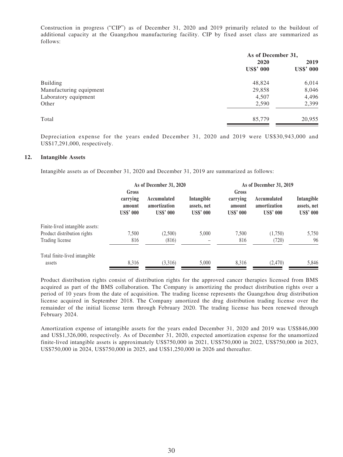Construction in progress ("CIP") as of December 31, 2020 and 2019 primarily related to the buildout of additional capacity at the Guangzhou manufacturing facility. CIP by fixed asset class are summarized as follows:

| As of December 31, |                  |                         |
|--------------------|------------------|-------------------------|
| 2019               | 2020             |                         |
| <b>US\$' 000</b>   | <b>US\$' 000</b> |                         |
| 6,014              | 48,824           | Building                |
| 8,046              | 29,858           | Manufacturing equipment |
| 4,496              | 4,507            | Laboratory equipment    |
| 2,399              | 2,590            | Other                   |
| 20,955             | 85,779           | Total                   |
|                    |                  |                         |

Depreciation expense for the years ended December 31, 2020 and 2019 were US\$30,943,000 and US\$17,291,000, respectively.

#### **12. Intangible Assets**

Intangible assets as of December 31, 2020 and December 31, 2019 are summarized as follows:

| As of December 31, 2020                |                                                 | As of December 31, 2019                       |                                        |                                                 |                                               |
|----------------------------------------|-------------------------------------------------|-----------------------------------------------|----------------------------------------|-------------------------------------------------|-----------------------------------------------|
| Gross                                  |                                                 |                                               | Gross                                  |                                                 |                                               |
| carrying<br>amount<br><b>US\$' 000</b> | Accumulated<br>amortization<br><b>US\$' 000</b> | Intangible<br>assets, net<br><b>US\$' 000</b> | carrying<br>amount<br><b>US\$' 000</b> | Accumulated<br>amortization<br><b>US\$' 000</b> | Intangible<br>assets, net<br><b>US\$' 000</b> |
|                                        |                                                 |                                               |                                        |                                                 |                                               |
| 7.500                                  | (2,500)                                         | 5,000                                         | 7,500                                  | (1,750)                                         | 5,750                                         |
| 816                                    | (816)                                           |                                               | 816                                    | (720)                                           | 96                                            |
|                                        |                                                 |                                               |                                        |                                                 |                                               |
| 8,316                                  | (3,316)                                         | 5,000                                         | 8,316                                  | (2,470)                                         | 5,846                                         |
|                                        |                                                 |                                               |                                        |                                                 |                                               |

Product distribution rights consist of distribution rights for the approved cancer therapies licensed from BMS acquired as part of the BMS collaboration. The Company is amortizing the product distribution rights over a period of 10 years from the date of acquisition. The trading license represents the Guangzhou drug distribution license acquired in September 2018. The Company amortized the drug distribution trading license over the remainder of the initial license term through February 2020. The trading license has been renewed through February 2024.

Amortization expense of intangible assets for the years ended December 31, 2020 and 2019 was US\$846,000 and US\$1,326,000, respectively. As of December 31, 2020, expected amortization expense for the unamortized finite-lived intangible assets is approximately US\$750,000 in 2021, US\$750,000 in 2022, US\$750,000 in 2023, US\$750,000 in 2024, US\$750,000 in 2025, and US\$1,250,000 in 2026 and thereafter.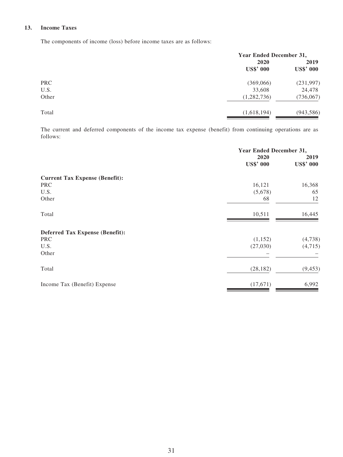# **13. Income Taxes**

The components of income (loss) before income taxes are as follows:

| <b>Year Ended December 31,</b> |                  |
|--------------------------------|------------------|
| 2020                           | 2019             |
| <b>US\$' 000</b>               | <b>US\$' 000</b> |
| (369,066)                      | (231, 997)       |
| 33,608                         | 24,478           |
| (1,282,736)                    | (736,067)        |
| (1,618,194)                    | (943, 586)       |
|                                |                  |

The current and deferred components of the income tax expense (benefit) from continuing operations are as follows:

|                                        | Year Ended December 31,  |                          |
|----------------------------------------|--------------------------|--------------------------|
|                                        | 2020<br><b>US\$' 000</b> | 2019<br><b>US\$' 000</b> |
| <b>Current Tax Expense (Benefit):</b>  |                          |                          |
| <b>PRC</b>                             | 16,121                   | 16,368                   |
| U.S.                                   | (5,678)                  | 65                       |
| Other                                  | 68                       | 12                       |
| Total                                  | 10,511                   | 16,445                   |
| <b>Deferred Tax Expense (Benefit):</b> |                          |                          |
| <b>PRC</b>                             | (1,152)                  | (4,738)                  |
| U.S.                                   | (27,030)                 | (4,715)                  |
| Other                                  |                          |                          |
| Total                                  | (28, 182)                | (9, 453)                 |
| Income Tax (Benefit) Expense           | (17,671)                 | 6,992                    |
|                                        |                          |                          |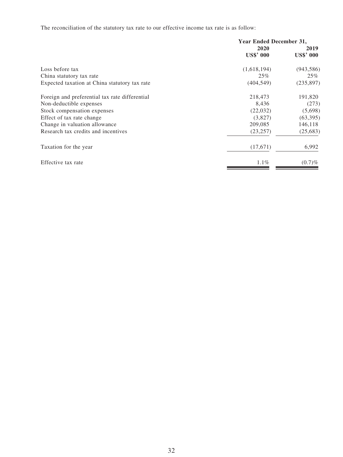The reconciliation of the statutory tax rate to our effective income tax rate is as follow:

|                                                | Year Ended December 31, |                  |
|------------------------------------------------|-------------------------|------------------|
|                                                | 2020                    | 2019             |
|                                                | <b>US\$' 000</b>        | <b>US\$' 000</b> |
| Loss before tax                                | (1,618,194)             | (943, 586)       |
| China statutory tax rate                       | 25%                     | $25\%$           |
| Expected taxation at China statutory tax rate  | (404, 549)              | (235, 897)       |
| Foreign and preferential tax rate differential | 218,473                 | 191,820          |
| Non-deductible expenses                        | 8,436                   | (273)            |
| Stock compensation expenses                    | (22,032)                | (5,698)          |
| Effect of tax rate change                      | (3,827)                 | (63, 395)        |
| Change in valuation allowance                  | 209,085                 | 146,118          |
| Research tax credits and incentives            | (23, 257)               | (25, 683)        |
| Taxation for the year                          | (17,671)                | 6,992            |
| Effective tax rate                             | 1.1%                    | (0.7)%           |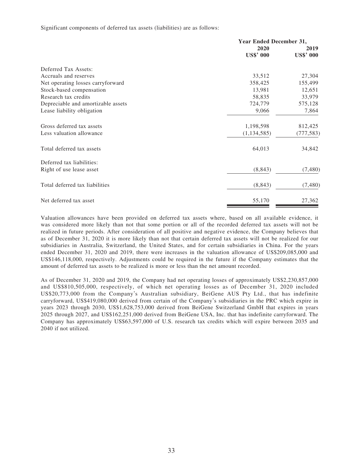#### Significant components of deferred tax assets (liabilities) are as follows:

|                                    | Year Ended December 31, |                  |
|------------------------------------|-------------------------|------------------|
|                                    | 2020                    | 2019             |
|                                    | <b>US\$' 000</b>        | <b>US\$' 000</b> |
| Deferred Tax Assets:               |                         |                  |
| Accruals and reserves              | 33,512                  | 27,304           |
| Net operating losses carryforward  | 358,425                 | 155,499          |
| Stock-based compensation           | 13,981                  | 12,651           |
| Research tax credits               | 58,835                  | 33,979           |
| Depreciable and amortizable assets | 724,779                 | 575,128          |
| Lease liability obligation         | 9,066                   | 7,864            |
| Gross deferred tax assets          | 1,198,598               | 812,425          |
| Less valuation allowance           | (1, 134, 585)           | (777, 583)       |
| Total deferred tax assets          | 64,013                  | 34,842           |
| Deferred tax liabilities:          |                         |                  |
| Right of use lease asset           | (8, 843)                | (7,480)          |
| Total deferred tax liabilities     | (8, 843)                | (7,480)          |
| Net deferred tax asset             | 55,170                  | 27,362           |

Valuation allowances have been provided on deferred tax assets where, based on all available evidence, it was considered more likely than not that some portion or all of the recorded deferred tax assets will not be realized in future periods. After consideration of all positive and negative evidence, the Company believes that as of December 31, 2020 it is more likely than not that certain deferred tax assets will not be realized for our subsidiaries in Australia, Switzerland, the United States, and for certain subsidiaries in China. For the years ended December 31, 2020 and 2019, there were increases in the valuation allowance of US\$209,085,000 and US\$146,118,000, respectively. Adjustments could be required in the future if the Company estimates that the amount of deferred tax assets to be realized is more or less than the net amount recorded.

As of December 31, 2020 and 2019, the Company had net operating losses of approximately US\$2,230,857,000 and US\$810,505,000, respectively, of which net operating losses as of December 31, 2020 included US\$20,773,000 from the Company's Australian subsidiary, BeiGene AUS Pty Ltd., that has indefinite carryforward, US\$419,080,000 derived from certain of the Company's subsidiaries in the PRC which expire in years 2023 through 2030, US\$1,628,753,000 derived from BeiGene Switzerland GmbH that expires in years 2025 through 2027, and US\$162,251,000 derived from BeiGene USA, Inc. that has indefinite carryforward. The Company has approximately US\$63,597,000 of U.S. research tax credits which will expire between 2035 and 2040 if not utilized.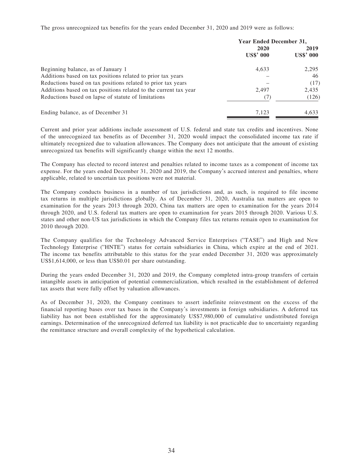The gross unrecognized tax benefits for the years ended December 31, 2020 and 2019 were as follows:

|                                                                  | Year Ended December 31, |                  |
|------------------------------------------------------------------|-------------------------|------------------|
|                                                                  | 2020                    | 2019             |
|                                                                  | <b>US\$' 000</b>        | <b>US\$' 000</b> |
| Beginning balance, as of January 1                               | 4,633                   | 2,295            |
| Additions based on tax positions related to prior tax years      |                         | 46               |
| Reductions based on tax positions related to prior tax years     |                         | (17)             |
| Additions based on tax positions related to the current tax year | 2,497                   | 2,435            |
| Reductions based on lapse of statute of limitations              | (7)                     | (126)            |
| Ending balance, as of December 31                                | 7.123                   | 4,633            |

Current and prior year additions include assessment of U.S. federal and state tax credits and incentives. None of the unrecognized tax benefits as of December 31, 2020 would impact the consolidated income tax rate if ultimately recognized due to valuation allowances. The Company does not anticipate that the amount of existing unrecognized tax benefits will significantly change within the next 12 months.

The Company has elected to record interest and penalties related to income taxes as a component of income tax expense. For the years ended December 31, 2020 and 2019, the Company's accrued interest and penalties, where applicable, related to uncertain tax positions were not material.

The Company conducts business in a number of tax jurisdictions and, as such, is required to file income tax returns in multiple jurisdictions globally. As of December 31, 2020, Australia tax matters are open to examination for the years 2013 through 2020, China tax matters are open to examination for the years 2014 through 2020, and U.S. federal tax matters are open to examination for years 2015 through 2020. Various U.S. states and other non-US tax jurisdictions in which the Company files tax returns remain open to examination for 2010 through 2020.

The Company qualifies for the Technology Advanced Service Enterprises ("TASE") and High and New Technology Enterprise ("HNTE") status for certain subsidiaries in China, which expire at the end of 2021. The income tax benefits attributable to this status for the year ended December 31, 2020 was approximately US\$1,614,000, or less than US\$0.01 per share outstanding.

During the years ended December 31, 2020 and 2019, the Company completed intra-group transfers of certain intangible assets in anticipation of potential commercialization, which resulted in the establishment of deferred tax assets that were fully offset by valuation allowances.

As of December 31, 2020, the Company continues to assert indefinite reinvestment on the excess of the financial reporting bases over tax bases in the Company's investments in foreign subsidiaries. A deferred tax liability has not been established for the approximately US\$7,980,000 of cumulative undistributed foreign earnings. Determination of the unrecognized deferred tax liability is not practicable due to uncertainty regarding the remittance structure and overall complexity of the hypothetical calculation.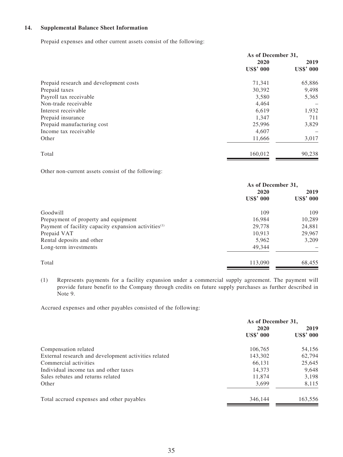## **14. Supplemental Balance Sheet Information**

Prepaid expenses and other current assets consist of the following:

|                                        | As of December 31, |                  |
|----------------------------------------|--------------------|------------------|
|                                        | 2020               | 2019             |
|                                        | <b>US\$' 000</b>   | <b>US\$' 000</b> |
| Prepaid research and development costs | 71,341             | 65,886           |
| Prepaid taxes                          | 30,392             | 9,498            |
| Payroll tax receivable                 | 3,580              | 5,365            |
| Non-trade receivable                   | 4,464              |                  |
| Interest receivable                    | 6,619              | 1,932            |
| Prepaid insurance                      | 1,347              | 711              |
| Prepaid manufacturing cost             | 25,996             | 3,829            |
| Income tax receivable                  | 4,607              |                  |
| Other                                  | 11,666             | 3,017            |
| Total                                  | 160,012            | 90,238           |

Other non-current assets consist of the following:

|                                                                  | As of December 31,       |                          |
|------------------------------------------------------------------|--------------------------|--------------------------|
|                                                                  | 2020<br><b>US\$' 000</b> | 2019<br><b>US\$' 000</b> |
|                                                                  |                          |                          |
| Goodwill                                                         | 109                      | 109                      |
| Prepayment of property and equipment                             | 16,984                   | 10,289                   |
| Payment of facility capacity expansion activities <sup>(1)</sup> | 29,778                   | 24,881                   |
| Prepaid VAT                                                      | 10,913                   | 29,967                   |
| Rental deposits and other                                        | 5,962                    | 3,209                    |
| Long-term investments                                            | 49,344                   |                          |
| Total                                                            | 113,090                  | 68,455                   |

(1) Represents payments for a facility expansion under a commercial supply agreement. The payment will provide future benefit to the Company through credits on future supply purchases as further described in Note 9.

Accrued expenses and other payables consisted of the following:

|                                                      | As of December 31, |                  |
|------------------------------------------------------|--------------------|------------------|
|                                                      | 2020               | 2019             |
|                                                      | <b>US\$' 000</b>   | <b>US\$' 000</b> |
| Compensation related                                 | 106,765            | 54,156           |
| External research and development activities related | 143,302            | 62,794           |
| Commercial activities                                | 66,131             | 25,645           |
| Individual income tax and other taxes                | 14,373             | 9,648            |
| Sales rebates and returns related                    | 11,874             | 3,198            |
| Other                                                | 3,699              | 8,115            |
| Total accrued expenses and other payables            | 346,144            | 163,556          |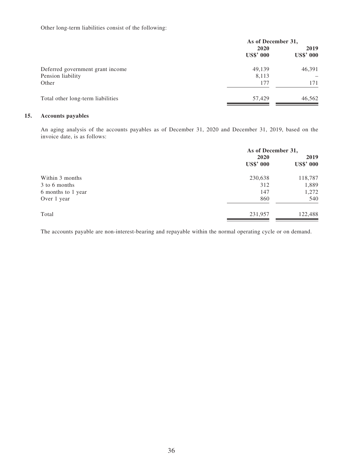Other long-term liabilities consist of the following:

| As of December 31, |                  |
|--------------------|------------------|
| 2020               | 2019             |
| <b>US\$' 000</b>   | <b>US\$' 000</b> |
| 49,139             | 46,391           |
| 8,113              |                  |
| 177                | 171              |
| 57,429             | 46,562           |
|                    |                  |

# **15. Accounts payables**

An aging analysis of the accounts payables as of December 31, 2020 and December 31, 2019, based on the invoice date, is as follows:

|                    | As of December 31,       |                          |
|--------------------|--------------------------|--------------------------|
|                    | 2020<br><b>US\$' 000</b> | 2019<br><b>US\$' 000</b> |
| Within 3 months    | 230,638                  | 118,787                  |
| 3 to 6 months      | 312                      | 1,889                    |
| 6 months to 1 year | 147                      | 1,272                    |
| Over 1 year        | 860                      | 540                      |
| Total              | 231,957                  | 122,488                  |

The accounts payable are non-interest-bearing and repayable within the normal operating cycle or on demand.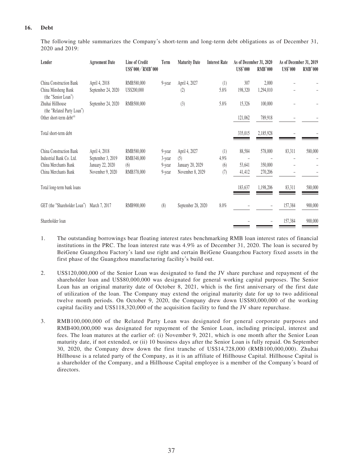### **16. Debt**

The following table summarizes the Company's short-term and long-term debt obligations as of December 31, 2020 and 2019:

| Lender                                                                                              | <b>Agreement Date</b>                                                      | Line of Credit<br>US\$'000/RMB'000            | Term                                 | <b>Maturity Date</b>                                         | <b>Interest Rate</b>      | As of December 31, 2020<br><b>US\$'000</b> | <b>RMB'000</b>                | As of December 31, 2019<br>US\$'000 | <b>RMB'000</b> |
|-----------------------------------------------------------------------------------------------------|----------------------------------------------------------------------------|-----------------------------------------------|--------------------------------------|--------------------------------------------------------------|---------------------------|--------------------------------------------|-------------------------------|-------------------------------------|----------------|
| China Construction Bank<br>China Minsheng Bank<br>(the "Senior Loan")                               | April 4, 2018<br>September 24, 2020                                        | RMB580,000<br>US\$200,000                     | 9-year                               | April 4, 2027<br>(2)                                         | (1)<br>5.8%               | 307<br>198,320                             | 2,000<br>1,294,010            |                                     |                |
| Zhuhai Hillhouse<br>(the "Related Party Loan")<br>Other short-term debt <sup>(4)</sup>              | September 24, 2020                                                         | RMB500,000                                    |                                      | (3)                                                          | 5.8%                      | 15,326<br>121,062                          | 100,000<br>789,918            |                                     |                |
| Total short-term debt                                                                               |                                                                            |                                               |                                      |                                                              |                           | 335,015                                    | 2,185,928                     |                                     |                |
| China Construction Bank<br>Industrial Bank Co. Ltd.<br>China Merchants Bank<br>China Merchants Bank | April 4, 2018<br>September 3, 2019<br>January 22, 2020<br>November 9, 2020 | RMB580,000<br>RMB348,000<br>(6)<br>RMB378,000 | 9-year<br>3-year<br>9-year<br>9-year | April 4, 2027<br>(5)<br>January 20, 2029<br>November 8, 2029 | (1)<br>4.9%<br>(6)<br>(7) | 88,584<br>53,641<br>41,412                 | 578,000<br>350,000<br>270,206 | 83,311                              | 580,000        |
| Total long-term bank loans                                                                          |                                                                            |                                               |                                      |                                                              |                           | 183,637                                    | 1,198,206                     | 83,311                              | 580,000        |
| GET (the "Shareholder Loan")                                                                        | March 7, 2017                                                              | RMB900,000                                    | (8)                                  | September 28, 2020                                           | $8.0\%$                   |                                            |                               | 157,384                             | 900,000        |
| Shareholder loan                                                                                    |                                                                            |                                               |                                      |                                                              |                           |                                            |                               | 157,384                             | 900,000        |

- 1. The outstanding borrowings bear floating interest rates benchmarking RMB loan interest rates of financial institutions in the PRC. The loan interest rate was 4.9% as of December 31, 2020. The loan is secured by BeiGene Guangzhou Factory's land use right and certain BeiGene Guangzhou Factory fixed assets in the first phase of the Guangzhou manufacturing facility's build out.
- 2. US\$120,000,000 of the Senior Loan was designated to fund the JV share purchase and repayment of the shareholder loan and US\$80,000,000 was designated for general working capital purposes. The Senior Loan has an original maturity date of October 8, 2021, which is the first anniversary of the first date of utilization of the loan. The Company may extend the original maturity date for up to two additional twelve month periods. On October 9, 2020, the Company drew down US\$80,000,000 of the working capital facility and US\$118,320,000 of the acquisition facility to fund the JV share repurchase.
- 3. RMB100,000,000 of the Related Party Loan was designated for general corporate purposes and RMB400,000,000 was designated for repayment of the Senior Loan, including principal, interest and fees. The loan matures at the earlier of: (i) November 9, 2021, which is one month after the Senior Loan maturity date, if not extended, or (ii) 10 business days after the Senior Loan is fully repaid. On September 30, 2020, the Company drew down the first tranche of US\$14,728,000 (RMB100,000,000). Zhuhai Hillhouse is a related party of the Company, as it is an affiliate of Hillhouse Capital. Hillhouse Capital is a shareholder of the Company, and a Hillhouse Capital employee is a member of the Company's board of directors.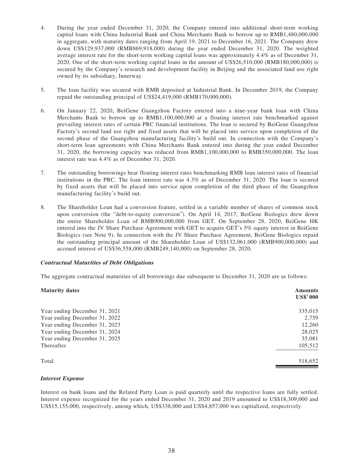- 4. During the year ended December 31, 2020, the Company entered into additional short-term working capital loans with China Industrial Bank and China Merchants Bank to borrow up to RMB1,480,000,000 in aggregate, with maturity dates ranging from April 19, 2021 to December 16, 2021. The Company drew down US\$129,937,000 (RMB869,918,000) during the year ended December 31, 2020. The weighted average interest rate for the short-term working capital loans was approximately 4.4% as of December 31, 2020. One of the short-term working capital loans in the amount of US\$26,510,000 (RMB180,000,000) is secured by the Company's research and development facility in Beijing and the associated land use right owned by its subsidiary, Innerway.
- 5. The loan facility was secured with RMB deposited at Industrial Bank. In December 2019, the Company repaid the outstanding principal of US\$24,419,000 (RMB170,000,000).
- 6. On January 22, 2020, BeiGene Guangzhou Factory entered into a nine-year bank loan with China Merchants Bank to borrow up to RMB1,100,000,000 at a floating interest rate benchmarked against prevailing interest rates of certain PRC financial institutions. The loan is secured by BeiGene Guangzhou Factory's second land use right and fixed assets that will be placed into service upon completion of the second phase of the Guangzhou manufacturing facility's build out. In connection with the Company's short-term loan agreements with China Merchants Bank entered into during the year ended December 31, 2020, the borrowing capacity was reduced from RMB1,100,000,000 to RMB350,000,000. The loan interest rate was 4.4% as of December 31, 2020.
- 7. The outstanding borrowings bear floating interest rates benchmarking RMB loan interest rates of financial institutions in the PRC. The loan interest rate was 4.3% as of December 31, 2020. The loan is secured by fixed assets that will be placed into service upon completion of the third phase of the Guangzhou manufacturing facility's build out.
- 8. The Shareholder Loan had a conversion feature, settled in a variable number of shares of common stock upon conversion (the "debt-to-equity conversion"). On April 14, 2017, BeiGene Biologics drew down the entire Shareholder Loan of RMB900,000,000 from GET. On September 28, 2020, BeiGene HK entered into the JV Share Purchase Agreement with GET to acquire GET's 5% equity interest in BeiGene Biologics (see Note 9). In connection with the JV Share Purchase Agreement, BeiGene Biologics repaid the outstanding principal amount of the Shareholder Loan of US\$132,061,000 (RMB900,000,000) and accrued interest of US\$36,558,000 (RMB249,140,000) on September 28, 2020.

### **Contractual Maturities of Debt Obligations**

The aggregate contractual maturities of all borrowings due subsequent to December 31, 2020 are as follows:

| <b>Maturity dates</b>         | <b>Amounts</b><br><b>US\$'000</b> |
|-------------------------------|-----------------------------------|
| Year ending December 31, 2021 | 335,015                           |
| Year ending December 31, 2022 | 2,759                             |
| Year ending December 31, 2023 | 12,260                            |
| Year ending December 31, 2024 | 28,025                            |
| Year ending December 31, 2025 | 35,081                            |
| Thereafter                    | 105,512                           |
| Total                         | 518,652                           |

### **Interest Expense**

Interest on bank loans and the Related Party Loan is paid quarterly until the respective loans are fully settled. Interest expense recognized for the years ended December 31, 2020 and 2019 amounted to US\$18,309,000 and US\$15,155,000, respectively, among which, US\$338,000 and US\$4,857,000 was capitalized, respectively.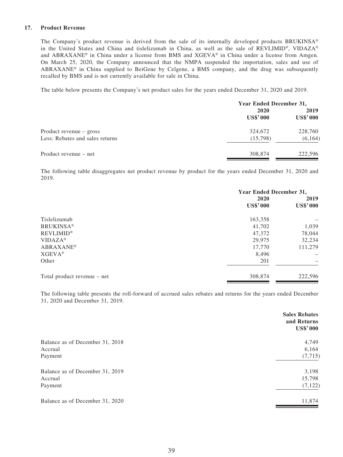### **17. Product Revenue**

The Company's product revenue is derived from the sale of its internally developed products BRUKINSA® in the United States and China and tislelizumab in China, as well as the sale of REVLIMID®, VIDAZA® and ABRAXANE® in China under a license from BMS and XGEVA® in China under a license from Amgen. On March 25, 2020, the Company announced that the NMPA suspended the importation, sales and use of ABRAXANE® in China supplied to BeiGene by Celgene, a BMS company, and the drug was subsequently recalled by BMS and is not currently available for sale in China.

The table below presents the Company's net product sales for the years ended December 31, 2020 and 2019.

|                                 | <b>Year Ended December 31,</b> |                         |  |
|---------------------------------|--------------------------------|-------------------------|--|
|                                 | 2020<br><b>US\$'000</b>        | 2019<br><b>US\$'000</b> |  |
| Product revenue $-$ gross       | 324,672                        | 228,760                 |  |
| Less: Rebates and sales returns | (15,798)                       | (6, 164)                |  |
| Product revenue – net           | 308,874                        | 222,596                 |  |

The following table disaggregates net product revenue by product for the years ended December 31, 2020 and 2019.

|                             | Year Ended December 31, |                         |  |
|-----------------------------|-------------------------|-------------------------|--|
|                             | 2020<br><b>US\$'000</b> | 2019<br><b>US\$'000</b> |  |
|                             |                         |                         |  |
| Tislelizumab                | 163,358                 |                         |  |
| <b>BRUKINSA®</b>            | 41,702                  | 1,039                   |  |
| <b>REVLIMID®</b>            | 47,372                  | 78,044                  |  |
| $VIDAZA^*$                  | 29,975                  | 32,234                  |  |
| <b>ABRAXANE<sup>®</sup></b> | 17,770                  | 111,279                 |  |
| $XGEVA^{\circledast}$       | 8,496                   |                         |  |
| Other                       | 201                     |                         |  |
| Total product revenue – net | 308,874                 | 222,596                 |  |
|                             |                         |                         |  |

The following table presents the roll-forward of accrued sales rebates and returns for the years ended December 31, 2020 and December 31, 2019.

|                                 | <b>Sales Rebates</b><br>and Returns<br><b>US\$'000</b> |
|---------------------------------|--------------------------------------------------------|
| Balance as of December 31, 2018 | 4,749                                                  |
| Accrual                         | 6,164                                                  |
| Payment                         | (7, 715)                                               |
| Balance as of December 31, 2019 | 3,198                                                  |
| Accrual                         | 15,798                                                 |
| Payment                         | (7, 122)                                               |
| Balance as of December 31, 2020 | 11,874                                                 |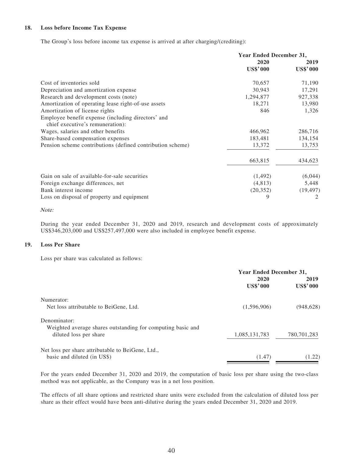### **18. Loss before Income Tax Expense**

The Group's loss before income tax expense is arrived at after charging/(crediting):

|                                                                                        | Year Ended December 31, |                 |
|----------------------------------------------------------------------------------------|-------------------------|-----------------|
|                                                                                        | 2020                    | 2019            |
|                                                                                        | <b>US\$'000</b>         | <b>US\$'000</b> |
| Cost of inventories sold                                                               | 70,657                  | 71,190          |
| Depreciation and amortization expense                                                  | 30,943                  | 17,291          |
| Research and development costs (note)                                                  | 1,294,877               | 927,338         |
| Amortization of operating lease right-of-use assets                                    | 18,271                  | 13,980          |
| Amortization of license rights                                                         | 846                     | 1,326           |
| Employee benefit expense (including directors' and<br>chief executive's remuneration): |                         |                 |
| Wages, salaries and other benefits                                                     | 466,962                 | 286,716         |
| Share-based compensation expenses                                                      | 183,481                 | 134,154         |
| Pension scheme contributions (defined contribution scheme)                             | 13,372                  | 13,753          |
|                                                                                        | 663,815                 | 434,623         |
| Gain on sale of available-for-sale securities                                          | (1,492)                 | (6,044)         |
| Foreign exchange differences, net                                                      | (4,813)                 | 5,448           |
| Bank interest income                                                                   | (20, 352)               | (19, 497)       |
| Loss on disposal of property and equipment                                             | 9                       | 2               |

Note:

During the year ended December 31, 2020 and 2019, research and development costs of approximately US\$346,203,000 and US\$257,497,000 were also included in employee benefit expense.

#### **19. Loss Per Share**

Loss per share was calculated as follows:

|                                                             | <b>Year Ended December 31,</b> |                         |  |
|-------------------------------------------------------------|--------------------------------|-------------------------|--|
|                                                             | 2020<br><b>US\$'000</b>        | 2019<br><b>US\$'000</b> |  |
| Numerator:                                                  |                                |                         |  |
| Net loss attributable to BeiGene, Ltd.                      | (1,596,906)                    | (948, 628)              |  |
| Denominator:                                                |                                |                         |  |
| Weighted average shares outstanding for computing basic and |                                |                         |  |
| diluted loss per share                                      | 1,085,131,783                  | 780,701,283             |  |
| Net loss per share attributable to BeiGene, Ltd.,           |                                |                         |  |
| basic and diluted (in US\$)                                 | (1.47)                         | (1.22)                  |  |

For the years ended December 31, 2020 and 2019, the computation of basic loss per share using the two-class method was not applicable, as the Company was in a net loss position.

The effects of all share options and restricted share units were excluded from the calculation of diluted loss per share as their effect would have been anti-dilutive during the years ended December 31, 2020 and 2019.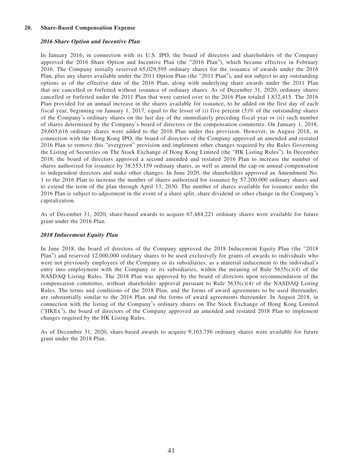#### **20. Share-Based Compensation Expense**

#### **2016 Share Option and Incentive Plan**

In January 2016, in connection with its U.S. IPO, the board of directors and shareholders of the Company approved the 2016 Share Option and Incentive Plan (the "2016 Plan"), which became effective in February 2016. The Company initially reserved 65,029,595 ordinary shares for the issuance of awards under the 2016 Plan, plus any shares available under the 2011 Option Plan (the "2011 Plan"), and not subject to any outstanding options as of the effective date of the 2016 Plan, along with underlying share awards under the 2011 Plan that are cancelled or forfeited without issuance of ordinary shares. As of December 31, 2020, ordinary shares cancelled or forfeited under the 2011 Plan that were carried over to the 2016 Plan totaled 1,832,415. The 2016 Plan provided for an annual increase in the shares available for issuance, to be added on the first day of each fiscal year, beginning on January 1, 2017, equal to the lesser of (i) five percent (5)% of the outstanding shares of the Company's ordinary shares on the last day of the immediately preceding fiscal year or (ii) such number of shares determined by the Company's board of directors or the compensation committee. On January 1, 2018, 29,603,616 ordinary shares were added to the 2016 Plan under this provision. However, in August 2018, in connection with the Hong Kong IPO, the board of directors of the Company approved an amended and restated 2016 Plan to remove this "evergreen" provision and implement other changes required by the Rules Governing the Listing of Securities on The Stock Exchange of Hong Kong Limited (the "HK Listing Rules"). In December 2018, the board of directors approved a second amended and restated 2016 Plan to increase the number of shares authorized for issuance by 38,553,159 ordinary shares, as well as amend the cap on annual compensation to independent directors and make other changes. In June 2020, the shareholders approved an Amendment No. 1 to the 2016 Plan to increase the number of shares authorized for issuance by 57,200,000 ordinary shares and to extend the term of the plan through April 13, 2030. The number of shares available for issuance under the 2016 Plan is subject to adjustment in the event of a share split, share dividend or other change in the Company's capitalization.

As of December 31, 2020, share-based awards to acquire 67,484,221 ordinary shares were available for future grant under the 2016 Plan.

#### **2018 Inducement Equity Plan**

In June 2018, the board of directors of the Company approved the 2018 Inducement Equity Plan (the "2018 Plan") and reserved 12,000,000 ordinary shares to be used exclusively for grants of awards to individuals who were not previously employees of the Company or its subsidiaries, as a material inducement to the individual's entry into employment with the Company or its subsidiaries, within the meaning of Rule  $5635(c)(4)$  of the NASDAQ Listing Rules. The 2018 Plan was approved by the board of directors upon recommendation of the compensation committee, without shareholder approval pursuant to Rule  $5635(c)(4)$  of the NASDAQ Listing Rules. The terms and conditions of the 2018 Plan, and the forms of award agreements to be used thereunder, are substantially similar to the 2016 Plan and the forms of award agreements thereunder. In August 2018, in connection with the listing of the Company's ordinary shares on The Stock Exchange of Hong Kong Limited ("HKEx"), the board of directors of the Company approved an amended and restated 2018 Plan to implement changes required by the HK Listing Rules.

As of December 31, 2020, share-based awards to acquire 9,103,756 ordinary shares were available for future grant under the 2018 Plan.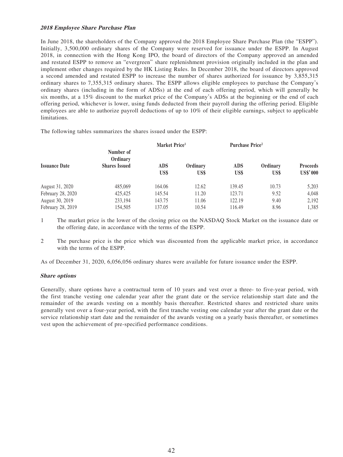### **2018 Employee Share Purchase Plan**

In June 2018, the shareholders of the Company approved the 2018 Employee Share Purchase Plan (the "ESPP"). Initially, 3,500,000 ordinary shares of the Company were reserved for issuance under the ESPP. In August 2018, in connection with the Hong Kong IPO, the board of directors of the Company approved an amended and restated ESPP to remove an "evergreen" share replenishment provision originally included in the plan and implement other changes required by the HK Listing Rules. In December 2018, the board of directors approved a second amended and restated ESPP to increase the number of shares authorized for issuance by 3,855,315 ordinary shares to 7,355,315 ordinary shares. The ESPP allows eligible employees to purchase the Company's ordinary shares (including in the form of ADSs) at the end of each offering period, which will generally be six months, at a 15% discount to the market price of the Company's ADSs at the beginning or the end of each offering period, whichever is lower, using funds deducted from their payroll during the offering period. Eligible employees are able to authorize payroll deductions of up to 10% of their eligible earnings, subject to applicable limitations.

The following tables summarizes the shares issued under the ESPP:

|                      |                       | Market Price <sup>1</sup> |                  | <b>Purchase Price</b> <sup>2</sup> |                  |                                    |  |
|----------------------|-----------------------|---------------------------|------------------|------------------------------------|------------------|------------------------------------|--|
|                      | Number of<br>Ordinary |                           |                  |                                    |                  |                                    |  |
| <b>Issuance Date</b> | <b>Shares Issued</b>  | <b>ADS</b><br>US\$        | Ordinary<br>US\$ | <b>ADS</b><br>US\$                 | Ordinary<br>US\$ | <b>Proceeds</b><br><b>US\$'000</b> |  |
| August 31, 2020      | 485,069               | 164.06                    | 12.62            | 139.45                             | 10.73            | 5,203                              |  |
| February 28, 2020    | 425,425               | 145.54                    | 11.20            | 123.71                             | 9.52             | 4,048                              |  |
| August 30, 2019      | 233,194               | 143.75                    | 11.06            | 122.19                             | 9.40             | 2,192                              |  |
| February 28, 2019    | 154,505               | 137.05                    | 10.54            | 116.49                             | 8.96             | 1,385                              |  |

1 The market price is the lower of the closing price on the NASDAQ Stock Market on the issuance date or the offering date, in accordance with the terms of the ESPP.

2 The purchase price is the price which was discounted from the applicable market price, in accordance with the terms of the ESPP.

As of December 31, 2020, 6,056,056 ordinary shares were available for future issuance under the ESPP.

### **Share options**

Generally, share options have a contractual term of 10 years and vest over a three- to five-year period, with the first tranche vesting one calendar year after the grant date or the service relationship start date and the remainder of the awards vesting on a monthly basis thereafter. Restricted shares and restricted share units generally vest over a four-year period, with the first tranche vesting one calendar year after the grant date or the service relationship start date and the remainder of the awards vesting on a yearly basis thereafter, or sometimes vest upon the achievement of pre-specified performance conditions.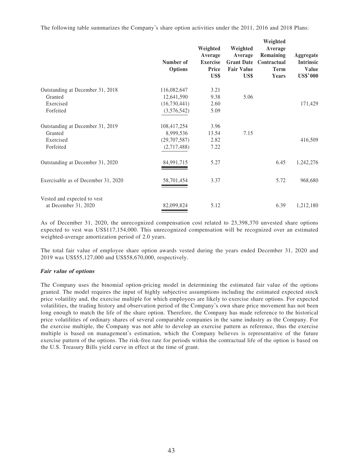The following table summarizes the Company's share option activities under the 2011, 2016 and 2018 Plans:

|                                                     | Number of<br><b>Options</b> | Weighted<br>Average<br><b>Exercise</b><br><b>Price</b><br>US\$ | Weighted<br>Average<br><b>Grant Date</b><br><b>Fair Value</b><br>US\$ | Weighted<br>Average<br>Remaining<br>Contractual<br><b>Term</b><br>Years | Aggregate<br><b>Intrinsic</b><br><b>Value</b><br><b>US\$'000</b> |
|-----------------------------------------------------|-----------------------------|----------------------------------------------------------------|-----------------------------------------------------------------------|-------------------------------------------------------------------------|------------------------------------------------------------------|
| Outstanding at December 31, 2018                    | 116,082,647                 | 3.21                                                           |                                                                       |                                                                         |                                                                  |
| Granted                                             | 12,641,590                  | 9.38                                                           | 5.06                                                                  |                                                                         |                                                                  |
| Exercised                                           | (16,730,441)                | 2.60                                                           |                                                                       |                                                                         | 171,429                                                          |
| Forfeited                                           | (3,576,542)                 | 5.09                                                           |                                                                       |                                                                         |                                                                  |
| Outstanding at December 31, 2019                    | 108,417,254                 | 3.96                                                           |                                                                       |                                                                         |                                                                  |
| Granted                                             | 8,999,536                   | 13.54                                                          | 7.15                                                                  |                                                                         |                                                                  |
| Exercised                                           | (29,707,587)                | 2.82                                                           |                                                                       |                                                                         | 416,509                                                          |
| Forfeited                                           | (2,717,488)                 | 7.22                                                           |                                                                       |                                                                         |                                                                  |
| Outstanding at December 31, 2020                    | 84,991,715                  | 5.27                                                           |                                                                       | 6.45                                                                    | 1,242,276                                                        |
| Exercisable as of December 31, 2020                 | 58,701,454                  | 3.37                                                           |                                                                       | 5.72                                                                    | 968,680                                                          |
| Vested and expected to vest<br>at December 31, 2020 | 82,099,824                  | 5.12                                                           |                                                                       | 6.39                                                                    | 1,212,180                                                        |

As of December 31, 2020, the unrecognized compensation cost related to 23,398,370 unvested share options expected to vest was US\$117,154,000. This unrecognized compensation will be recognized over an estimated weighted-average amortization period of 2.0 years.

The total fair value of employee share option awards vested during the years ended December 31, 2020 and 2019 was US\$55,127,000 and US\$58,670,000, respectively.

#### **Fair value of options**

The Company uses the binomial option-pricing model in determining the estimated fair value of the options granted. The model requires the input of highly subjective assumptions including the estimated expected stock price volatility and, the exercise multiple for which employees are likely to exercise share options. For expected volatilities, the trading history and observation period of the Company's own share price movement has not been long enough to match the life of the share option. Therefore, the Company has made reference to the historical price volatilities of ordinary shares of several comparable companies in the same industry as the Company. For the exercise multiple, the Company was not able to develop an exercise pattern as reference, thus the exercise multiple is based on management's estimation, which the Company believes is representative of the future exercise pattern of the options. The risk-free rate for periods within the contractual life of the option is based on the U.S. Treasury Bills yield curve in effect at the time of grant.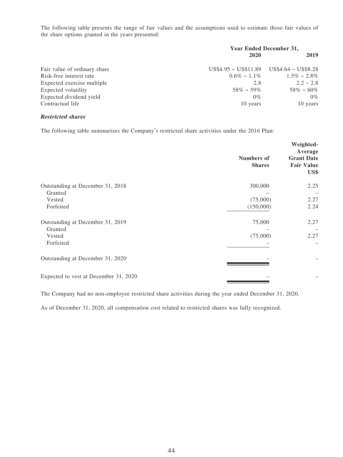The following table presents the range of fair values and the assumptions used to estimate those fair values of the share options granted in the years presented:

|                              | <b>Year Ended December 31,</b>                 |                    |  |  |
|------------------------------|------------------------------------------------|--------------------|--|--|
|                              | 2020                                           | 2019               |  |  |
| Fair value of ordinary share | $US$4.95 \sim US$11.89$ $US$4.64 \sim US$8.28$ |                    |  |  |
| Risk-free interest rate      | $0.6\% \sim 1.1\%$                             | $1.5\% \sim 2.8\%$ |  |  |
| Expected exercise multiple   | 2.8                                            | $2.2 \sim 2.8$     |  |  |
| Expected volatility          | $58\% \sim 59\%$                               | $58\% \sim 60\%$   |  |  |
| Expected dividend yield      | $0\%$                                          | $0\%$              |  |  |
| Contractual life             | 10 years                                       | 10 years           |  |  |

### **Restricted shares**

The following table summarizes the Company's restricted share activities under the 2016 Plan:

|                                             | <b>Numbers of</b><br><b>Shares</b> | Weighted-<br>Average<br><b>Grant Date</b><br><b>Fair Value</b><br>US\$ |
|---------------------------------------------|------------------------------------|------------------------------------------------------------------------|
| Outstanding at December 31, 2018<br>Granted | 300,000                            | 2.25                                                                   |
| Vested                                      | (75,000)                           | 2.27                                                                   |
| Forfeited                                   | (150,000)                          | 2.24                                                                   |
| Outstanding at December 31, 2019            | 75,000                             | 2.27                                                                   |
| Granted                                     | (75,000)                           | 2.27                                                                   |
| Vested<br>Forfeited                         |                                    |                                                                        |
| Outstanding at December 31, 2020            |                                    |                                                                        |
| Expected to vest at December 31, 2020       |                                    |                                                                        |

The Company had no non-employee restricted share activities during the year ended December 31, 2020.

As of December 31, 2020, all compensation cost related to restricted shares was fully recognized.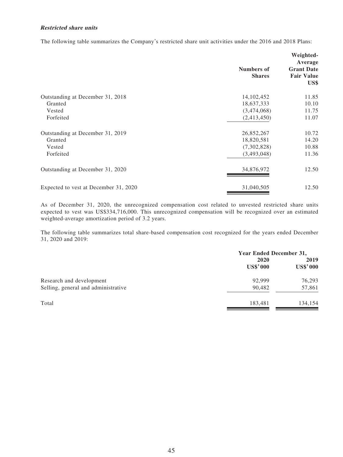### **Restricted share units**

The following table summarizes the Company's restricted share unit activities under the 2016 and 2018 Plans:

|                                       | <b>Numbers of</b><br><b>Shares</b> | Weighted-<br>Average<br><b>Grant Date</b><br><b>Fair Value</b><br>US\$ |
|---------------------------------------|------------------------------------|------------------------------------------------------------------------|
| Outstanding at December 31, 2018      | 14, 102, 452                       | 11.85                                                                  |
| Granted                               | 18,637,333                         | 10.10                                                                  |
| Vested                                | (3,474,068)                        | 11.75                                                                  |
| Forfeited                             | (2,413,450)                        | 11.07                                                                  |
| Outstanding at December 31, 2019      | 26,852,267                         | 10.72                                                                  |
| Granted                               | 18,820,581                         | 14.20                                                                  |
| Vested                                | (7,302,828)                        | 10.88                                                                  |
| Forfeited                             | (3,493,048)                        | 11.36                                                                  |
| Outstanding at December 31, 2020      | 34,876,972                         | 12.50                                                                  |
| Expected to vest at December 31, 2020 | 31,040,505                         | 12.50                                                                  |

As of December 31, 2020, the unrecognized compensation cost related to unvested restricted share units expected to vest was US\$334,716,000. This unrecognized compensation will be recognized over an estimated weighted-average amortization period of 3.2 years.

The following table summarizes total share-based compensation cost recognized for the years ended December 31, 2020 and 2019:

| Year Ended December 31, |
|-------------------------|
| 2019                    |
| <b>US\$'000</b>         |
| 76,293                  |
| 57,861                  |
| 134,154                 |
|                         |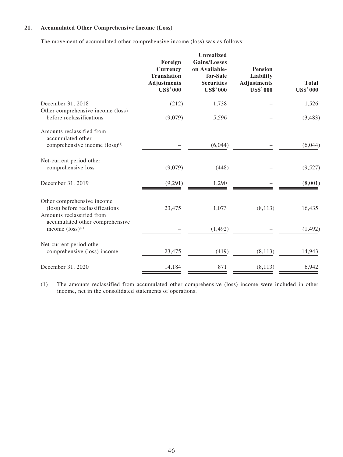### **21. Accumulated Other Comprehensive Income (Loss)**

The movement of accumulated other comprehensive income (loss) was as follows:

|                                                                                              | Foreign<br><b>Currency</b><br><b>Translation</b><br><b>Adjustments</b><br><b>US\$'000</b> | <b>Unrealized</b><br><b>Gains/Losses</b><br>on Available-<br>for-Sale<br><b>Securities</b><br><b>US\$'000</b> | <b>Pension</b><br>Liability<br><b>Adjustments</b><br><b>US\$'000</b> | <b>Total</b><br><b>US\$'000</b> |
|----------------------------------------------------------------------------------------------|-------------------------------------------------------------------------------------------|---------------------------------------------------------------------------------------------------------------|----------------------------------------------------------------------|---------------------------------|
| December 31, 2018<br>Other comprehensive income (loss)                                       | (212)                                                                                     | 1,738                                                                                                         |                                                                      | 1,526                           |
| before reclassifications                                                                     | (9,079)                                                                                   | 5,596                                                                                                         |                                                                      | (3,483)                         |
| Amounts reclassified from<br>accumulated other<br>comprehensive income $(\text{loss})^{(1)}$ |                                                                                           | (6,044)                                                                                                       |                                                                      | (6,044)                         |
| Net-current period other<br>comprehensive loss                                               | (9,079)                                                                                   | (448)                                                                                                         |                                                                      | (9,527)                         |
| December 31, 2019                                                                            | (9,291)                                                                                   | 1,290                                                                                                         |                                                                      | (8,001)                         |
| Other comprehensive income<br>(loss) before reclassifications<br>Amounts reclassified from   | 23,475                                                                                    | 1,073                                                                                                         | (8, 113)                                                             | 16,435                          |
| accumulated other comprehensive<br>income $(\text{loss})^{(1)}$                              |                                                                                           | (1, 492)                                                                                                      |                                                                      | (1, 492)                        |
| Net-current period other<br>comprehensive (loss) income                                      | 23,475                                                                                    | (419)                                                                                                         | (8, 113)                                                             | 14,943                          |
| December 31, 2020                                                                            | 14,184                                                                                    | 871                                                                                                           | (8, 113)                                                             | 6,942                           |

(1) The amounts reclassified from accumulated other comprehensive (loss) income were included in other income, net in the consolidated statements of operations.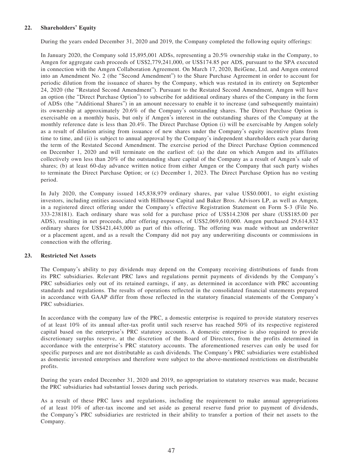### **22. Shareholders' Equity**

During the years ended December 31, 2020 and 2019, the Company completed the following equity offerings:

In January 2020, the Company sold 15,895,001 ADSs, representing a 20.5% ownership stake in the Company, to Amgen for aggregate cash proceeds of US\$2,779,241,000, or US\$174.85 per ADS, pursuant to the SPA executed in connection with the Amgen Collaboration Agreement. On March 17, 2020, BeiGene, Ltd. and Amgen entered into an Amendment No. 2 (the "Second Amendment") to the Share Purchase Agreement in order to account for periodic dilution from the issuance of shares by the Company, which was restated in its entirety on September 24, 2020 (the "Restated Second Amendment"). Pursuant to the Restated Second Amendment, Amgen will have an option (the "Direct Purchase Option") to subscribe for additional ordinary shares of the Company in the form of ADSs (the "Additional Shares") in an amount necessary to enable it to increase (and subsequently maintain) its ownership at approximately 20.6% of the Company's outstanding shares. The Direct Purchase Option is exercisable on a monthly basis, but only if Amgen's interest in the outstanding shares of the Company at the monthly reference date is less than 20.4%. The Direct Purchase Option (i) will be exercisable by Amgen solely as a result of dilution arising from issuance of new shares under the Company's equity incentive plans from time to time, and (ii) is subject to annual approval by the Company's independent shareholders each year during the term of the Restated Second Amendment. The exercise period of the Direct Purchase Option commenced on December 1, 2020 and will terminate on the earliest of: (a) the date on which Amgen and its affiliates collectively own less than 20% of the outstanding share capital of the Company as a result of Amgen's sale of shares; (b) at least 60-day advance written notice from either Amgen or the Company that such party wishes to terminate the Direct Purchase Option; or (c) December 1, 2023. The Direct Purchase Option has no vesting period.

In July 2020, the Company issued 145,838,979 ordinary shares, par value US\$0.0001, to eight existing investors, including entities associated with Hillhouse Capital and Baker Bros. Advisors LP, as well as Amgen, in a registered direct offering under the Company's effective Registration Statement on Form S-3 (File No. 333-238181). Each ordinary share was sold for a purchase price of US\$14.2308 per share (US\$185.00 per ADS), resulting in net proceeds, after offering expenses, of US\$2,069,610,000. Amgen purchased 29,614,832 ordinary shares for US\$421,443,000 as part of this offering. The offering was made without an underwriter or a placement agent, and as a result the Company did not pay any underwriting discounts or commissions in connection with the offering.

### **23. Restricted Net Assets**

The Company's ability to pay dividends may depend on the Company receiving distributions of funds from its PRC subsidiaries. Relevant PRC laws and regulations permit payments of dividends by the Company's PRC subsidiaries only out of its retained earnings, if any, as determined in accordance with PRC accounting standards and regulations. The results of operations reflected in the consolidated financial statements prepared in accordance with GAAP differ from those reflected in the statutory financial statements of the Company's PRC subsidiaries.

In accordance with the company law of the PRC, a domestic enterprise is required to provide statutory reserves of at least 10% of its annual after-tax profit until such reserve has reached 50% of its respective registered capital based on the enterprise's PRC statutory accounts. A domestic enterprise is also required to provide discretionary surplus reserve, at the discretion of the Board of Directors, from the profits determined in accordance with the enterprise's PRC statutory accounts. The aforementioned reserves can only be used for specific purposes and are not distributable as cash dividends. The Company's PRC subsidiaries were established as domestic invested enterprises and therefore were subject to the above-mentioned restrictions on distributable profits.

During the years ended December 31, 2020 and 2019, no appropriation to statutory reserves was made, because the PRC subsidiaries had substantial losses during such periods.

As a result of these PRC laws and regulations, including the requirement to make annual appropriations of at least 10% of after-tax income and set aside as general reserve fund prior to payment of dividends, the Company's PRC subsidiaries are restricted in their ability to transfer a portion of their net assets to the Company.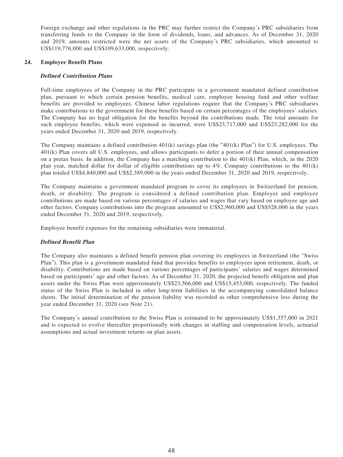Foreign exchange and other regulations in the PRC may further restrict the Company's PRC subsidiaries from transferring funds to the Company in the form of dividends, loans, and advances. As of December 31, 2020 and 2019, amounts restricted were the net assets of the Company's PRC subsidiaries, which amounted to US\$119,776,000 and US\$109,633,000, respectively.

### **24. Employee Benefit Plans**

### **Defined Contribution Plans**

Full-time employees of the Company in the PRC participate in a government mandated defined contribution plan, pursuant to which certain pension benefits, medical care, employee housing fund and other welfare benefits are provided to employees. Chinese labor regulations require that the Company's PRC subsidiaries make contributions to the government for these benefits based on certain percentages of the employees' salaries. The Company has no legal obligation for the benefits beyond the contributions made. The total amounts for such employee benefits, which were expensed as incurred, were US\$23,717,000 and US\$23,282,000 for the years ended December 31, 2020 and 2019, respectively.

The Company maintains a defined contribution 401(k) savings plan (the "401(k) Plan") for U.S. employees. The 401(k) Plan covers all U.S. employees, and allows participants to defer a portion of their annual compensation on a pretax basis. In addition, the Company has a matching contribution to the 401(k) Plan, which, in the 2020 plan year, matched dollar for dollar of eligible contributions up to 4%. Company contributions to the 401(k) plan totaled US\$4,840,000 and US\$2,389,000 in the years ended December 31, 2020 and 2019, respectively.

The Company maintains a government mandated program to cover its employees in Switzerland for pension, death, or disability. The program is considered a defined contribution plan. Employer and employee contributions are made based on various percentages of salaries and wages that vary based on employee age and other factors. Company contributions into the program amounted to US\$2,960,000 and US\$528,000 in the years ended December 31, 2020 and 2019, respectively.

Employee benefit expenses for the remaining subsidiaries were immaterial.

### **Defined Benefit Plan**

The Company also maintains a defined benefit pension plan covering its employees in Switzerland (the "Swiss Plan"). This plan is a government mandated fund that provides benefits to employees upon retirement, death, or disability. Contributions are made based on various percentages of participants' salaries and wages determined based on participants' age and other factors. As of December 31, 2020, the projected benefit obligation and plan assets under the Swiss Plan were approximately US\$23,566,000 and US\$15,453,000, respectively. The funded status of the Swiss Plan is included in other long-term liabilities in the accompanying consolidated balance sheets. The initial determination of the pension liability was recorded as other comprehensive loss during the year ended December 31, 2020 (see Note 21).

The Company's annual contribution to the Swiss Plan is estimated to be approximately US\$1,357,000 in 2021 and is expected to evolve thereafter proportionally with changes in staffing and compensation levels, actuarial assumptions and actual investment returns on plan assets.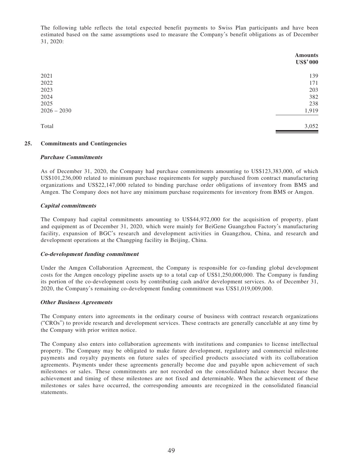The following table reflects the total expected benefit payments to Swiss Plan participants and have been estimated based on the same assumptions used to measure the Company's benefit obligations as of December 31, 2020:

|               | <b>Amounts</b><br><b>US\$'000</b> |
|---------------|-----------------------------------|
| 2021          | 139                               |
| 2022          | 171                               |
| 2023          | 203                               |
| 2024          | 382                               |
| 2025          | 238                               |
| $2026 - 2030$ | 1,919                             |
| Total         | 3,052                             |

### **25. Commitments and Contingencies**

#### **Purchase Commitments**

As of December 31, 2020, the Company had purchase commitments amounting to US\$123,383,000, of which US\$101,236,000 related to minimum purchase requirements for supply purchased from contract manufacturing organizations and US\$22,147,000 related to binding purchase order obligations of inventory from BMS and Amgen. The Company does not have any minimum purchase requirements for inventory from BMS or Amgen.

### **Capital commitments**

The Company had capital commitments amounting to US\$44,972,000 for the acquisition of property, plant and equipment as of December 31, 2020, which were mainly for BeiGene Guangzhou Factory's manufacturing facility, expansion of BGC's research and development activities in Guangzhou, China, and research and development operations at the Changping facility in Beijing, China.

#### **Co-development funding commitment**

Under the Amgen Collaboration Agreement, the Company is responsible for co-funding global development costs for the Amgen oncology pipeline assets up to a total cap of US\$1,250,000,000. The Company is funding its portion of the co-development costs by contributing cash and/or development services. As of December 31, 2020, the Company's remaining co-development funding commitment was US\$1,019,009,000.

#### **Other Business Agreements**

The Company enters into agreements in the ordinary course of business with contract research organizations ("CROs") to provide research and development services. These contracts are generally cancelable at any time by the Company with prior written notice.

The Company also enters into collaboration agreements with institutions and companies to license intellectual property. The Company may be obligated to make future development, regulatory and commercial milestone payments and royalty payments on future sales of specified products associated with its collaboration agreements. Payments under these agreements generally become due and payable upon achievement of such milestones or sales. These commitments are not recorded on the consolidated balance sheet because the achievement and timing of these milestones are not fixed and determinable. When the achievement of these milestones or sales have occurred, the corresponding amounts are recognized in the consolidated financial statements.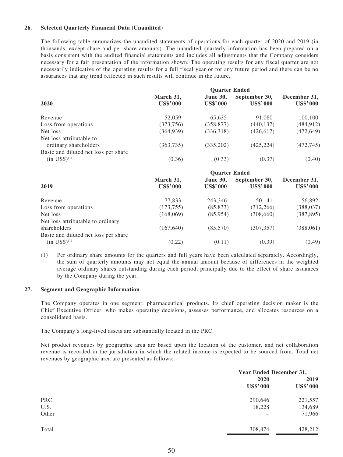### **26. Selected Quarterly Financial Data (Unaudited)**

The following table summarizes the unaudited statements of operations for each quarter of 2020 and 2019 (in thousands, except share and per share amounts). The unaudited quarterly information has been prepared on a basis consistent with the audited financial statements and includes all adjustments that the Company considers necessary for a fair presentation of the information shown. The operating results for any fiscal quarter are not necessarily indicative of the operating results for a full fiscal year or for any future period and there can be no assurances that any trend reflected in such results will continue in the future.

| 2020                                                              |                              |                                    |                                  |                                 |
|-------------------------------------------------------------------|------------------------------|------------------------------------|----------------------------------|---------------------------------|
|                                                                   | March 31,<br><b>US\$'000</b> | <b>June 30,</b><br><b>US\$'000</b> | September 30,<br><b>US\$'000</b> | December 31,<br><b>US\$'000</b> |
| Revenue                                                           | 52,059                       | 65,635                             | 91,080                           | 100,100                         |
| Loss from operations                                              | (373, 756)                   | (358, 877)                         | (440, 137)                       | (484, 912)                      |
| Net loss                                                          | (364, 939)                   | (336,318)                          | (426, 617)                       | (472, 649)                      |
| Net loss attributable to<br>ordinary shareholders                 | (363, 735)                   | (335,202)                          | (425, 224)                       | (472, 745)                      |
| Basic and diluted net loss per share<br>$(in \text{ US}\$)^{(1)}$ | (0.36)                       | (0.33)                             | (0.37)                           | (0.40)                          |

| 2019                                 |                              |                                    |                                  |                                 |
|--------------------------------------|------------------------------|------------------------------------|----------------------------------|---------------------------------|
|                                      | March 31,<br><b>US\$'000</b> | <b>June 30,</b><br><b>US\$'000</b> | September 30,<br><b>US\$'000</b> | December 31,<br><b>US\$'000</b> |
| Revenue                              | 77,833                       | 243,346                            | 50,141                           | 56,892                          |
| Loss from operations                 | (173, 755)                   | (85, 833)                          | (312, 266)                       | (388, 037)                      |
| Net loss                             | (168,069)                    | (85,954)                           | (308,660)                        | (387, 895)                      |
| Net loss attributable to ordinary    |                              |                                    |                                  |                                 |
| shareholders                         | (167, 640)                   | (85,570)                           | (307, 357)                       | (388, 061)                      |
| Basic and diluted net loss per share |                              |                                    |                                  |                                 |
| $(in \text{ US}\$)^{(1)}$            | (0.22)                       | (0.11)                             | (0.39)                           | (0.49)                          |

(1) Per ordinary share amounts for the quarters and full years have been calculated separately. Accordingly, the sum of quarterly amounts may not equal the annual amount because of differences in the weighted average ordinary shares outstanding during each period, principally due to the effect of share issuances by the Company during the year.

### **27. Segment and Geographic Information**

The Company operates in one segment: pharmaceutical products. Its chief operating decision maker is the Chief Executive Officer, who makes operating decisions, assesses performance, and allocates resources on a consolidated basis.

The Company's long-lived assets are substantially located in the PRC.

Net product revenues by geographic area are based upon the location of the customer, and net collaboration revenue is recorded in the jurisdiction in which the related income is expected to be sourced from. Total net revenues by geographic area are presented as follows:

|            | <b>Year Ended December 31,</b> |                         |  |
|------------|--------------------------------|-------------------------|--|
|            | 2020<br><b>US\$'000</b>        | 2019<br><b>US\$'000</b> |  |
| <b>PRC</b> | 290,646                        | 221,557                 |  |
| U.S.       | 18,228                         | 134,689                 |  |
| Other      |                                | 71,966                  |  |
| Total      | 308,874                        | 428,212                 |  |
|            |                                |                         |  |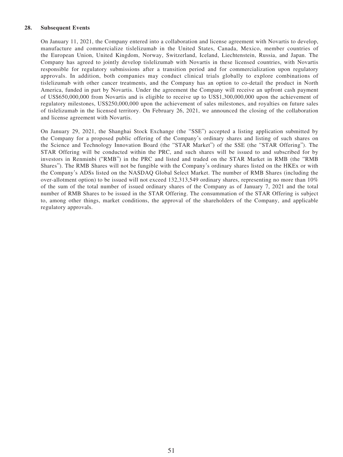### **28. Subsequent Events**

On January 11, 2021, the Company entered into a collaboration and license agreement with Novartis to develop, manufacture and commercialize tislelizumab in the United States, Canada, Mexico, member countries of the European Union, United Kingdom, Norway, Switzerland, Iceland, Liechtenstein, Russia, and Japan. The Company has agreed to jointly develop tislelizumab with Novartis in these licensed countries, with Novartis responsible for regulatory submissions after a transition period and for commercialization upon regulatory approvals. In addition, both companies may conduct clinical trials globally to explore combinations of tislelizumab with other cancer treatments, and the Company has an option to co-detail the product in North America, funded in part by Novartis. Under the agreement the Company will receive an upfront cash payment of US\$650,000,000 from Novartis and is eligible to receive up to US\$1,300,000,000 upon the achievement of regulatory milestones, US\$250,000,000 upon the achievement of sales milestones, and royalties on future sales of tislelizumab in the licensed territory. On February 26, 2021, we announced the closing of the collaboration and license agreement with Novartis.

On January 29, 2021, the Shanghai Stock Exchange (the "SSE") accepted a listing application submitted by the Company for a proposed public offering of the Company's ordinary shares and listing of such shares on the Science and Technology Innovation Board (the "STAR Market") of the SSE (the "STAR Offering"). The STAR Offering will be conducted within the PRC, and such shares will be issued to and subscribed for by investors in Renminbi ("RMB") in the PRC and listed and traded on the STAR Market in RMB (the "RMB Shares"). The RMB Shares will not be fungible with the Company's ordinary shares listed on the HKEx or with the Company's ADSs listed on the NASDAQ Global Select Market. The number of RMB Shares (including the over-allotment option) to be issued will not exceed 132,313,549 ordinary shares, representing no more than 10% of the sum of the total number of issued ordinary shares of the Company as of January 7, 2021 and the total number of RMB Shares to be issued in the STAR Offering. The consummation of the STAR Offering is subject to, among other things, market conditions, the approval of the shareholders of the Company, and applicable regulatory approvals.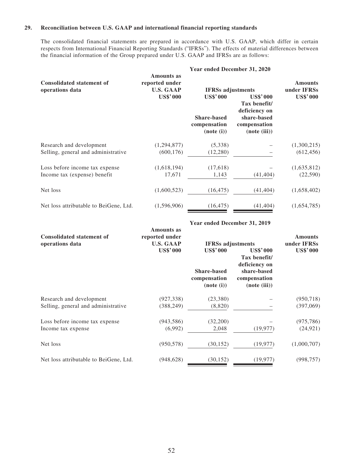### **29. Reconciliation between U.S. GAAP and international financial reporting standards**

The consolidated financial statements are prepared in accordance with U.S. GAAP, which differ in certain respects from International Financial Reporting Standards ("IFRSs"). The effects of material differences between the financial information of the Group prepared under U.S. GAAP and IFRSs are as follows:

| <b>Consolidated statement of</b><br>operations data             | <b>Amounts</b> as<br>reported under<br><b>U.S. GAAP</b> | <b>IFRSs</b> adjustments                                            |                                                                                                 | <b>Amounts</b><br>under IFRSs |
|-----------------------------------------------------------------|---------------------------------------------------------|---------------------------------------------------------------------|-------------------------------------------------------------------------------------------------|-------------------------------|
|                                                                 | <b>US\$'000</b>                                         | <b>US\$'000</b><br><b>Share-based</b><br>compensation<br>(note (i)) | <b>US\$'000</b><br>Tax benefit/<br>deficiency on<br>share-based<br>compensation<br>(note (iii)) | <b>US\$'000</b>               |
| Research and development<br>Selling, general and administrative | (1,294,877)<br>(600, 176)                               | (5,338)<br>(12,280)                                                 |                                                                                                 | (1,300,215)<br>(612, 456)     |
| Loss before income tax expense<br>Income tax (expense) benefit  | (1,618,194)<br>17,671                                   | (17,618)<br>1,143                                                   | (41, 404)                                                                                       | (1,635,812)<br>(22, 590)      |
| Net loss                                                        | (1,600,523)                                             | (16, 475)                                                           | (41, 404)                                                                                       | (1,658,402)                   |
| Net loss attributable to BeiGene, Ltd.                          | (1,596,906)                                             | (16, 475)                                                           | (41, 404)                                                                                       | (1,654,785)                   |

| <b>Consolidated statement of</b><br>operations data             | <b>Amounts as</b><br>reported under<br><b>U.S. GAAP</b> | <b>IFRSs adjustments</b>                                            |                                                                                                 | <b>Amounts</b><br>under IFRSs |
|-----------------------------------------------------------------|---------------------------------------------------------|---------------------------------------------------------------------|-------------------------------------------------------------------------------------------------|-------------------------------|
|                                                                 | <b>US\$'000</b>                                         | <b>US\$'000</b><br><b>Share-based</b><br>compensation<br>(note (i)) | <b>US\$'000</b><br>Tax benefit/<br>deficiency on<br>share-based<br>compensation<br>(note (iii)) | <b>US\$'000</b>               |
| Research and development<br>Selling, general and administrative | (927, 338)<br>(388, 249)                                | (23,380)<br>(8,820)                                                 |                                                                                                 | (950, 718)<br>(397,069)       |
| Loss before income tax expense<br>Income tax expense            | (943, 586)<br>(6,992)                                   | (32,200)<br>2,048                                                   | (19, 977)                                                                                       | (975, 786)<br>(24, 921)       |
| Net loss                                                        | (950, 578)                                              | (30, 152)                                                           | (19, 977)                                                                                       | (1,000,707)                   |
| Net loss attributable to BeiGene, Ltd.                          | (948, 628)                                              | (30, 152)                                                           | (19, 977)                                                                                       | (998, 757)                    |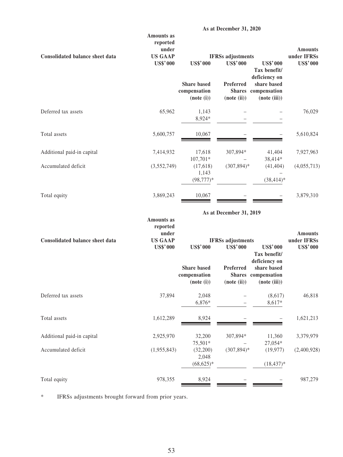|                                        | <b>Amounts</b> as<br>reported<br>under |                                                  |                                             |                                                    | <b>Amounts</b>                 |
|----------------------------------------|----------------------------------------|--------------------------------------------------|---------------------------------------------|----------------------------------------------------|--------------------------------|
| <b>Consolidated balance sheet data</b> | <b>US GAAP</b><br><b>US\$'000</b>      | <b>US\$'000</b>                                  | <b>IFRSs</b> adjustments<br><b>US\$'000</b> | <b>US\$'000</b><br>Tax benefit/<br>deficiency on   | under IFRSs<br><b>US\$'000</b> |
|                                        |                                        | <b>Share</b> based<br>compensation<br>(note (i)) | Preferred<br>(note (ii))                    | share based<br>Shares compensation<br>(note (iii)) |                                |
| Deferred tax assets                    | 65,962                                 | 1,143<br>8,924*                                  |                                             |                                                    | 76,029                         |
| Total assets                           | 5,600,757                              | 10,067                                           |                                             |                                                    | 5,610,824                      |
| Additional paid-in capital             | 7,414,932                              | 17,618                                           | 307,894*                                    | 41,404                                             | 7,927,963                      |
| Accumulated deficit                    | (3,552,749)                            | $107,701*$<br>(17,618)<br>1,143<br>$(98, 777)*$  | $(307, 894)^*$                              | 38,414*<br>(41, 404)<br>$(38, 414)^*$              | (4,055,713)                    |
| Total equity                           | 3,869,243                              | 10,067                                           |                                             |                                                    | 3,879,310                      |
|                                        |                                        |                                                  | As at December 31, 2019                     |                                                    |                                |
|                                        | <b>Amounts</b> as<br>reported<br>under |                                                  |                                             |                                                    | <b>Amounts</b>                 |
| <b>Consolidated balance sheet data</b> | <b>US GAAP</b><br><b>US\$'000</b>      | <b>US\$'000</b>                                  | <b>IFRSs</b> adjustments<br><b>US\$'000</b> | <b>US\$'000</b><br>Tax benefit/<br>deficiency on   | under IFRSs<br><b>US\$'000</b> |
|                                        |                                        | <b>Share</b> based<br>compensation<br>(note (i)) | Preferred<br>(note (ii))                    | share based<br>Shares compensation<br>(note (iii)) |                                |
| Deferred tax assets                    | 37,894                                 | 2,048<br>6,876*                                  |                                             | (8,617)<br>8,617*                                  | 46,818                         |
| Total assets                           | 1,612,289                              | 8,924                                            |                                             |                                                    | 1,621,213                      |
| Additional paid-in capital             | 2,925,970                              | 32,200<br>75,501*                                | 307,894*                                    | 11,360<br>27,054*                                  | 3,379,979                      |
| Accumulated deficit                    | (1,955,843)                            | (32,200)<br>2,048<br>$(68, 625)*$                | $(307, 894)^*$                              | (19, 977)<br>$(18, 437)^*$                         | (2,400,928)                    |
| Total equity                           | 978,355                                | 8,924                                            |                                             |                                                    | 987,279                        |

\* IFRSs adjustments brought forward from prior years.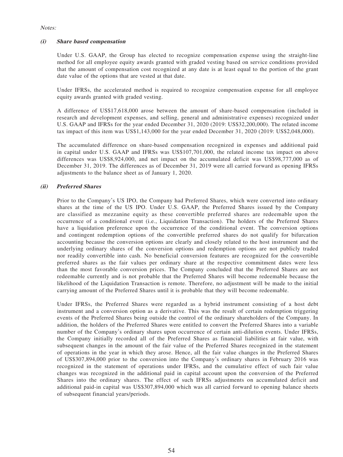#### Notes:

### **(i) Share based compensation**

Under U.S. GAAP, the Group has elected to recognize compensation expense using the straight-line method for all employee equity awards granted with graded vesting based on service conditions provided that the amount of compensation cost recognized at any date is at least equal to the portion of the grant date value of the options that are vested at that date.

Under IFRSs, the accelerated method is required to recognize compensation expense for all employee equity awards granted with graded vesting.

A difference of US\$17,618,000 arose between the amount of share-based compensation (included in research and development expenses, and selling, general and administrative expenses) recognized under U.S. GAAP and IFRSs for the year ended December 31, 2020 (2019: US\$32,200,000). The related income tax impact of this item was US\$1,143,000 for the year ended December 31, 2020 (2019: US\$2,048,000).

The accumulated difference on share-based compensation recognized in expenses and additional paid in capital under U.S. GAAP and IFRSs was US\$107,701,000, the related income tax impact on above differences was US\$8,924,000, and net impact on the accumulated deficit was US\$98,777,000 as of December 31, 2019. The differences as of December 31, 2019 were all carried forward as opening IFRSs adjustments to the balance sheet as of January 1, 2020.

### **(ii) Preferred Shares**

Prior to the Company's US IPO, the Company had Preferred Shares, which were converted into ordinary shares at the time of the US IPO. Under U.S. GAAP, the Preferred Shares issued by the Company are classified as mezzanine equity as these convertible preferred shares are redeemable upon the occurrence of a conditional event (i.e., Liquidation Transaction). The holders of the Preferred Shares have a liquidation preference upon the occurrence of the conditional event. The conversion options and contingent redemption options of the convertible preferred shares do not qualify for bifurcation accounting because the conversion options are clearly and closely related to the host instrument and the underlying ordinary shares of the conversion options and redemption options are not publicly traded nor readily convertible into cash. No beneficial conversion features are recognized for the convertible preferred shares as the fair values per ordinary share at the respective commitment dates were less than the most favorable conversion prices. The Company concluded that the Preferred Shares are not redeemable currently and is not probable that the Preferred Shares will become redeemable because the likelihood of the Liquidation Transaction is remote. Therefore, no adjustment will be made to the initial carrying amount of the Preferred Shares until it is probable that they will become redeemable.

Under IFRSs, the Preferred Shares were regarded as a hybrid instrument consisting of a host debt instrument and a conversion option as a derivative. This was the result of certain redemption triggering events of the Preferred Shares being outside the control of the ordinary shareholders of the Company. In addition, the holders of the Preferred Shares were entitled to convert the Preferred Shares into a variable number of the Company's ordinary shares upon occurrence of certain anti-dilution events. Under IFRSs, the Company initially recorded all of the Preferred Shares as financial liabilities at fair value, with subsequent changes in the amount of the fair value of the Preferred Shares recognized in the statement of operations in the year in which they arose. Hence, all the fair value changes in the Preferred Shares of US\$307,894,000 prior to the conversion into the Company's ordinary shares in February 2016 was recognized in the statement of operations under IFRSs, and the cumulative effect of such fair value changes was recognized in the additional paid in capital account upon the conversion of the Preferred Shares into the ordinary shares. The effect of such IFRSs adjustments on accumulated deficit and additional paid-in capital was US\$307,894,000 which was all carried forward to opening balance sheets of subsequent financial years/periods.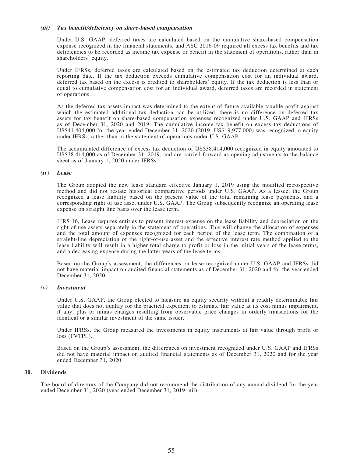#### **(iii) Tax benefit/deficiency on share-based compensation**

Under U.S. GAAP, deferred taxes are calculated based on the cumulative share-based compensation expense recognized in the financial statements, and ASC 2016-09 required all excess tax benefits and tax deficiencies to be recorded as income tax expense or benefit in the statement of operations, rather than in shareholders' equity.

Under IFRSs, deferred taxes are calculated based on the estimated tax deduction determined at each reporting date. If the tax deduction exceeds cumulative compensation cost for an individual award, deferred tax based on the excess is credited to shareholders' equity. If the tax deduction is less than or equal to cumulative compensation cost for an individual award, deferred taxes are recorded in statement of operations.

As the deferred tax assets impact was determined to the extent of future available taxable profit against which the estimated additional tax deduction can be utilized, there is no difference on deferred tax assets for tax benefit on share-based compensation expenses recognized under U.S. GAAP and IFRSs as of December 31, 2020 and 2019. The cumulative income tax benefit on excess tax deductions of US\$41,404,000 for the year ended December 31, 2020 (2019: US\$19,977,000) was recognized in equity under IFRSs, rather than in the statement of operations under U.S. GAAP.

The accumulated difference of excess tax deduction of US\$38,414,000 recognized in equity amounted to US\$38,414,000 as of December 31, 2019, and are carried forward as opening adjustments to the balance sheet as of January 1, 2020 under IFRSs.

### **(iv) Lease**

The Group adopted the new lease standard effective January 1, 2019 using the modified retrospective method and did not restate historical comparative periods under U.S. GAAP. As a lessee, the Group recognized a lease liability based on the present value of the total remaining lease payments, and a corresponding right of use asset under U.S. GAAP. The Group subsequently recognize an operating lease expense on straight line basis over the lease term.

IFRS 16, Lease requires entities to present interest expense on the lease liability and depreciation on the right of use assets separately in the statement of operations. This will change the allocation of expenses and the total amount of expenses recognized for each period of the lease term. The combination of a straight-line depreciation of the right-of-use asset and the effective interest rate method applied to the lease liability will result in a higher total charge to profit or loss in the initial years of the lease terms, and a decreasing expense during the latter years of the lease terms.

Based on the Group's assessment, the differences on lease recognized under U.S. GAAP and IFRSs did not have material impact on audited financial statements as of December 31, 2020 and for the year ended December 31, 2020.

#### **(v) Investment**

Under U.S. GAAP, the Group elected to measure an equity security without a readily determinable fair value that does not qualify for the practical expedient to estimate fair value at its cost minus impairment, if any, plus or minus changes resulting from observable price changes in orderly transactions for the identical or a similar investment of the same issuer.

Under IFRSs, the Group measured the investments in equity instruments at fair value through profit or loss (FVTPL).

Based on the Group's assessment, the differences on investment recognized under U.S. GAAP and IFRSs did not have material impact on audited financial statements as of December 31, 2020 and for the year ended December 31, 2020.

### **30. Dividends**

The board of directors of the Company did not recommend the distribution of any annual dividend for the year ended December 31, 2020 (year ended December 31, 2019: nil).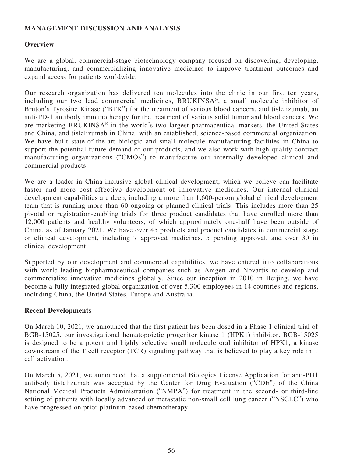## **MANAGEMENT DISCUSSION AND ANALYSIS**

## **Overview**

We are a global, commercial-stage biotechnology company focused on discovering, developing, manufacturing, and commercializing innovative medicines to improve treatment outcomes and expand access for patients worldwide.

Our research organization has delivered ten molecules into the clinic in our first ten years, including our two lead commercial medicines, BRUKINSA®, a small molecule inhibitor of Bruton's Tyrosine Kinase ("BTK") for the treatment of various blood cancers, and tislelizumab, an anti-PD-1 antibody immunotherapy for the treatment of various solid tumor and blood cancers. We are marketing BRUKINSA® in the world's two largest pharmaceutical markets, the United States and China, and tislelizumab in China, with an established, science-based commercial organization. We have built state-of-the-art biologic and small molecule manufacturing facilities in China to support the potential future demand of our products, and we also work with high quality contract manufacturing organizations ("CMOs") to manufacture our internally developed clinical and commercial products.

We are a leader in China-inclusive global clinical development, which we believe can facilitate faster and more cost-effective development of innovative medicines. Our internal clinical development capabilities are deep, including a more than 1,600-person global clinical development team that is running more than 60 ongoing or planned clinical trials. This includes more than 25 pivotal or registration-enabling trials for three product candidates that have enrolled more than 12,000 patients and healthy volunteers, of which approximately one-half have been outside of China, as of January 2021. We have over 45 products and product candidates in commercial stage or clinical development, including 7 approved medicines, 5 pending approval, and over 30 in clinical development.

Supported by our development and commercial capabilities, we have entered into collaborations with world-leading biopharmaceutical companies such as Amgen and Novartis to develop and commercialize innovative medicines globally. Since our inception in 2010 in Beijing, we have become a fully integrated global organization of over 5,300 employees in 14 countries and regions, including China, the United States, Europe and Australia.

## **Recent Developments**

On March 10, 2021, we announced that the first patient has been dosed in a Phase 1 clinical trial of BGB-15025, our investigational hematopoietic progenitor kinase 1 (HPK1) inhibitor. BGB-15025 is designed to be a potent and highly selective small molecule oral inhibitor of HPK1, a kinase downstream of the T cell receptor (TCR) signaling pathway that is believed to play a key role in T cell activation.

On March 5, 2021, we announced that a supplemental Biologics License Application for anti-PD1 antibody tislelizumab was accepted by the Center for Drug Evaluation ("CDE") of the China National Medical Products Administration ("NMPA") for treatment in the second- or third-line setting of patients with locally advanced or metastatic non-small cell lung cancer ("NSCLC") who have progressed on prior platinum-based chemotherapy.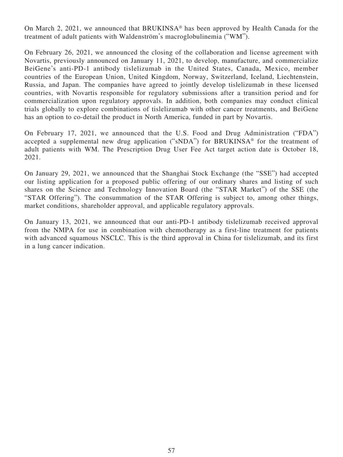On March 2, 2021, we announced that BRUKINSA® has been approved by Health Canada for the treatment of adult patients with Waldenström's macroglobulinemia ("WM").

On February 26, 2021, we announced the closing of the collaboration and license agreement with Novartis, previously announced on January 11, 2021, to develop, manufacture, and commercialize BeiGene's anti-PD-1 antibody tislelizumab in the United States, Canada, Mexico, member countries of the European Union, United Kingdom, Norway, Switzerland, Iceland, Liechtenstein, Russia, and Japan. The companies have agreed to jointly develop tislelizumab in these licensed countries, with Novartis responsible for regulatory submissions after a transition period and for commercialization upon regulatory approvals. In addition, both companies may conduct clinical trials globally to explore combinations of tislelizumab with other cancer treatments, and BeiGene has an option to co-detail the product in North America, funded in part by Novartis.

On February 17, 2021, we announced that the U.S. Food and Drug Administration ("FDA") accepted a supplemental new drug application ("sNDA") for BRUKINSA® for the treatment of adult patients with WM. The Prescription Drug User Fee Act target action date is October 18, 2021.

On January 29, 2021, we announced that the Shanghai Stock Exchange (the "SSE") had accepted our listing application for a proposed public offering of our ordinary shares and listing of such shares on the Science and Technology Innovation Board (the "STAR Market") of the SSE (the "STAR Offering"). The consummation of the STAR Offering is subject to, among other things, market conditions, shareholder approval, and applicable regulatory approvals.

On January 13, 2021, we announced that our anti-PD-1 antibody tislelizumab received approval from the NMPA for use in combination with chemotherapy as a first-line treatment for patients with advanced squamous NSCLC. This is the third approval in China for tislelizumab, and its first in a lung cancer indication.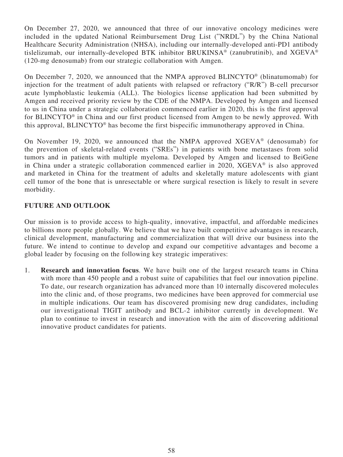On December 27, 2020, we announced that three of our innovative oncology medicines were included in the updated National Reimbursement Drug List ("NRDL") by the China National Healthcare Security Administration (NHSA), including our internally-developed anti-PD1 antibody tislelizumab, our internally-developed BTK inhibitor BRUKINSA® (zanubrutinib), and XGEVA® (120-mg denosumab) from our strategic collaboration with Amgen.

On December 7, 2020, we announced that the NMPA approved BLINCYTO® (blinatumomab) for injection for the treatment of adult patients with relapsed or refractory ("R/R") B-cell precursor acute lymphoblastic leukemia (ALL). The biologics license application had been submitted by Amgen and received priority review by the CDE of the NMPA. Developed by Amgen and licensed to us in China under a strategic collaboration commenced earlier in 2020, this is the first approval for BLINCYTO® in China and our first product licensed from Amgen to be newly approved. With this approval, BLINCYTO® has become the first bispecific immunotherapy approved in China.

On November 19, 2020, we announced that the NMPA approved XGEVA® (denosumab) for the prevention of skeletal-related events ("SREs") in patients with bone metastases from solid tumors and in patients with multiple myeloma. Developed by Amgen and licensed to BeiGene in China under a strategic collaboration commenced earlier in 2020, XGEVA® is also approved and marketed in China for the treatment of adults and skeletally mature adolescents with giant cell tumor of the bone that is unresectable or where surgical resection is likely to result in severe morbidity.

## **FUTURE AND OUTLOOK**

Our mission is to provide access to high-quality, innovative, impactful, and affordable medicines to billions more people globally. We believe that we have built competitive advantages in research, clinical development, manufacturing and commercialization that will drive our business into the future. We intend to continue to develop and expand our competitive advantages and become a global leader by focusing on the following key strategic imperatives:

1. **Research and innovation focus**. We have built one of the largest research teams in China with more than 450 people and a robust suite of capabilities that fuel our innovation pipeline. To date, our research organization has advanced more than 10 internally discovered molecules into the clinic and, of those programs, two medicines have been approved for commercial use in multiple indications. Our team has discovered promising new drug candidates, including our investigational TIGIT antibody and BCL-2 inhibitor currently in development. We plan to continue to invest in research and innovation with the aim of discovering additional innovative product candidates for patients.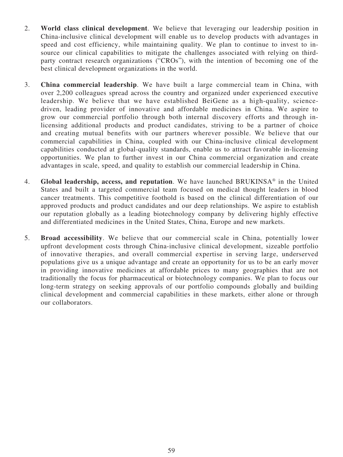- 2. **World class clinical development**. We believe that leveraging our leadership position in China-inclusive clinical development will enable us to develop products with advantages in speed and cost efficiency, while maintaining quality. We plan to continue to invest to insource our clinical capabilities to mitigate the challenges associated with relying on thirdparty contract research organizations ("CROs"), with the intention of becoming one of the best clinical development organizations in the world.
- 3. **China commercial leadership**. We have built a large commercial team in China, with over 2,200 colleagues spread across the country and organized under experienced executive leadership. We believe that we have established BeiGene as a high-quality, sciencedriven, leading provider of innovative and affordable medicines in China. We aspire to grow our commercial portfolio through both internal discovery efforts and through inlicensing additional products and product candidates, striving to be a partner of choice and creating mutual benefits with our partners wherever possible. We believe that our commercial capabilities in China, coupled with our China-inclusive clinical development capabilities conducted at global-quality standards, enable us to attract favorable in-licensing opportunities. We plan to further invest in our China commercial organization and create advantages in scale, speed, and quality to establish our commercial leadership in China.
- 4. **Global leadership, access, and reputation**. We have launched BRUKINSA® in the United States and built a targeted commercial team focused on medical thought leaders in blood cancer treatments. This competitive foothold is based on the clinical differentiation of our approved products and product candidates and our deep relationships. We aspire to establish our reputation globally as a leading biotechnology company by delivering highly effective and differentiated medicines in the United States, China, Europe and new markets.
- 5. **Broad accessibility**. We believe that our commercial scale in China, potentially lower upfront development costs through China-inclusive clinical development, sizeable portfolio of innovative therapies, and overall commercial expertise in serving large, underserved populations give us a unique advantage and create an opportunity for us to be an early mover in providing innovative medicines at affordable prices to many geographies that are not traditionally the focus for pharmaceutical or biotechnology companies. We plan to focus our long-term strategy on seeking approvals of our portfolio compounds globally and building clinical development and commercial capabilities in these markets, either alone or through our collaborators.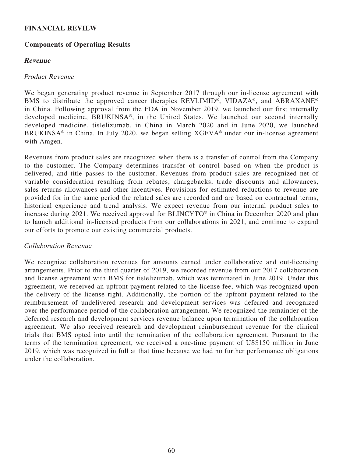## **FINANCIAL REVIEW**

## **Components of Operating Results**

## **Revenue**

## Product Revenue

We began generating product revenue in September 2017 through our in-license agreement with BMS to distribute the approved cancer therapies REVLIMID<sup>®</sup>, VIDAZA<sup>®</sup>, and ABRAXANE<sup>®</sup> in China. Following approval from the FDA in November 2019, we launched our first internally developed medicine, BRUKINSA®, in the United States. We launched our second internally developed medicine, tislelizumab, in China in March 2020 and in June 2020, we launched BRUKINSA® in China. In July 2020, we began selling XGEVA® under our in-license agreement with Amgen.

Revenues from product sales are recognized when there is a transfer of control from the Company to the customer. The Company determines transfer of control based on when the product is delivered, and title passes to the customer. Revenues from product sales are recognized net of variable consideration resulting from rebates, chargebacks, trade discounts and allowances, sales returns allowances and other incentives. Provisions for estimated reductions to revenue are provided for in the same period the related sales are recorded and are based on contractual terms, historical experience and trend analysis. We expect revenue from our internal product sales to increase during 2021. We received approval for BLINCYTO® in China in December 2020 and plan to launch additional in-licensed products from our collaborations in 2021, and continue to expand our efforts to promote our existing commercial products.

### Collaboration Revenue

We recognize collaboration revenues for amounts earned under collaborative and out-licensing arrangements. Prior to the third quarter of 2019, we recorded revenue from our 2017 collaboration and license agreement with BMS for tislelizumab, which was terminated in June 2019. Under this agreement, we received an upfront payment related to the license fee, which was recognized upon the delivery of the license right. Additionally, the portion of the upfront payment related to the reimbursement of undelivered research and development services was deferred and recognized over the performance period of the collaboration arrangement. We recognized the remainder of the deferred research and development services revenue balance upon termination of the collaboration agreement. We also received research and development reimbursement revenue for the clinical trials that BMS opted into until the termination of the collaboration agreement. Pursuant to the terms of the termination agreement, we received a one-time payment of US\$150 million in June 2019, which was recognized in full at that time because we had no further performance obligations under the collaboration.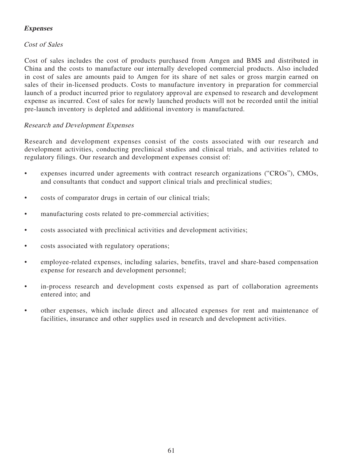## **Expenses**

## Cost of Sales

Cost of sales includes the cost of products purchased from Amgen and BMS and distributed in China and the costs to manufacture our internally developed commercial products. Also included in cost of sales are amounts paid to Amgen for its share of net sales or gross margin earned on sales of their in-licensed products. Costs to manufacture inventory in preparation for commercial launch of a product incurred prior to regulatory approval are expensed to research and development expense as incurred. Cost of sales for newly launched products will not be recorded until the initial pre-launch inventory is depleted and additional inventory is manufactured.

## Research and Development Expenses

Research and development expenses consist of the costs associated with our research and development activities, conducting preclinical studies and clinical trials, and activities related to regulatory filings. Our research and development expenses consist of:

- expenses incurred under agreements with contract research organizations ("CROs"), CMOs, and consultants that conduct and support clinical trials and preclinical studies;
- costs of comparator drugs in certain of our clinical trials;
- manufacturing costs related to pre-commercial activities;
- costs associated with preclinical activities and development activities;
- costs associated with regulatory operations;
- employee-related expenses, including salaries, benefits, travel and share-based compensation expense for research and development personnel;
- in-process research and development costs expensed as part of collaboration agreements entered into; and
- other expenses, which include direct and allocated expenses for rent and maintenance of facilities, insurance and other supplies used in research and development activities.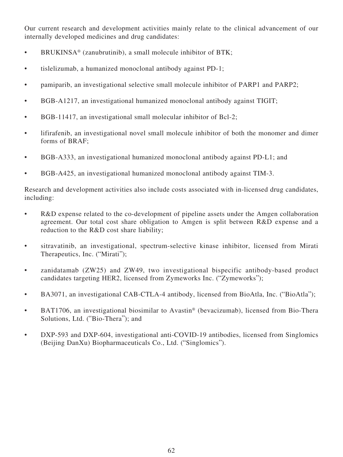Our current research and development activities mainly relate to the clinical advancement of our internally developed medicines and drug candidates:

- BRUKINSA<sup>®</sup> (zanubrutinib), a small molecule inhibitor of BTK;
- tislelizumab, a humanized monoclonal antibody against PD-1;
- pamiparib, an investigational selective small molecule inhibitor of PARP1 and PARP2;
- BGB-A1217, an investigational humanized monoclonal antibody against TIGIT;
- BGB-11417, an investigational small molecular inhibitor of Bcl-2;
- lifirafenib, an investigational novel small molecule inhibitor of both the monomer and dimer forms of BRAF;
- BGB-A333, an investigational humanized monoclonal antibody against PD-L1; and
- BGB-A425, an investigational humanized monoclonal antibody against TIM-3.

Research and development activities also include costs associated with in-licensed drug candidates, including:

- R&D expense related to the co-development of pipeline assets under the Amgen collaboration agreement. Our total cost share obligation to Amgen is split between R&D expense and a reduction to the R&D cost share liability;
- sitravatinib, an investigational, spectrum-selective kinase inhibitor, licensed from Mirati Therapeutics, Inc. ("Mirati");
- zanidatamab (ZW25) and ZW49, two investigational bispecific antibody-based product candidates targeting HER2, licensed from Zymeworks Inc. ("Zymeworks");
- BA3071, an investigational CAB-CTLA-4 antibody, licensed from BioAtla, Inc. ("BioAtla");
- BAT1706, an investigational biosimilar to Avastin<sup>®</sup> (bevacizumab), licensed from Bio-Thera Solutions, Ltd. ("Bio-Thera"); and
- DXP-593 and DXP-604, investigational anti-COVID-19 antibodies, licensed from Singlomics (Beijing DanXu) Biopharmaceuticals Co., Ltd. ("Singlomics").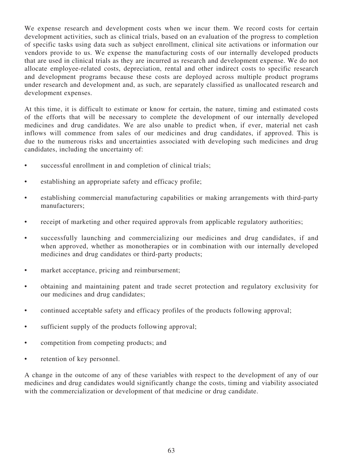We expense research and development costs when we incur them. We record costs for certain development activities, such as clinical trials, based on an evaluation of the progress to completion of specific tasks using data such as subject enrollment, clinical site activations or information our vendors provide to us. We expense the manufacturing costs of our internally developed products that are used in clinical trials as they are incurred as research and development expense. We do not allocate employee-related costs, depreciation, rental and other indirect costs to specific research and development programs because these costs are deployed across multiple product programs under research and development and, as such, are separately classified as unallocated research and development expenses.

At this time, it is difficult to estimate or know for certain, the nature, timing and estimated costs of the efforts that will be necessary to complete the development of our internally developed medicines and drug candidates. We are also unable to predict when, if ever, material net cash inflows will commence from sales of our medicines and drug candidates, if approved. This is due to the numerous risks and uncertainties associated with developing such medicines and drug candidates, including the uncertainty of:

- successful enrollment in and completion of clinical trials;
- establishing an appropriate safety and efficacy profile;
- establishing commercial manufacturing capabilities or making arrangements with third-party manufacturers;
- receipt of marketing and other required approvals from applicable regulatory authorities;
- successfully launching and commercializing our medicines and drug candidates, if and when approved, whether as monotherapies or in combination with our internally developed medicines and drug candidates or third-party products;
- market acceptance, pricing and reimbursement;
- obtaining and maintaining patent and trade secret protection and regulatory exclusivity for our medicines and drug candidates;
- continued acceptable safety and efficacy profiles of the products following approval;
- sufficient supply of the products following approval;
- competition from competing products; and
- retention of key personnel.

A change in the outcome of any of these variables with respect to the development of any of our medicines and drug candidates would significantly change the costs, timing and viability associated with the commercialization or development of that medicine or drug candidate.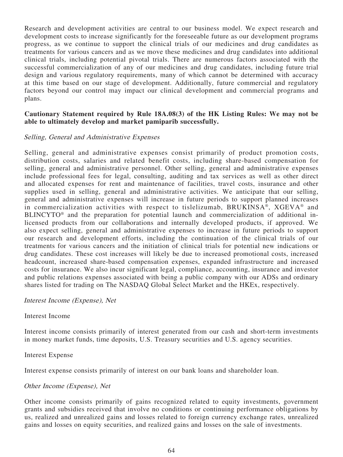Research and development activities are central to our business model. We expect research and development costs to increase significantly for the foreseeable future as our development programs progress, as we continue to support the clinical trials of our medicines and drug candidates as treatments for various cancers and as we move these medicines and drug candidates into additional clinical trials, including potential pivotal trials. There are numerous factors associated with the successful commercialization of any of our medicines and drug candidates, including future trial design and various regulatory requirements, many of which cannot be determined with accuracy at this time based on our stage of development. Additionally, future commercial and regulatory factors beyond our control may impact our clinical development and commercial programs and plans.

### **Cautionary Statement required by Rule 18A.08(3) of the HK Listing Rules: We may not be able to ultimately develop and market pamiparib successfully.**

### Selling, General and Administrative Expenses

Selling, general and administrative expenses consist primarily of product promotion costs, distribution costs, salaries and related benefit costs, including share-based compensation for selling, general and administrative personnel. Other selling, general and administrative expenses include professional fees for legal, consulting, auditing and tax services as well as other direct and allocated expenses for rent and maintenance of facilities, travel costs, insurance and other supplies used in selling, general and administrative activities. We anticipate that our selling, general and administrative expenses will increase in future periods to support planned increases in commercialization activities with respect to tislelizumab, BRUKINSA®, XGEVA® and BLINCYTO® and the preparation for potential launch and commercialization of additional inlicensed products from our collaborations and internally developed products, if approved. We also expect selling, general and administrative expenses to increase in future periods to support our research and development efforts, including the continuation of the clinical trials of our treatments for various cancers and the initiation of clinical trials for potential new indications or drug candidates. These cost increases will likely be due to increased promotional costs, increased headcount, increased share-based compensation expenses, expanded infrastructure and increased costs for insurance. We also incur significant legal, compliance, accounting, insurance and investor and public relations expenses associated with being a public company with our ADSs and ordinary shares listed for trading on The NASDAQ Global Select Market and the HKEx, respectively.

### Interest Income (Expense), Net

Interest Income

Interest income consists primarily of interest generated from our cash and short-term investments in money market funds, time deposits, U.S. Treasury securities and U.S. agency securities.

Interest Expense

Interest expense consists primarily of interest on our bank loans and shareholder loan.

### Other Income (Expense), Net

Other income consists primarily of gains recognized related to equity investments, government grants and subsidies received that involve no conditions or continuing performance obligations by us, realized and unrealized gains and losses related to foreign currency exchange rates, unrealized gains and losses on equity securities, and realized gains and losses on the sale of investments.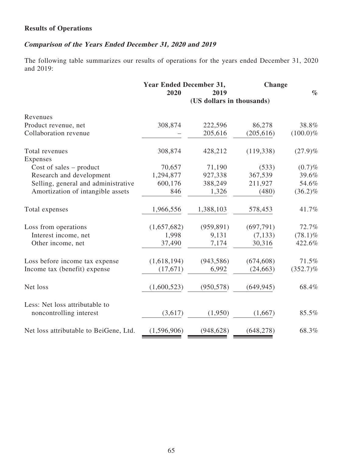## **Results of Operations**

# **Comparison of the Years Ended December 31, 2020 and 2019**

The following table summarizes our results of operations for the years ended December 31, 2020 and 2019:

|                                        | <b>Year Ended December 31,</b> |                           | Change     |             |
|----------------------------------------|--------------------------------|---------------------------|------------|-------------|
|                                        | 2020                           | 2019                      |            | $\%$        |
|                                        |                                | (US dollars in thousands) |            |             |
| Revenues                               |                                |                           |            |             |
| Product revenue, net                   | 308,874                        | 222,596                   | 86,278     | 38.8%       |
| Collaboration revenue                  |                                | 205,616                   | (205, 616) | $(100.0)\%$ |
| Total revenues                         | 308,874                        | 428,212                   | (119, 338) | $(27.9)\%$  |
| Expenses                               |                                |                           |            |             |
| Cost of sales $-$ product              | 70,657                         | 71,190                    | (533)      | $(0.7)\%$   |
| Research and development               | 1,294,877                      | 927,338                   | 367,539    | 39.6%       |
| Selling, general and administrative    | 600,176                        | 388,249                   | 211,927    | 54.6%       |
| Amortization of intangible assets      | 846                            | 1,326                     | (480)      | $(36.2)\%$  |
| Total expenses                         | 1,966,556                      | 1,388,103                 | 578,453    | 41.7%       |
| Loss from operations                   | (1,657,682)                    | (959, 891)                | (697,791)  | 72.7%       |
| Interest income, net                   | 1,998                          | 9,131                     | (7, 133)   | $(78.1)\%$  |
| Other income, net                      | 37,490                         | 7,174                     | 30,316     | 422.6%      |
| Loss before income tax expense         | (1,618,194)                    | (943, 586)                | (674, 608) | 71.5%       |
| Income tax (benefit) expense           | (17, 671)                      | 6,992                     | (24, 663)  | $(352.7)\%$ |
| Net loss                               | (1,600,523)                    | (950, 578)                | (649, 945) | 68.4%       |
| Less: Net loss attributable to         |                                |                           |            |             |
| noncontrolling interest                | (3,617)                        | (1,950)                   | (1,667)    | 85.5%       |
| Net loss attributable to BeiGene, Ltd. | (1,596,906)                    | (948, 628)                | (648, 278) | 68.3%       |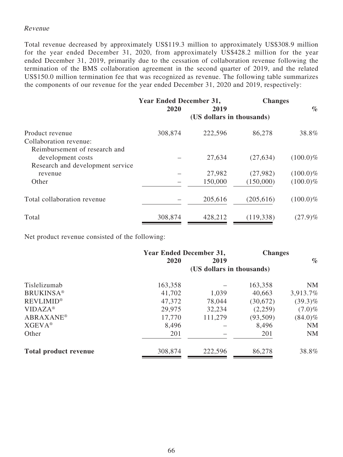### Revenue

Total revenue decreased by approximately US\$119.3 million to approximately US\$308.9 million for the year ended December 31, 2020, from approximately US\$428.2 million for the year ended December 31, 2019, primarily due to the cessation of collaboration revenue following the termination of the BMS collaboration agreement in the second quarter of 2019, and the related US\$150.0 million termination fee that was recognized as revenue. The following table summarizes the components of our revenue for the year ended December 31, 2020 and 2019, respectively:

|                                                                                        | <b>Year Ended December 31,</b><br>2020<br>2019 |                           | <b>Changes</b>        | $\%$                       |
|----------------------------------------------------------------------------------------|------------------------------------------------|---------------------------|-----------------------|----------------------------|
|                                                                                        |                                                | (US dollars in thousands) |                       |                            |
| Product revenue<br>Collaboration revenue:                                              | 308,874                                        | 222,596                   | 86,278                | 38.8%                      |
| Reimbursement of research and<br>development costs<br>Research and development service |                                                | 27,634                    | (27, 634)             | $(100.0)\%$                |
| revenue<br>Other                                                                       |                                                | 27,982<br>150,000         | (27,982)<br>(150,000) | $(100.0)\%$<br>$(100.0)\%$ |
| Total collaboration revenue                                                            |                                                | 205,616                   | (205, 616)            | $(100.0)\%$                |
| Total                                                                                  | 308,874                                        | 428,212                   | (119, 338)            | $(27.9)\%$                 |

Net product revenue consisted of the following:

|                              | <b>Year Ended December 31,</b> |                           | <b>Changes</b> |            |
|------------------------------|--------------------------------|---------------------------|----------------|------------|
|                              | 2020                           | 2019                      |                | $\%$       |
|                              |                                | (US dollars in thousands) |                |            |
| Tislelizumab                 | 163,358                        |                           | 163,358        | <b>NM</b>  |
| <b>BRUKINSA®</b>             | 41,702                         | 1,039                     | 40,663         | 3,913.7%   |
| <b>REVLIMID®</b>             | 47,372                         | 78,044                    | (30,672)       | $(39.3)\%$ |
| $VIDAZA^*$                   | 29,975                         | 32,234                    | (2,259)        | $(7.0)\%$  |
| <b>ABRAXANE®</b>             | 17,770                         | 111,279                   | (93,509)       | $(84.0)\%$ |
| <b>XGEVA®</b>                | 8,496                          |                           | 8,496          | <b>NM</b>  |
| Other                        | 201                            |                           | 201            | <b>NM</b>  |
| <b>Total product revenue</b> | 308,874                        | 222,596                   | 86,278         | 38.8%      |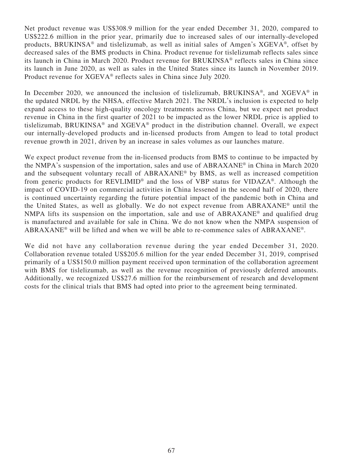Net product revenue was US\$308.9 million for the year ended December 31, 2020, compared to US\$222.6 million in the prior year, primarily due to increased sales of our internally-developed products, BRUKINSA® and tislelizumab, as well as initial sales of Amgen's XGEVA®, offset by decreased sales of the BMS products in China. Product revenue for tislelizumab reflects sales since its launch in China in March 2020. Product revenue for BRUKINSA® reflects sales in China since its launch in June 2020, as well as sales in the United States since its launch in November 2019. Product revenue for XGEVA® reflects sales in China since July 2020.

In December 2020, we announced the inclusion of tislelizumab, BRUKINSA®, and XGEVA® in the updated NRDL by the NHSA, effective March 2021. The NRDL's inclusion is expected to help expand access to these high-quality oncology treatments across China, but we expect net product revenue in China in the first quarter of 2021 to be impacted as the lower NRDL price is applied to tislelizumab, BRUKINSA® and XGEVA® product in the distribution channel. Overall, we expect our internally-developed products and in-licensed products from Amgen to lead to total product revenue growth in 2021, driven by an increase in sales volumes as our launches mature.

We expect product revenue from the in-licensed products from BMS to continue to be impacted by the NMPA's suspension of the importation, sales and use of ABRAXANE® in China in March 2020 and the subsequent voluntary recall of ABRAXANE® by BMS, as well as increased competition from generic products for REVLIMID® and the loss of VBP status for VIDAZA®. Although the impact of COVID-19 on commercial activities in China lessened in the second half of 2020, there is continued uncertainty regarding the future potential impact of the pandemic both in China and the United States, as well as globally. We do not expect revenue from ABRAXANE® until the NMPA lifts its suspension on the importation, sale and use of ABRAXANE® and qualified drug is manufactured and available for sale in China. We do not know when the NMPA suspension of ABRAXANE® will be lifted and when we will be able to re-commence sales of ABRAXANE®.

We did not have any collaboration revenue during the year ended December 31, 2020. Collaboration revenue totaled US\$205.6 million for the year ended December 31, 2019, comprised primarily of a US\$150.0 million payment received upon termination of the collaboration agreement with BMS for tislelizumab, as well as the revenue recognition of previously deferred amounts. Additionally, we recognized US\$27.6 million for the reimbursement of research and development costs for the clinical trials that BMS had opted into prior to the agreement being terminated.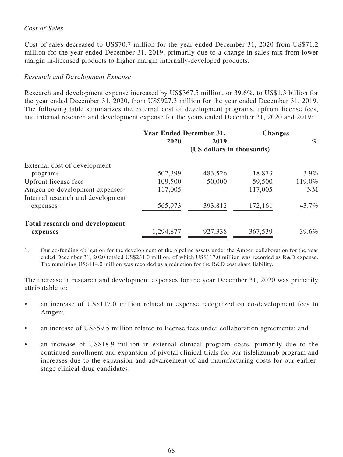## Cost of Sales

Cost of sales decreased to US\$70.7 million for the year ended December 31, 2020 from US\$71.2 million for the year ended December 31, 2019, primarily due to a change in sales mix from lower margin in-licensed products to higher margin internally-developed products.

## Research and Development Expense

Research and development expense increased by US\$367.5 million, or 39.6%, to US\$1.3 billion for the year ended December 31, 2020, from US\$927.3 million for the year ended December 31, 2019. The following table summarizes the external cost of development programs, upfront license fees, and internal research and development expense for the years ended December 31, 2020 and 2019:

|                                            | <b>Year Ended December 31,</b> |         | <b>Changes</b> |           |
|--------------------------------------------|--------------------------------|---------|----------------|-----------|
|                                            | 2020                           | 2019    |                | $\%$      |
|                                            | (US dollars in thousands)      |         |                |           |
| External cost of development               |                                |         |                |           |
| programs                                   | 502,399                        | 483,526 | 18,873         | $3.9\%$   |
| Upfront license fees                       | 109,500                        | 50,000  | 59,500         | 119.0%    |
| Amgen co-development expenses <sup>1</sup> | 117,005                        |         | 117,005        | <b>NM</b> |
| Internal research and development          |                                |         |                |           |
| expenses                                   | 565,973                        | 393,812 | 172,161        | 43.7%     |
| <b>Total research and development</b>      |                                |         |                |           |
| expenses                                   | 1,294,877                      | 927,338 | 367,539        | 39.6%     |

1. Our co-funding obligation for the development of the pipeline assets under the Amgen collaboration for the year ended December 31, 2020 totaled US\$231.0 million, of which US\$117.0 million was recorded as R&D expense. The remaining US\$114.0 million was recorded as a reduction for the R&D cost share liability.

The increase in research and development expenses for the year December 31, 2020 was primarily attributable to:

- an increase of US\$117.0 million related to expense recognized on co-development fees to Amgen;
- an increase of US\$59.5 million related to license fees under collaboration agreements; and
- an increase of US\$18.9 million in external clinical program costs, primarily due to the continued enrollment and expansion of pivotal clinical trials for our tislelizumab program and increases due to the expansion and advancement of and manufacturing costs for our earlierstage clinical drug candidates.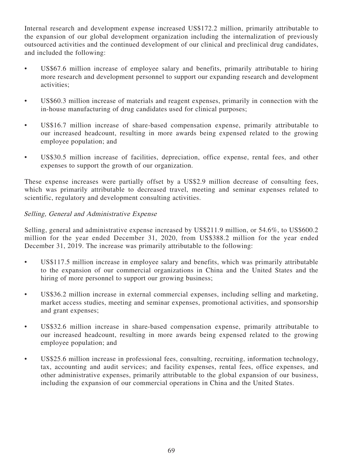Internal research and development expense increased US\$172.2 million, primarily attributable to the expansion of our global development organization including the internalization of previously outsourced activities and the continued development of our clinical and preclinical drug candidates, and included the following:

- US\$67.6 million increase of employee salary and benefits, primarily attributable to hiring more research and development personnel to support our expanding research and development activities;
- US\$60.3 million increase of materials and reagent expenses, primarily in connection with the in-house manufacturing of drug candidates used for clinical purposes;
- US\$16.7 million increase of share-based compensation expense, primarily attributable to our increased headcount, resulting in more awards being expensed related to the growing employee population; and
- US\$30.5 million increase of facilities, depreciation, office expense, rental fees, and other expenses to support the growth of our organization.

These expense increases were partially offset by a US\$2.9 million decrease of consulting fees, which was primarily attributable to decreased travel, meeting and seminar expenses related to scientific, regulatory and development consulting activities.

## Selling, General and Administrative Expense

Selling, general and administrative expense increased by US\$211.9 million, or 54.6%, to US\$600.2 million for the year ended December 31, 2020, from US\$388.2 million for the year ended December 31, 2019. The increase was primarily attributable to the following:

- US\$117.5 million increase in employee salary and benefits, which was primarily attributable to the expansion of our commercial organizations in China and the United States and the hiring of more personnel to support our growing business;
- US\$36.2 million increase in external commercial expenses, including selling and marketing, market access studies, meeting and seminar expenses, promotional activities, and sponsorship and grant expenses;
- US\$32.6 million increase in share-based compensation expense, primarily attributable to our increased headcount, resulting in more awards being expensed related to the growing employee population; and
- US\$25.6 million increase in professional fees, consulting, recruiting, information technology, tax, accounting and audit services; and facility expenses, rental fees, office expenses, and other administrative expenses, primarily attributable to the global expansion of our business, including the expansion of our commercial operations in China and the United States.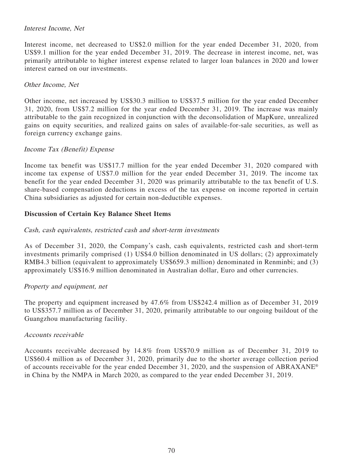## Interest Income, Net

Interest income, net decreased to US\$2.0 million for the year ended December 31, 2020, from US\$9.1 million for the year ended December 31, 2019. The decrease in interest income, net, was primarily attributable to higher interest expense related to larger loan balances in 2020 and lower interest earned on our investments.

## Other Income, Net

Other income, net increased by US\$30.3 million to US\$37.5 million for the year ended December 31, 2020, from US\$7.2 million for the year ended December 31, 2019. The increase was mainly attributable to the gain recognized in conjunction with the deconsolidation of MapKure, unrealized gains on equity securities, and realized gains on sales of available-for-sale securities, as well as foreign currency exchange gains.

### Income Tax (Benefit) Expense

Income tax benefit was US\$17.7 million for the year ended December 31, 2020 compared with income tax expense of US\$7.0 million for the year ended December 31, 2019. The income tax benefit for the year ended December 31, 2020 was primarily attributable to the tax benefit of U.S. share-based compensation deductions in excess of the tax expense on income reported in certain China subsidiaries as adjusted for certain non-deductible expenses.

## **Discussion of Certain Key Balance Sheet Items**

## Cash, cash equivalents, restricted cash and short-term investments

As of December 31, 2020, the Company's cash, cash equivalents, restricted cash and short-term investments primarily comprised (1) US\$4.0 billion denominated in US dollars; (2) approximately RMB4.3 billion (equivalent to approximately US\$659.3 million) denominated in Renminbi; and (3) approximately US\$16.9 million denominated in Australian dollar, Euro and other currencies.

### Property and equipment, net

The property and equipment increased by 47.6% from US\$242.4 million as of December 31, 2019 to US\$357.7 million as of December 31, 2020, primarily attributable to our ongoing buildout of the Guangzhou manufacturing facility.

### Accounts receivable

Accounts receivable decreased by 14.8% from US\$70.9 million as of December 31, 2019 to US\$60.4 million as of December 31, 2020, primarily due to the shorter average collection period of accounts receivable for the year ended December 31, 2020, and the suspension of ABRAXANE® in China by the NMPA in March 2020, as compared to the year ended December 31, 2019.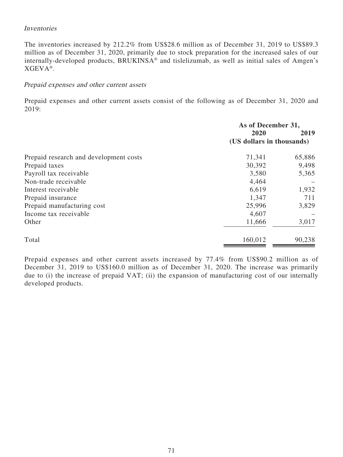## Inventories

The inventories increased by 212.2% from US\$28.6 million as of December 31, 2019 to US\$89.3 million as of December 31, 2020, primarily due to stock preparation for the increased sales of our internally-developed products, BRUKINSA® and tislelizumab, as well as initial sales of Amgen's XGEVA®.

### Prepaid expenses and other current assets

Prepaid expenses and other current assets consist of the following as of December 31, 2020 and 2019:

|                                        | As of December 31,        |        |
|----------------------------------------|---------------------------|--------|
|                                        | 2020                      | 2019   |
|                                        | (US dollars in thousands) |        |
| Prepaid research and development costs | 71,341                    | 65,886 |
| Prepaid taxes                          | 30,392                    | 9,498  |
| Payroll tax receivable                 | 3,580                     | 5,365  |
| Non-trade receivable                   | 4,464                     |        |
| Interest receivable                    | 6,619                     | 1,932  |
| Prepaid insurance                      | 1,347                     | 711    |
| Prepaid manufacturing cost             | 25,996                    | 3,829  |
| Income tax receivable                  | 4,607                     |        |
| Other                                  | 11,666                    | 3,017  |
| Total                                  | 160,012                   | 90,238 |

Prepaid expenses and other current assets increased by 77.4% from US\$90.2 million as of December 31, 2019 to US\$160.0 million as of December 31, 2020. The increase was primarily due to (i) the increase of prepaid VAT; (ii) the expansion of manufacturing cost of our internally developed products.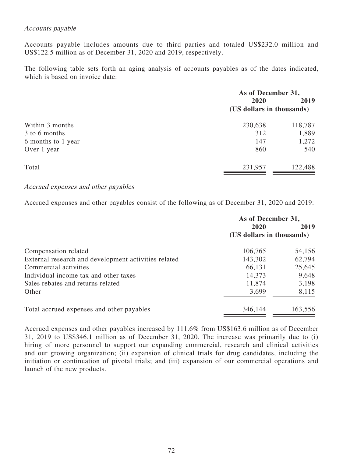## Accounts payable

Accounts payable includes amounts due to third parties and totaled US\$232.0 million and US\$122.5 million as of December 31, 2020 and 2019, respectively.

The following table sets forth an aging analysis of accounts payables as of the dates indicated, which is based on invoice date:

| As of December 31,        |         |  |
|---------------------------|---------|--|
| 2020                      | 2019    |  |
| (US dollars in thousands) |         |  |
| 230,638                   | 118,787 |  |
| 312                       | 1,889   |  |
| 147                       | 1,272   |  |
| 860                       | 540     |  |
| 231,957                   | 122,488 |  |
|                           |         |  |

## Accrued expenses and other payables

Accrued expenses and other payables consist of the following as of December 31, 2020 and 2019:

|                                                      | As of December 31,        |         |
|------------------------------------------------------|---------------------------|---------|
|                                                      | 2020                      | 2019    |
|                                                      | (US dollars in thousands) |         |
| Compensation related                                 | 106,765                   | 54,156  |
| External research and development activities related | 143,302                   | 62,794  |
| Commercial activities                                | 66,131                    | 25,645  |
| Individual income tax and other taxes                | 14,373                    | 9,648   |
| Sales rebates and returns related                    | 11,874                    | 3,198   |
| Other                                                | 3,699                     | 8,115   |
| Total accrued expenses and other payables            | 346,144                   | 163,556 |

Accrued expenses and other payables increased by 111.6% from US\$163.6 million as of December 31, 2019 to US\$346.1 million as of December 31, 2020. The increase was primarily due to (i) hiring of more personnel to support our expanding commercial, research and clinical activities and our growing organization; (ii) expansion of clinical trials for drug candidates, including the initiation or continuation of pivotal trials; and (iii) expansion of our commercial operations and launch of the new products.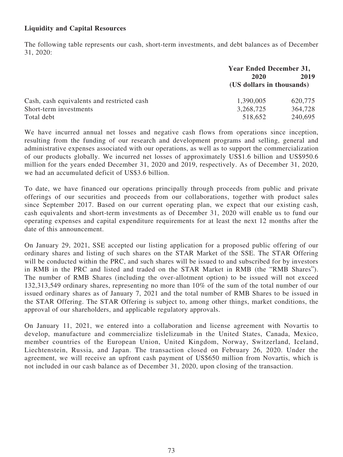# **Liquidity and Capital Resources**

The following table represents our cash, short-term investments, and debt balances as of December 31, 2020:

|                                            | <b>Year Ended December 31,</b> |         |  |
|--------------------------------------------|--------------------------------|---------|--|
|                                            | 2020                           | 2019    |  |
|                                            | (US dollars in thousands)      |         |  |
| Cash, cash equivalents and restricted cash | 1,390,005                      | 620,775 |  |
| Short-term investments                     | 3,268,725                      | 364,728 |  |
| Total debt                                 | 518,652                        | 240,695 |  |

We have incurred annual net losses and negative cash flows from operations since inception, resulting from the funding of our research and development programs and selling, general and administrative expenses associated with our operations, as well as to support the commercialization of our products globally. We incurred net losses of approximately US\$1.6 billion and US\$950.6 million for the years ended December 31, 2020 and 2019, respectively. As of December 31, 2020, we had an accumulated deficit of US\$3.6 billion.

To date, we have financed our operations principally through proceeds from public and private offerings of our securities and proceeds from our collaborations, together with product sales since September 2017. Based on our current operating plan, we expect that our existing cash, cash equivalents and short-term investments as of December 31, 2020 will enable us to fund our operating expenses and capital expenditure requirements for at least the next 12 months after the date of this announcement.

On January 29, 2021, SSE accepted our listing application for a proposed public offering of our ordinary shares and listing of such shares on the STAR Market of the SSE. The STAR Offering will be conducted within the PRC, and such shares will be issued to and subscribed for by investors in RMB in the PRC and listed and traded on the STAR Market in RMB (the "RMB Shares"). The number of RMB Shares (including the over-allotment option) to be issued will not exceed 132,313,549 ordinary shares, representing no more than 10% of the sum of the total number of our issued ordinary shares as of January 7, 2021 and the total number of RMB Shares to be issued in the STAR Offering. The STAR Offering is subject to, among other things, market conditions, the approval of our shareholders, and applicable regulatory approvals.

On January 11, 2021, we entered into a collaboration and license agreement with Novartis to develop, manufacture and commercialize tislelizumab in the United States, Canada, Mexico, member countries of the European Union, United Kingdom, Norway, Switzerland, Iceland, Liechtenstein, Russia, and Japan. The transaction closed on February 26, 2020. Under the agreement, we will receive an upfront cash payment of US\$650 million from Novartis, which is not included in our cash balance as of December 31, 2020, upon closing of the transaction.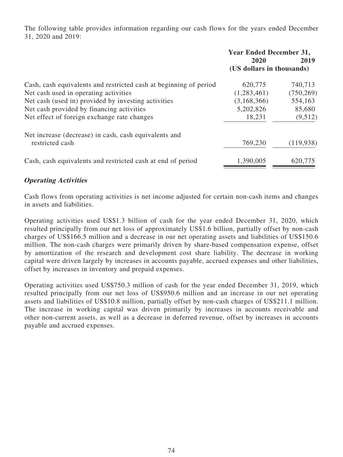The following table provides information regarding our cash flows for the years ended December 31, 2020 and 2019:

|                                                                   | <b>Year Ended December 31,</b><br>2020<br>2019<br>(US dollars in thousands) |            |
|-------------------------------------------------------------------|-----------------------------------------------------------------------------|------------|
| Cash, cash equivalents and restricted cash at beginning of period | 620,775                                                                     | 740,713    |
| Net cash used in operating activities                             | (1,283,461)                                                                 | (750, 269) |
| Net cash (used in) provided by investing activities               | (3,168,366)                                                                 | 554,163    |
| Net cash provided by financing activities                         | 5,202,826                                                                   | 85,680     |
| Net effect of foreign exchange rate changes                       | 18,231                                                                      | (9,512)    |
| Net increase (decrease) in cash, cash equivalents and             |                                                                             |            |
| restricted cash                                                   | 769,230                                                                     | (119, 938) |
| Cash, cash equivalents and restricted cash at end of period       | 1,390,005                                                                   | 620,775    |

# **Operating Activities**

Cash flows from operating activities is net income adjusted for certain non-cash items and changes in assets and liabilities.

Operating activities used US\$1.3 billion of cash for the year ended December 31, 2020, which resulted principally from our net loss of approximately US\$1.6 billion, partially offset by non-cash charges of US\$166.5 million and a decrease in our net operating assets and liabilities of US\$150.6 million. The non-cash charges were primarily driven by share-based compensation expense, offset by amortization of the research and development cost share liability. The decrease in working capital were driven largely by increases in accounts payable, accrued expenses and other liabilities, offset by increases in inventory and prepaid expenses.

Operating activities used US\$750.3 million of cash for the year ended December 31, 2019, which resulted principally from our net loss of US\$950.6 million and an increase in our net operating assets and liabilities of US\$10.8 million, partially offset by non-cash charges of US\$211.1 million. The increase in working capital was driven primarily by increases in accounts receivable and other non-current assets, as well as a decrease in deferred revenue, offset by increases in accounts payable and accrued expenses.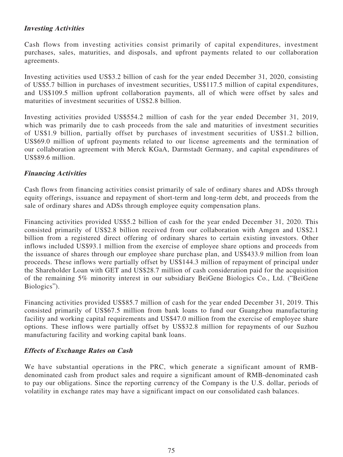# **Investing Activities**

Cash flows from investing activities consist primarily of capital expenditures, investment purchases, sales, maturities, and disposals, and upfront payments related to our collaboration agreements.

Investing activities used US\$3.2 billion of cash for the year ended December 31, 2020, consisting of US\$5.7 billion in purchases of investment securities, US\$117.5 million of capital expenditures, and US\$109.5 million upfront collaboration payments, all of which were offset by sales and maturities of investment securities of US\$2.8 billion.

Investing activities provided US\$554.2 million of cash for the year ended December 31, 2019, which was primarily due to cash proceeds from the sale and maturities of investment securities of US\$1.9 billion, partially offset by purchases of investment securities of US\$1.2 billion, US\$69.0 million of upfront payments related to our license agreements and the termination of our collaboration agreement with Merck KGaA, Darmstadt Germany, and capital expenditures of US\$89.6 million.

## **Financing Activities**

Cash flows from financing activities consist primarily of sale of ordinary shares and ADSs through equity offerings, issuance and repayment of short-term and long-term debt, and proceeds from the sale of ordinary shares and ADSs through employee equity compensation plans.

Financing activities provided US\$5.2 billion of cash for the year ended December 31, 2020. This consisted primarily of US\$2.8 billion received from our collaboration with Amgen and US\$2.1 billion from a registered direct offering of ordinary shares to certain existing investors. Other inflows included US\$93.1 million from the exercise of employee share options and proceeds from the issuance of shares through our employee share purchase plan, and US\$433.9 million from loan proceeds. These inflows were partially offset by US\$144.3 million of repayment of principal under the Shareholder Loan with GET and US\$28.7 million of cash consideration paid for the acquisition of the remaining 5% minority interest in our subsidiary BeiGene Biologics Co., Ltd. ("BeiGene Biologics").

Financing activities provided US\$85.7 million of cash for the year ended December 31, 2019. This consisted primarily of US\$67.5 million from bank loans to fund our Guangzhou manufacturing facility and working capital requirements and US\$47.0 million from the exercise of employee share options. These inflows were partially offset by US\$32.8 million for repayments of our Suzhou manufacturing facility and working capital bank loans.

### **Effects of Exchange Rates on Cash**

We have substantial operations in the PRC, which generate a significant amount of RMBdenominated cash from product sales and require a significant amount of RMB-denominated cash to pay our obligations. Since the reporting currency of the Company is the U.S. dollar, periods of volatility in exchange rates may have a significant impact on our consolidated cash balances.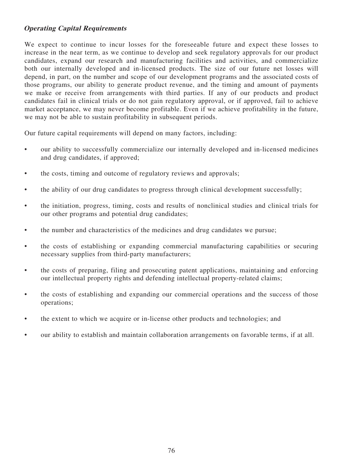# **Operating Capital Requirements**

We expect to continue to incur losses for the foreseeable future and expect these losses to increase in the near term, as we continue to develop and seek regulatory approvals for our product candidates, expand our research and manufacturing facilities and activities, and commercialize both our internally developed and in-licensed products. The size of our future net losses will depend, in part, on the number and scope of our development programs and the associated costs of those programs, our ability to generate product revenue, and the timing and amount of payments we make or receive from arrangements with third parties. If any of our products and product candidates fail in clinical trials or do not gain regulatory approval, or if approved, fail to achieve market acceptance, we may never become profitable. Even if we achieve profitability in the future, we may not be able to sustain profitability in subsequent periods.

Our future capital requirements will depend on many factors, including:

- our ability to successfully commercialize our internally developed and in-licensed medicines and drug candidates, if approved;
- the costs, timing and outcome of regulatory reviews and approvals;
- the ability of our drug candidates to progress through clinical development successfully;
- the initiation, progress, timing, costs and results of nonclinical studies and clinical trials for our other programs and potential drug candidates;
- the number and characteristics of the medicines and drug candidates we pursue;
- the costs of establishing or expanding commercial manufacturing capabilities or securing necessary supplies from third-party manufacturers;
- the costs of preparing, filing and prosecuting patent applications, maintaining and enforcing our intellectual property rights and defending intellectual property-related claims;
- the costs of establishing and expanding our commercial operations and the success of those operations;
- the extent to which we acquire or in-license other products and technologies; and
- our ability to establish and maintain collaboration arrangements on favorable terms, if at all.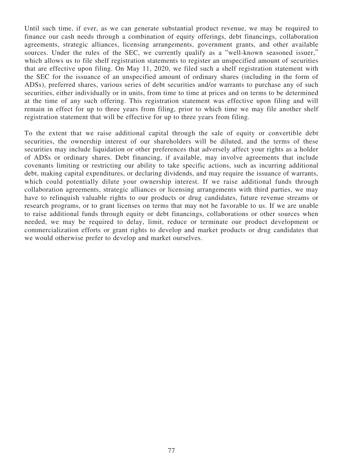Until such time, if ever, as we can generate substantial product revenue, we may be required to finance our cash needs through a combination of equity offerings, debt financings, collaboration agreements, strategic alliances, licensing arrangements, government grants, and other available sources. Under the rules of the SEC, we currently qualify as a "well-known seasoned issuer," which allows us to file shelf registration statements to register an unspecified amount of securities that are effective upon filing. On May 11, 2020, we filed such a shelf registration statement with the SEC for the issuance of an unspecified amount of ordinary shares (including in the form of ADSs), preferred shares, various series of debt securities and/or warrants to purchase any of such securities, either individually or in units, from time to time at prices and on terms to be determined at the time of any such offering. This registration statement was effective upon filing and will remain in effect for up to three years from filing, prior to which time we may file another shelf registration statement that will be effective for up to three years from filing.

To the extent that we raise additional capital through the sale of equity or convertible debt securities, the ownership interest of our shareholders will be diluted, and the terms of these securities may include liquidation or other preferences that adversely affect your rights as a holder of ADSs or ordinary shares. Debt financing, if available, may involve agreements that include covenants limiting or restricting our ability to take specific actions, such as incurring additional debt, making capital expenditures, or declaring dividends, and may require the issuance of warrants, which could potentially dilute your ownership interest. If we raise additional funds through collaboration agreements, strategic alliances or licensing arrangements with third parties, we may have to relinquish valuable rights to our products or drug candidates, future revenue streams or research programs, or to grant licenses on terms that may not be favorable to us. If we are unable to raise additional funds through equity or debt financings, collaborations or other sources when needed, we may be required to delay, limit, reduce or terminate our product development or commercialization efforts or grant rights to develop and market products or drug candidates that we would otherwise prefer to develop and market ourselves.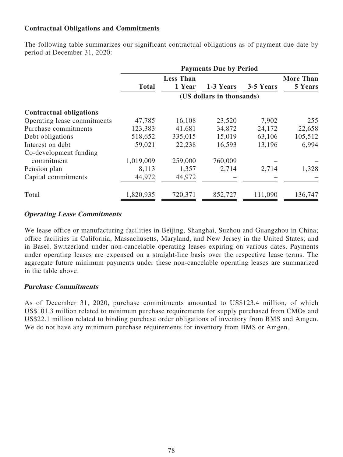# **Contractual Obligations and Commitments**

The following table summarizes our significant contractual obligations as of payment due date by period at December 31, 2020:

|                                | <b>Payments Due by Period</b> |         |           |           |                  |  |  |
|--------------------------------|-------------------------------|---------|-----------|-----------|------------------|--|--|
|                                | <b>Less Than</b>              |         |           |           | <b>More Than</b> |  |  |
|                                | <b>Total</b>                  | 1 Year  | 1-3 Years | 3-5 Years | 5 Years          |  |  |
|                                | (US dollars in thousands)     |         |           |           |                  |  |  |
| <b>Contractual obligations</b> |                               |         |           |           |                  |  |  |
| Operating lease commitments    | 47,785                        | 16,108  | 23,520    | 7,902     | 255              |  |  |
| Purchase commitments           | 123,383                       | 41,681  | 34,872    | 24,172    | 22,658           |  |  |
| Debt obligations               | 518,652                       | 335,015 | 15,019    | 63,106    | 105,512          |  |  |
| Interest on debt               | 59,021                        | 22,238  | 16,593    | 13,196    | 6,994            |  |  |
| Co-development funding         |                               |         |           |           |                  |  |  |
| commitment                     | 1,019,009                     | 259,000 | 760,009   |           |                  |  |  |
| Pension plan                   | 8,113                         | 1,357   | 2,714     | 2,714     | 1,328            |  |  |
| Capital commitments            | 44,972                        | 44,972  |           |           |                  |  |  |
| Total                          | 1,820,935                     | 720,371 | 852,727   | 111,090   | 136,747          |  |  |

## **Operating Lease Commitments**

We lease office or manufacturing facilities in Beijing, Shanghai, Suzhou and Guangzhou in China; office facilities in California, Massachusetts, Maryland, and New Jersey in the United States; and in Basel, Switzerland under non-cancelable operating leases expiring on various dates. Payments under operating leases are expensed on a straight-line basis over the respective lease terms. The aggregate future minimum payments under these non-cancelable operating leases are summarized in the table above.

# **Purchase Commitments**

As of December 31, 2020, purchase commitments amounted to US\$123.4 million, of which US\$101.3 million related to minimum purchase requirements for supply purchased from CMOs and US\$22.1 million related to binding purchase order obligations of inventory from BMS and Amgen. We do not have any minimum purchase requirements for inventory from BMS or Amgen.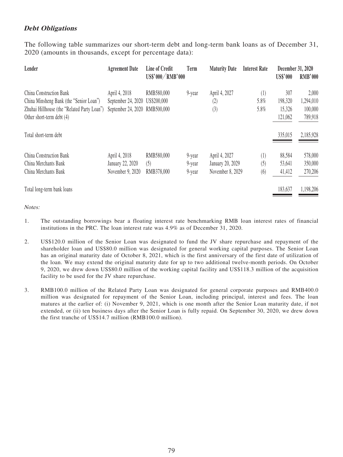# **Debt Obligations**

The following table summarizes our short-term debt and long-term bank loans as of December 31, 2020 (amounts in thousands, except for percentage data):

| Lender                                                                                                                                         | <b>Agreement Date</b>                                                            | Line of Credit<br>US\$'000/RMB'000 | Term                       | <b>Maturity Date</b>                                  | <b>Interest Rate</b> | December 31, 2020<br><b>US\$'000</b> | <b>RMB'000</b>                           |
|------------------------------------------------------------------------------------------------------------------------------------------------|----------------------------------------------------------------------------------|------------------------------------|----------------------------|-------------------------------------------------------|----------------------|--------------------------------------|------------------------------------------|
| China Construction Bank<br>China Minsheng Bank (the "Senior Loan")<br>Zhuhai Hillhouse (the "Related Party Loan")<br>Other short-term debt (4) | April 4, 2018<br>September 24, 2020 US\$200,000<br>September 24, 2020 RMB500,000 | RMB580,000                         | 9-year                     | April 4, 2027<br>(2)<br>(3)                           | (1)<br>5.8%<br>5.8%  | 307<br>198,320<br>15,326<br>121,062  | 2,000<br>1,294,010<br>100,000<br>789,918 |
| Total short-term debt                                                                                                                          |                                                                                  |                                    |                            |                                                       |                      | 335,015                              | 2,185,928                                |
| China Construction Bank<br>China Merchants Bank<br>China Merchants Bank                                                                        | April 4, 2018<br>January 22, 2020<br>November 9, 2020                            | RMB580,000<br>(5)<br>RMB378,000    | 9-year<br>9-year<br>9-year | April 4, 2027<br>January 20, 2029<br>November 8, 2029 | (1)<br>(5)<br>(6)    | 88,584<br>53,641<br>41,412           | 578,000<br>350,000<br>270,206            |
| Total long-term bank loans                                                                                                                     |                                                                                  |                                    |                            |                                                       |                      | 183,637                              | 1,198,206                                |

Notes:

- 1. The outstanding borrowings bear a floating interest rate benchmarking RMB loan interest rates of financial institutions in the PRC. The loan interest rate was 4.9% as of December 31, 2020.
- 2. US\$120.0 million of the Senior Loan was designated to fund the JV share repurchase and repayment of the shareholder loan and US\$80.0 million was designated for general working capital purposes. The Senior Loan has an original maturity date of October 8, 2021, which is the first anniversary of the first date of utilization of the loan. We may extend the original maturity date for up to two additional twelve-month periods. On October 9, 2020, we drew down US\$80.0 million of the working capital facility and US\$118.3 million of the acquisition facility to be used for the JV share repurchase.
- 3. RMB100.0 million of the Related Party Loan was designated for general corporate purposes and RMB400.0 million was designated for repayment of the Senior Loan, including principal, interest and fees. The loan matures at the earlier of: (i) November 9, 2021, which is one month after the Senior Loan maturity date, if not extended, or (ii) ten business days after the Senior Loan is fully repaid. On September 30, 2020, we drew down the first tranche of US\$14.7 million (RMB100.0 million).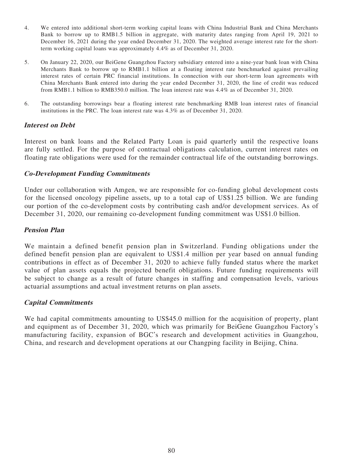- 4. We entered into additional short-term working capital loans with China Industrial Bank and China Merchants Bank to borrow up to RMB1.5 billion in aggregate, with maturity dates ranging from April 19, 2021 to December 16, 2021 during the year ended December 31, 2020. The weighted average interest rate for the shortterm working capital loans was approximately 4.4% as of December 31, 2020.
- 5. On January 22, 2020, our BeiGene Guangzhou Factory subsidiary entered into a nine-year bank loan with China Merchants Bank to borrow up to RMB1.1 billion at a floating interest rate benchmarked against prevailing interest rates of certain PRC financial institutions. In connection with our short-term loan agreements with China Merchants Bank entered into during the year ended December 31, 2020, the line of credit was reduced from RMB1.1 billion to RMB350.0 million. The loan interest rate was 4.4% as of December 31, 2020.
- 6. The outstanding borrowings bear a floating interest rate benchmarking RMB loan interest rates of financial institutions in the PRC. The loan interest rate was 4.3% as of December 31, 2020.

### **Interest on Debt**

Interest on bank loans and the Related Party Loan is paid quarterly until the respective loans are fully settled. For the purpose of contractual obligations calculation, current interest rates on floating rate obligations were used for the remainder contractual life of the outstanding borrowings.

### **Co-Development Funding Commitments**

Under our collaboration with Amgen, we are responsible for co-funding global development costs for the licensed oncology pipeline assets, up to a total cap of US\$1.25 billion. We are funding our portion of the co-development costs by contributing cash and/or development services. As of December 31, 2020, our remaining co-development funding commitment was US\$1.0 billion.

## **Pension Plan**

We maintain a defined benefit pension plan in Switzerland. Funding obligations under the defined benefit pension plan are equivalent to US\$1.4 million per year based on annual funding contributions in effect as of December 31, 2020 to achieve fully funded status where the market value of plan assets equals the projected benefit obligations. Future funding requirements will be subject to change as a result of future changes in staffing and compensation levels, various actuarial assumptions and actual investment returns on plan assets.

# **Capital Commitments**

We had capital commitments amounting to US\$45.0 million for the acquisition of property, plant and equipment as of December 31, 2020, which was primarily for BeiGene Guangzhou Factory's manufacturing facility, expansion of BGC's research and development activities in Guangzhou, China, and research and development operations at our Changping facility in Beijing, China.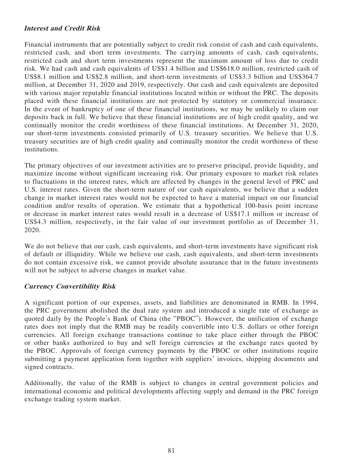# **Interest and Credit Risk**

Financial instruments that are potentially subject to credit risk consist of cash and cash equivalents, restricted cash, and short term investments. The carrying amounts of cash, cash equivalents, restricted cash and short term investments represent the maximum amount of loss due to credit risk. We had cash and cash equivalents of US\$1.4 billion and US\$618.0 million, restricted cash of US\$8.1 million and US\$2.8 million, and short-term investments of US\$3.3 billion and US\$364.7 million, at December 31, 2020 and 2019, respectively. Our cash and cash equivalents are deposited with various major reputable financial institutions located within or without the PRC. The deposits placed with these financial institutions are not protected by statutory or commercial insurance. In the event of bankruptcy of one of these financial institutions, we may be unlikely to claim our deposits back in full. We believe that these financial institutions are of high credit quality, and we continually monitor the credit worthiness of these financial institutions. At December 31, 2020, our short-term investments consisted primarily of U.S. treasury securities. We believe that U.S. treasury securities are of high credit quality and continually monitor the credit worthiness of these institutions.

The primary objectives of our investment activities are to preserve principal, provide liquidity, and maximize income without significant increasing risk. Our primary exposure to market risk relates to fluctuations in the interest rates, which are affected by changes in the general level of PRC and U.S. interest rates. Given the short-term nature of our cash equivalents, we believe that a sudden change in market interest rates would not be expected to have a material impact on our financial condition and/or results of operation. We estimate that a hypothetical 100-basis point increase or decrease in market interest rates would result in a decrease of US\$17.1 million or increase of US\$4.3 million, respectively, in the fair value of our investment portfolio as of December 31, 2020.

We do not believe that our cash, cash equivalents, and short-term investments have significant risk of default or illiquidity. While we believe our cash, cash equivalents, and short-term investments do not contain excessive risk, we cannot provide absolute assurance that in the future investments will not be subject to adverse changes in market value.

### **Currency Convertibility Risk**

A significant portion of our expenses, assets, and liabilities are denominated in RMB. In 1994, the PRC government abolished the dual rate system and introduced a single rate of exchange as quoted daily by the People's Bank of China (the "PBOC"). However, the unification of exchange rates does not imply that the RMB may be readily convertible into U.S. dollars or other foreign currencies. All foreign exchange transactions continue to take place either through the PBOC or other banks authorized to buy and sell foreign currencies at the exchange rates quoted by the PBOC. Approvals of foreign currency payments by the PBOC or other institutions require submitting a payment application form together with suppliers' invoices, shipping documents and signed contracts.

Additionally, the value of the RMB is subject to changes in central government policies and international economic and political developments affecting supply and demand in the PRC foreign exchange trading system market.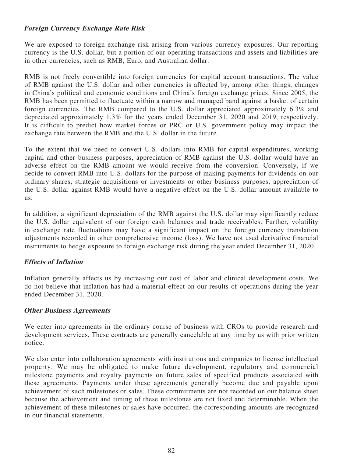# **Foreign Currency Exchange Rate Risk**

We are exposed to foreign exchange risk arising from various currency exposures. Our reporting currency is the U.S. dollar, but a portion of our operating transactions and assets and liabilities are in other currencies, such as RMB, Euro, and Australian dollar.

RMB is not freely convertible into foreign currencies for capital account transactions. The value of RMB against the U.S. dollar and other currencies is affected by, among other things, changes in China's political and economic conditions and China's foreign exchange prices. Since 2005, the RMB has been permitted to fluctuate within a narrow and managed band against a basket of certain foreign currencies. The RMB compared to the U.S. dollar appreciated approximately 6.3% and depreciated approximately 1.3% for the years ended December 31, 2020 and 2019, respectively. It is difficult to predict how market forces or PRC or U.S. government policy may impact the exchange rate between the RMB and the U.S. dollar in the future.

To the extent that we need to convert U.S. dollars into RMB for capital expenditures, working capital and other business purposes, appreciation of RMB against the U.S. dollar would have an adverse effect on the RMB amount we would receive from the conversion. Conversely, if we decide to convert RMB into U.S. dollars for the purpose of making payments for dividends on our ordinary shares, strategic acquisitions or investments or other business purposes, appreciation of the U.S. dollar against RMB would have a negative effect on the U.S. dollar amount available to us.

In addition, a significant depreciation of the RMB against the U.S. dollar may significantly reduce the U.S. dollar equivalent of our foreign cash balances and trade receivables. Further, volatility in exchange rate fluctuations may have a significant impact on the foreign currency translation adjustments recorded in other comprehensive income (loss). We have not used derivative financial instruments to hedge exposure to foreign exchange risk during the year ended December 31, 2020.

# **Effects of Inflation**

Inflation generally affects us by increasing our cost of labor and clinical development costs. We do not believe that inflation has had a material effect on our results of operations during the year ended December 31, 2020.

### **Other Business Agreements**

We enter into agreements in the ordinary course of business with CROs to provide research and development services. These contracts are generally cancelable at any time by us with prior written notice.

We also enter into collaboration agreements with institutions and companies to license intellectual property. We may be obligated to make future development, regulatory and commercial milestone payments and royalty payments on future sales of specified products associated with these agreements. Payments under these agreements generally become due and payable upon achievement of such milestones or sales. These commitments are not recorded on our balance sheet because the achievement and timing of these milestones are not fixed and determinable. When the achievement of these milestones or sales have occurred, the corresponding amounts are recognized in our financial statements.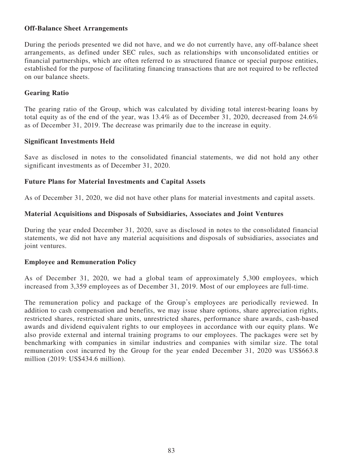### **Off-Balance Sheet Arrangements**

During the periods presented we did not have, and we do not currently have, any off-balance sheet arrangements, as defined under SEC rules, such as relationships with unconsolidated entities or financial partnerships, which are often referred to as structured finance or special purpose entities, established for the purpose of facilitating financing transactions that are not required to be reflected on our balance sheets.

## **Gearing Ratio**

The gearing ratio of the Group, which was calculated by dividing total interest-bearing loans by total equity as of the end of the year, was  $13.4\%$  as of December 31, 2020, decreased from 24.6% as of December 31, 2019. The decrease was primarily due to the increase in equity.

## **Significant Investments Held**

Save as disclosed in notes to the consolidated financial statements, we did not hold any other significant investments as of December 31, 2020.

## **Future Plans for Material Investments and Capital Assets**

As of December 31, 2020, we did not have other plans for material investments and capital assets.

## **Material Acquisitions and Disposals of Subsidiaries, Associates and Joint Ventures**

During the year ended December 31, 2020, save as disclosed in notes to the consolidated financial statements, we did not have any material acquisitions and disposals of subsidiaries, associates and joint ventures.

### **Employee and Remuneration Policy**

As of December 31, 2020, we had a global team of approximately 5,300 employees, which increased from 3,359 employees as of December 31, 2019. Most of our employees are full-time.

The remuneration policy and package of the Group's employees are periodically reviewed. In addition to cash compensation and benefits, we may issue share options, share appreciation rights, restricted shares, restricted share units, unrestricted shares, performance share awards, cash-based awards and dividend equivalent rights to our employees in accordance with our equity plans. We also provide external and internal training programs to our employees. The packages were set by benchmarking with companies in similar industries and companies with similar size. The total remuneration cost incurred by the Group for the year ended December 31, 2020 was US\$663.8 million (2019: US\$434.6 million).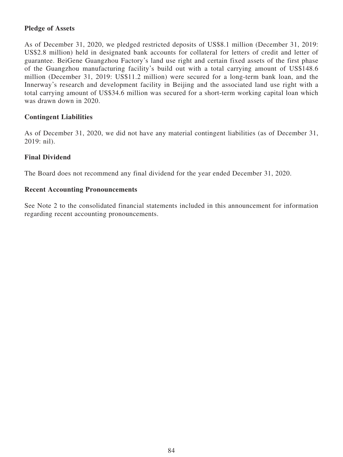# **Pledge of Assets**

As of December 31, 2020, we pledged restricted deposits of US\$8.1 million (December 31, 2019: US\$2.8 million) held in designated bank accounts for collateral for letters of credit and letter of guarantee. BeiGene Guangzhou Factory's land use right and certain fixed assets of the first phase of the Guangzhou manufacturing facility's build out with a total carrying amount of US\$148.6 million (December 31, 2019: US\$11.2 million) were secured for a long-term bank loan, and the Innerway's research and development facility in Beijing and the associated land use right with a total carrying amount of US\$34.6 million was secured for a short-term working capital loan which was drawn down in 2020.

# **Contingent Liabilities**

As of December 31, 2020, we did not have any material contingent liabilities (as of December 31, 2019: nil).

## **Final Dividend**

The Board does not recommend any final dividend for the year ended December 31, 2020.

### **Recent Accounting Pronouncements**

See Note 2 to the consolidated financial statements included in this announcement for information regarding recent accounting pronouncements.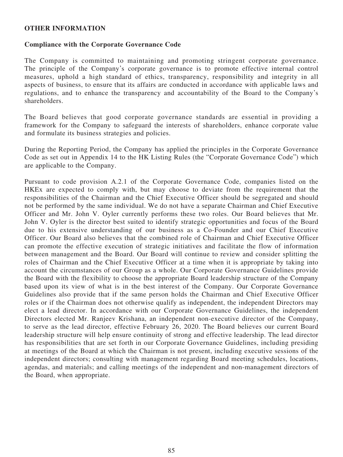#### **OTHER INFORMATION**

### **Compliance with the Corporate Governance Code**

The Company is committed to maintaining and promoting stringent corporate governance. The principle of the Company's corporate governance is to promote effective internal control measures, uphold a high standard of ethics, transparency, responsibility and integrity in all aspects of business, to ensure that its affairs are conducted in accordance with applicable laws and regulations, and to enhance the transparency and accountability of the Board to the Company's shareholders.

The Board believes that good corporate governance standards are essential in providing a framework for the Company to safeguard the interests of shareholders, enhance corporate value and formulate its business strategies and policies.

During the Reporting Period, the Company has applied the principles in the Corporate Governance Code as set out in Appendix 14 to the HK Listing Rules (the "Corporate Governance Code") which are applicable to the Company.

Pursuant to code provision A.2.1 of the Corporate Governance Code, companies listed on the HKEx are expected to comply with, but may choose to deviate from the requirement that the responsibilities of the Chairman and the Chief Executive Officer should be segregated and should not be performed by the same individual. We do not have a separate Chairman and Chief Executive Officer and Mr. John V. Oyler currently performs these two roles. Our Board believes that Mr. John V. Oyler is the director best suited to identify strategic opportunities and focus of the Board due to his extensive understanding of our business as a Co-Founder and our Chief Executive Officer. Our Board also believes that the combined role of Chairman and Chief Executive Officer can promote the effective execution of strategic initiatives and facilitate the flow of information between management and the Board. Our Board will continue to review and consider splitting the roles of Chairman and the Chief Executive Officer at a time when it is appropriate by taking into account the circumstances of our Group as a whole. Our Corporate Governance Guidelines provide the Board with the flexibility to choose the appropriate Board leadership structure of the Company based upon its view of what is in the best interest of the Company. Our Corporate Governance Guidelines also provide that if the same person holds the Chairman and Chief Executive Officer roles or if the Chairman does not otherwise qualify as independent, the independent Directors may elect a lead director. In accordance with our Corporate Governance Guidelines, the independent Directors elected Mr. Ranjeev Krishana, an independent non-executive director of the Company, to serve as the lead director, effective February 26, 2020. The Board believes our current Board leadership structure will help ensure continuity of strong and effective leadership. The lead director has responsibilities that are set forth in our Corporate Governance Guidelines, including presiding at meetings of the Board at which the Chairman is not present, including executive sessions of the independent directors; consulting with management regarding Board meeting schedules, locations, agendas, and materials; and calling meetings of the independent and non-management directors of the Board, when appropriate.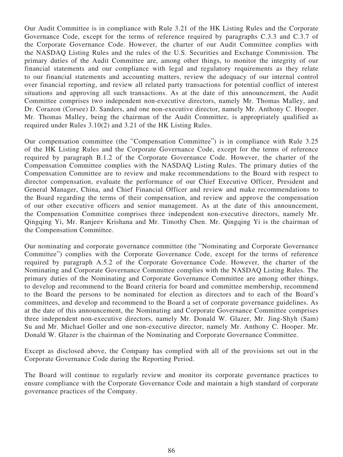Our Audit Committee is in compliance with Rule 3.21 of the HK Listing Rules and the Corporate Governance Code, except for the terms of reference required by paragraphs C.3.3 and C.3.7 of the Corporate Governance Code. However, the charter of our Audit Committee complies with the NASDAQ Listing Rules and the rules of the U.S. Securities and Exchange Commission. The primary duties of the Audit Committee are, among other things, to monitor the integrity of our financial statements and our compliance with legal and regulatory requirements as they relate to our financial statements and accounting matters, review the adequacy of our internal control over financial reporting, and review all related party transactions for potential conflict of interest situations and approving all such transactions. As at the date of this announcement, the Audit Committee comprises two independent non-executive directors, namely Mr. Thomas Malley, and Dr. Corazon (Corsee) D. Sanders, and one non-executive director, namely Mr. Anthony C. Hooper. Mr. Thomas Malley, being the chairman of the Audit Committee, is appropriately qualified as required under Rules 3.10(2) and 3.21 of the HK Listing Rules.

Our compensation committee (the "Compensation Committee") is in compliance with Rule 3.25 of the HK Listing Rules and the Corporate Governance Code, except for the terms of reference required by paragraph B.1.2 of the Corporate Governance Code. However, the charter of the Compensation Committee complies with the NASDAQ Listing Rules. The primary duties of the Compensation Committee are to review and make recommendations to the Board with respect to director compensation, evaluate the performance of our Chief Executive Officer, President and General Manager, China, and Chief Financial Officer and review and make recommendations to the Board regarding the terms of their compensation, and review and approve the compensation of our other executive officers and senior management. As at the date of this announcement, the Compensation Committee comprises three independent non-executive directors, namely Mr. Qingqing Yi, Mr. Ranjeev Krishana and Mr. Timothy Chen. Mr. Qingqing Yi is the chairman of the Compensation Committee.

Our nominating and corporate governance committee (the "Nominating and Corporate Governance Committee") complies with the Corporate Governance Code, except for the terms of reference required by paragraph A.5.2 of the Corporate Governance Code. However, the charter of the Nominating and Corporate Governance Committee complies with the NASDAQ Listing Rules. The primary duties of the Nominating and Corporate Governance Committee are among other things, to develop and recommend to the Board criteria for board and committee membership, recommend to the Board the persons to be nominated for election as directors and to each of the Board's committees, and develop and recommend to the Board a set of corporate governance guidelines. As at the date of this announcement, the Nominating and Corporate Governance Committee comprises three independent non-executive directors, namely Mr. Donald W. Glazer, Mr. Jing-Shyh (Sam) Su and Mr. Michael Goller and one non-executive director, namely Mr. Anthony C. Hooper. Mr. Donald W. Glazer is the chairman of the Nominating and Corporate Governance Committee.

Except as disclosed above, the Company has complied with all of the provisions set out in the Corporate Governance Code during the Reporting Period.

The Board will continue to regularly review and monitor its corporate governance practices to ensure compliance with the Corporate Governance Code and maintain a high standard of corporate governance practices of the Company.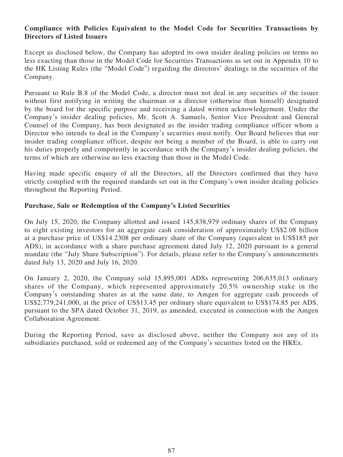# **Compliance with Policies Equivalent to the Model Code for Securities Transactions by Directors of Listed Issuers**

Except as disclosed below, the Company has adopted its own insider dealing policies on terms no less exacting than those in the Model Code for Securities Transactions as set out in Appendix 10 to the HK Listing Rules (the "Model Code") regarding the directors' dealings in the securities of the Company.

Pursuant to Rule B.8 of the Model Code, a director must not deal in any securities of the issuer without first notifying in writing the chairman or a director (otherwise than himself) designated by the board for the specific purpose and receiving a dated written acknowledgement. Under the Company's insider dealing policies, Mr. Scott A. Samuels, Senior Vice President and General Counsel of the Company, has been designated as the insider trading compliance officer whom a Director who intends to deal in the Company's securities must notify. Our Board believes that our insider trading compliance officer, despite not being a member of the Board, is able to carry out his duties properly and competently in accordance with the Company's insider dealing policies, the terms of which are otherwise no less exacting than those in the Model Code.

Having made specific enquiry of all the Directors, all the Directors confirmed that they have strictly complied with the required standards set out in the Company's own insider dealing policies throughout the Reporting Period.

# **Purchase, Sale or Redemption of the Company's Listed Securities**

On July 15, 2020, the Company allotted and issued 145,838,979 ordinary shares of the Company to eight existing investors for an aggregate cash consideration of approximately US\$2.08 billion at a purchase price of US\$14.2308 per ordinary share of the Company (equivalent to US\$185 per ADS), in accordance with a share purchase agreement dated July 12, 2020 pursuant to a general mandate (the "July Share Subscription"). For details, please refer to the Company's announcements dated July 13, 2020 and July 16, 2020.

On January 2, 2020, the Company sold 15,895,001 ADSs representing 206,635,013 ordinary shares of the Company, which represented approximately 20.5% ownership stake in the Company's outstanding shares as at the same date, to Amgen for aggregate cash proceeds of US\$2,779,241,000, at the price of US\$13.45 per ordinary share equivalent to US\$174.85 per ADS, pursuant to the SPA dated October 31, 2019, as amended, executed in connection with the Amgen Collaboration Agreement.

During the Reporting Period, save as disclosed above, neither the Company nor any of its subsidiaries purchased, sold or redeemed any of the Company's securities listed on the HKEx.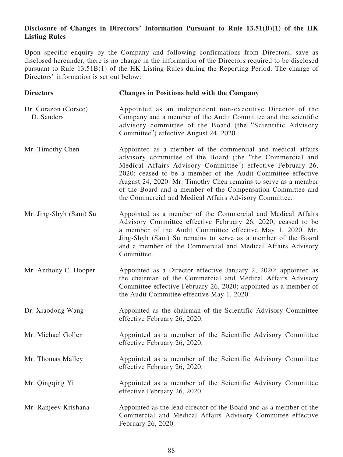# **Disclosure of Changes in Directors' Information Pursuant to Rule 13.51(B)(1) of the HK Listing Rules**

Upon specific enquiry by the Company and following confirmations from Directors, save as disclosed hereunder, there is no change in the information of the Directors required to be disclosed pursuant to Rule 13.51B(1) of the HK Listing Rules during the Reporting Period. The change of Directors' information is set out below:

| <b>Directors</b>                   | <b>Changes in Positions held with the Company</b>                                                                                                                                                                                                                                                                                                                                                                                                 |
|------------------------------------|---------------------------------------------------------------------------------------------------------------------------------------------------------------------------------------------------------------------------------------------------------------------------------------------------------------------------------------------------------------------------------------------------------------------------------------------------|
| Dr. Corazon (Corsee)<br>D. Sanders | Appointed as an independent non-executive Director of the<br>Company and a member of the Audit Committee and the scientific<br>advisory committee of the Board (the "Scientific Advisory<br>Committee") effective August 24, 2020.                                                                                                                                                                                                                |
| Mr. Timothy Chen                   | Appointed as a member of the commercial and medical affairs<br>advisory committee of the Board (the "the Commercial and<br>Medical Affairs Advisory Committee") effective February 26,<br>2020; ceased to be a member of the Audit Committee effective<br>August 24, 2020. Mr. Timothy Chen remains to serve as a member<br>of the Board and a member of the Compensation Committee and<br>the Commercial and Medical Affairs Advisory Committee. |
| Mr. Jing-Shyh (Sam) Su             | Appointed as a member of the Commercial and Medical Affairs<br>Advisory Committee effective February 26, 2020; ceased to be<br>a member of the Audit Committee effective May 1, 2020. Mr.<br>Jing-Shyh (Sam) Su remains to serve as a member of the Board<br>and a member of the Commercial and Medical Affairs Advisory<br>Committee.                                                                                                            |
| Mr. Anthony C. Hooper              | Appointed as a Director effective January 2, 2020; appointed as<br>the chairman of the Commercial and Medical Affairs Advisory<br>Committee effective February 26, 2020; appointed as a member of<br>the Audit Committee effective May 1, 2020.                                                                                                                                                                                                   |
| Dr. Xiaodong Wang                  | Appointed as the chairman of the Scientific Advisory Committee<br>effective February 26, 2020.                                                                                                                                                                                                                                                                                                                                                    |
| Mr. Michael Goller                 | Appointed as a member of the Scientific Advisory Committee<br>effective February 26, 2020.                                                                                                                                                                                                                                                                                                                                                        |
| Mr. Thomas Malley                  | Appointed as a member of the Scientific Advisory Committee<br>effective February 26, 2020.                                                                                                                                                                                                                                                                                                                                                        |
| Mr. Qingqing Yi                    | Appointed as a member of the Scientific Advisory Committee<br>effective February 26, 2020.                                                                                                                                                                                                                                                                                                                                                        |
| Mr. Ranjeev Krishana               | Appointed as the lead director of the Board and as a member of the<br>Commercial and Medical Affairs Advisory Committee effective<br>February 26, 2020.                                                                                                                                                                                                                                                                                           |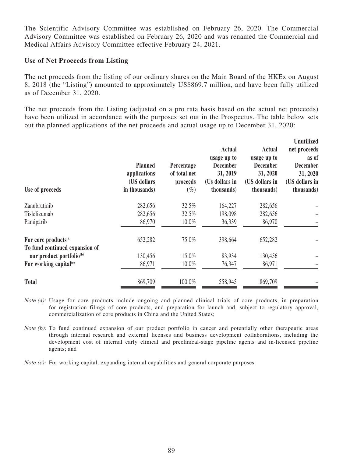The Scientific Advisory Committee was established on February 26, 2020. The Commercial Advisory Committee was established on February 26, 2020 and was renamed the Commercial and Medical Affairs Advisory Committee effective February 24, 2021.

### **Use of Net Proceeds from Listing**

The net proceeds from the listing of our ordinary shares on the Main Board of the HKEx on August 8, 2018 (the "Listing") amounted to approximately US\$869.7 million, and have been fully utilized as of December 31, 2020.

The net proceeds from the Listing (adjusted on a pro rata basis based on the actual net proceeds) have been utilized in accordance with the purposes set out in the Prospectus. The table below sets out the planned applications of the net proceeds and actual usage up to December 31, 2020:

| Use of proceeds                                                    | <b>Planned</b><br>applications<br>(US dollars<br>in thousands) | Percentage<br>of total net<br>proceeds<br>$(\%)$ | Actual<br>usage up to<br><b>December</b><br>31, 2019<br>(Us dollars in<br>thousands) | Actual<br>usage up to<br><b>December</b><br>31, 2020<br>(US dollars in<br>thousands) | <b>Unutilized</b><br>net proceeds<br>as of<br><b>December</b><br>31, 2020<br>(US dollars in<br>(thousands) |
|--------------------------------------------------------------------|----------------------------------------------------------------|--------------------------------------------------|--------------------------------------------------------------------------------------|--------------------------------------------------------------------------------------|------------------------------------------------------------------------------------------------------------|
| Zanubrutinib                                                       | 282,656                                                        | 32.5%                                            | 164,227                                                                              | 282,656                                                                              |                                                                                                            |
| Tislelizumab                                                       | 282,656                                                        | 32.5%                                            | 198,098                                                                              | 282,656                                                                              |                                                                                                            |
| Pamiparib                                                          | 86,970                                                         | 10.0%                                            | 36,339                                                                               | 86,970                                                                               |                                                                                                            |
| For core products <sup>(a)</sup><br>To fund continued expansion of | 652,282                                                        | 75.0%                                            | 398,664                                                                              | 652,282                                                                              |                                                                                                            |
| our product portfolio <sup>(b)</sup>                               | 130,456                                                        | 15.0%                                            | 83,934                                                                               | 130,456                                                                              |                                                                                                            |
| For working capital $(c)$                                          | 86,971                                                         | 10.0%                                            | 76,347                                                                               | 86,971                                                                               |                                                                                                            |
| <b>Total</b>                                                       | 869,709                                                        | 100.0%                                           | 558,945                                                                              | 869,709                                                                              |                                                                                                            |

- Note (a): Usage for core products include ongoing and planned clinical trials of core products, in preparation for registration filings of core products, and preparation for launch and, subject to regulatory approval, commercialization of core products in China and the United States;
- Note (b): To fund continued expansion of our product portfolio in cancer and potentially other therapeutic areas through internal research and external licenses and business development collaborations, including the development cost of internal early clinical and preclinical-stage pipeline agents and in-licensed pipeline agents; and

Note (c): For working capital, expanding internal capabilities and general corporate purposes.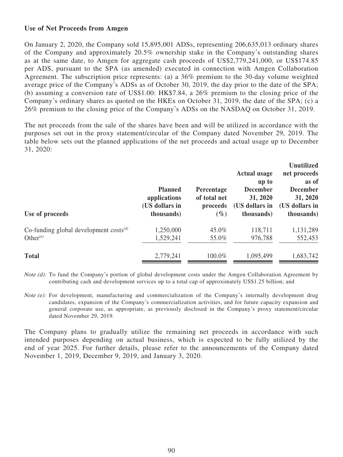## **Use of Net Proceeds from Amgen**

On January 2, 2020, the Company sold 15,895,001 ADSs, representing 206,635,013 ordinary shares of the Company and approximately 20.5% ownership stake in the Company's outstanding shares as at the same date, to Amgen for aggregate cash proceeds of US\$2,779,241,000, or US\$174.85 per ADS, pursuant to the SPA (as amended) executed in connection with Amgen Collaboration Agreement. The subscription price represents: (a) a 36% premium to the 30-day volume weighted average price of the Company's ADSs as of October 30, 2019, the day prior to the date of the SPA; (b) assuming a conversion rate of US\$1.00: HK\$7.84, a 26% premium to the closing price of the Company's ordinary shares as quoted on the HKEx on October 31, 2019, the date of the SPA; (c) a 26% premium to the closing price of the Company's ADSs on the NASDAQ on October 31, 2019.

The net proceeds from the sale of the shares have been and will be utilized in accordance with the purposes set out in the proxy statement/circular of the Company dated November 29, 2019. The table below sets out the planned applications of the net proceeds and actual usage up to December 31, 2020:

| Use of proceeds                             | <b>Planned</b><br>applications<br>(US dollars in<br>thousands) | Percentage<br>of total net<br>proceeds<br>$(\%)$ | <b>Actual usage</b><br>up to<br><b>December</b><br>31, 2020<br>(US dollars in<br>thousands) | <b>Unutilized</b><br>net proceeds<br>as of<br><b>December</b><br>31, 2020<br>(US dollars in<br>thousands) |
|---------------------------------------------|----------------------------------------------------------------|--------------------------------------------------|---------------------------------------------------------------------------------------------|-----------------------------------------------------------------------------------------------------------|
| Co-funding global development $costs^{(d)}$ | 1,250,000                                                      | 45.0%                                            | 118,711                                                                                     | 1,131,289                                                                                                 |
| Other $(e)$                                 | 1,529,241                                                      | 55.0%                                            | 976,788                                                                                     | 552,453                                                                                                   |
| <b>Total</b>                                | 2,779,241                                                      | 100.0%                                           | 1,095,499                                                                                   | 1,683,742                                                                                                 |

Note (d): To fund the Company's portion of global development costs under the Amgen Collaboration Agreement by contributing cash and development services up to a total cap of approximately US\$1.25 billion; and

Note (e): For development, manufacturing and commercialization of the Company's internally development drug candidates, expansion of the Company's commercialization activities, and for future capacity expansion and general corporate use, as appropriate, as previously disclosed in the Company's proxy statement/circular dated November 29, 2019.

The Company plans to gradually utilize the remaining net proceeds in accordance with such intended purposes depending on actual business, which is expected to be fully utilized by the end of year 2025. For further details, please refer to the announcements of the Company dated November 1, 2019, December 9, 2019, and January 3, 2020.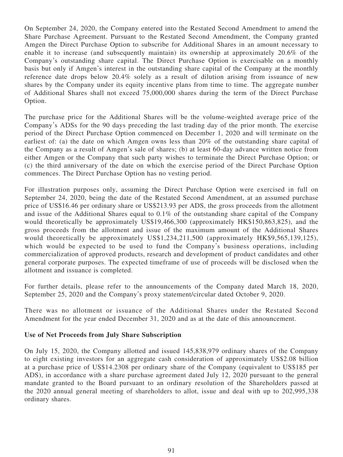On September 24, 2020, the Company entered into the Restated Second Amendment to amend the Share Purchase Agreement. Pursuant to the Restated Second Amendment, the Company granted Amgen the Direct Purchase Option to subscribe for Additional Shares in an amount necessary to enable it to increase (and subsequently maintain) its ownership at approximately 20.6% of the Company's outstanding share capital. The Direct Purchase Option is exercisable on a monthly basis but only if Amgen's interest in the outstanding share capital of the Company at the monthly reference date drops below 20.4% solely as a result of dilution arising from issuance of new shares by the Company under its equity incentive plans from time to time. The aggregate number of Additional Shares shall not exceed 75,000,000 shares during the term of the Direct Purchase Option.

The purchase price for the Additional Shares will be the volume-weighted average price of the Company's ADSs for the 90 days preceding the last trading day of the prior month. The exercise period of the Direct Purchase Option commenced on December 1, 2020 and will terminate on the earliest of: (a) the date on which Amgen owns less than 20% of the outstanding share capital of the Company as a result of Amgen's sale of shares; (b) at least 60-day advance written notice from either Amgen or the Company that such party wishes to terminate the Direct Purchase Option; or (c) the third anniversary of the date on which the exercise period of the Direct Purchase Option commences. The Direct Purchase Option has no vesting period.

For illustration purposes only, assuming the Direct Purchase Option were exercised in full on September 24, 2020, being the date of the Restated Second Amendment, at an assumed purchase price of US\$16.46 per ordinary share or US\$213.93 per ADS, the gross proceeds from the allotment and issue of the Additional Shares equal to 0.1% of the outstanding share capital of the Company would theoretically be approximately US\$19,466,300 (approximately HK\$150,863,825), and the gross proceeds from the allotment and issue of the maximum amount of the Additional Shares would theoretically be approximately US\$1,234,211,500 (approximately HK\$9,565,139,125), which would be expected to be used to fund the Company's business operations, including commercialization of approved products, research and development of product candidates and other general corporate purposes. The expected timeframe of use of proceeds will be disclosed when the allotment and issuance is completed.

For further details, please refer to the announcements of the Company dated March 18, 2020, September 25, 2020 and the Company's proxy statement/circular dated October 9, 2020.

There was no allotment or issuance of the Additional Shares under the Restated Second Amendment for the year ended December 31, 2020 and as at the date of this announcement.

### **Use of Net Proceeds from July Share Subscription**

On July 15, 2020, the Company allotted and issued 145,838,979 ordinary shares of the Company to eight existing investors for an aggregate cash consideration of approximately US\$2.08 billion at a purchase price of US\$14.2308 per ordinary share of the Company (equivalent to US\$185 per ADS), in accordance with a share purchase agreement dated July 12, 2020 pursuant to the general mandate granted to the Board pursuant to an ordinary resolution of the Shareholders passed at the 2020 annual general meeting of shareholders to allot, issue and deal with up to 202,995,338 ordinary shares.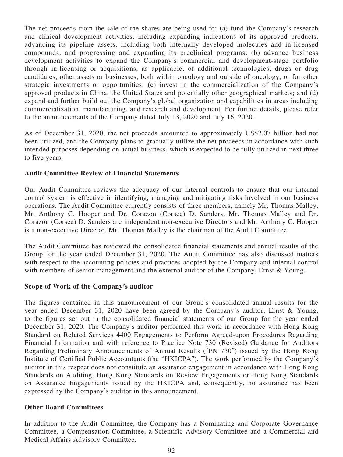The net proceeds from the sale of the shares are being used to: (a) fund the Company's research and clinical development activities, including expanding indications of its approved products, advancing its pipeline assets, including both internally developed molecules and in-licensed compounds, and progressing and expanding its preclinical programs; (b) advance business development activities to expand the Company's commercial and development-stage portfolio through in-licensing or acquisitions, as applicable, of additional technologies, drugs or drug candidates, other assets or businesses, both within oncology and outside of oncology, or for other strategic investments or opportunities; (c) invest in the commercialization of the Company's approved products in China, the United States and potentially other geographical markets; and (d) expand and further build out the Company's global organization and capabilities in areas including commercialization, manufacturing, and research and development. For further details, please refer to the announcements of the Company dated July 13, 2020 and July 16, 2020.

As of December 31, 2020, the net proceeds amounted to approximately US\$2.07 billion had not been utilized, and the Company plans to gradually utilize the net proceeds in accordance with such intended purposes depending on actual business, which is expected to be fully utilized in next three to five years.

## **Audit Committee Review of Financial Statements**

Our Audit Committee reviews the adequacy of our internal controls to ensure that our internal control system is effective in identifying, managing and mitigating risks involved in our business operations. The Audit Committee currently consists of three members, namely Mr. Thomas Malley, Mr. Anthony C. Hooper and Dr. Corazon (Corsee) D. Sanders. Mr. Thomas Malley and Dr. Corazon (Corsee) D. Sanders are independent non-executive Directors and Mr. Anthony C. Hooper is a non-executive Director. Mr. Thomas Malley is the chairman of the Audit Committee.

The Audit Committee has reviewed the consolidated financial statements and annual results of the Group for the year ended December 31, 2020. The Audit Committee has also discussed matters with respect to the accounting policies and practices adopted by the Company and internal control with members of senior management and the external auditor of the Company, Ernst & Young.

### **Scope of Work of the Company's auditor**

The figures contained in this announcement of our Group's consolidated annual results for the year ended December 31, 2020 have been agreed by the Company's auditor, Ernst & Young, to the figures set out in the consolidated financial statements of our Group for the year ended December 31, 2020. The Company's auditor performed this work in accordance with Hong Kong Standard on Related Services 4400 Engagements to Perform Agreed-upon Procedures Regarding Financial Information and with reference to Practice Note 730 (Revised) Guidance for Auditors Regarding Preliminary Announcements of Annual Results ("PN 730") issued by the Hong Kong Institute of Certified Public Accountants (the "HKICPA"). The work performed by the Company's auditor in this respect does not constitute an assurance engagement in accordance with Hong Kong Standards on Auditing, Hong Kong Standards on Review Engagements or Hong Kong Standards on Assurance Engagements issued by the HKICPA and, consequently, no assurance has been expressed by the Company's auditor in this announcement.

### **Other Board Committees**

In addition to the Audit Committee, the Company has a Nominating and Corporate Governance Committee, a Compensation Committee, a Scientific Advisory Committee and a Commercial and Medical Affairs Advisory Committee.